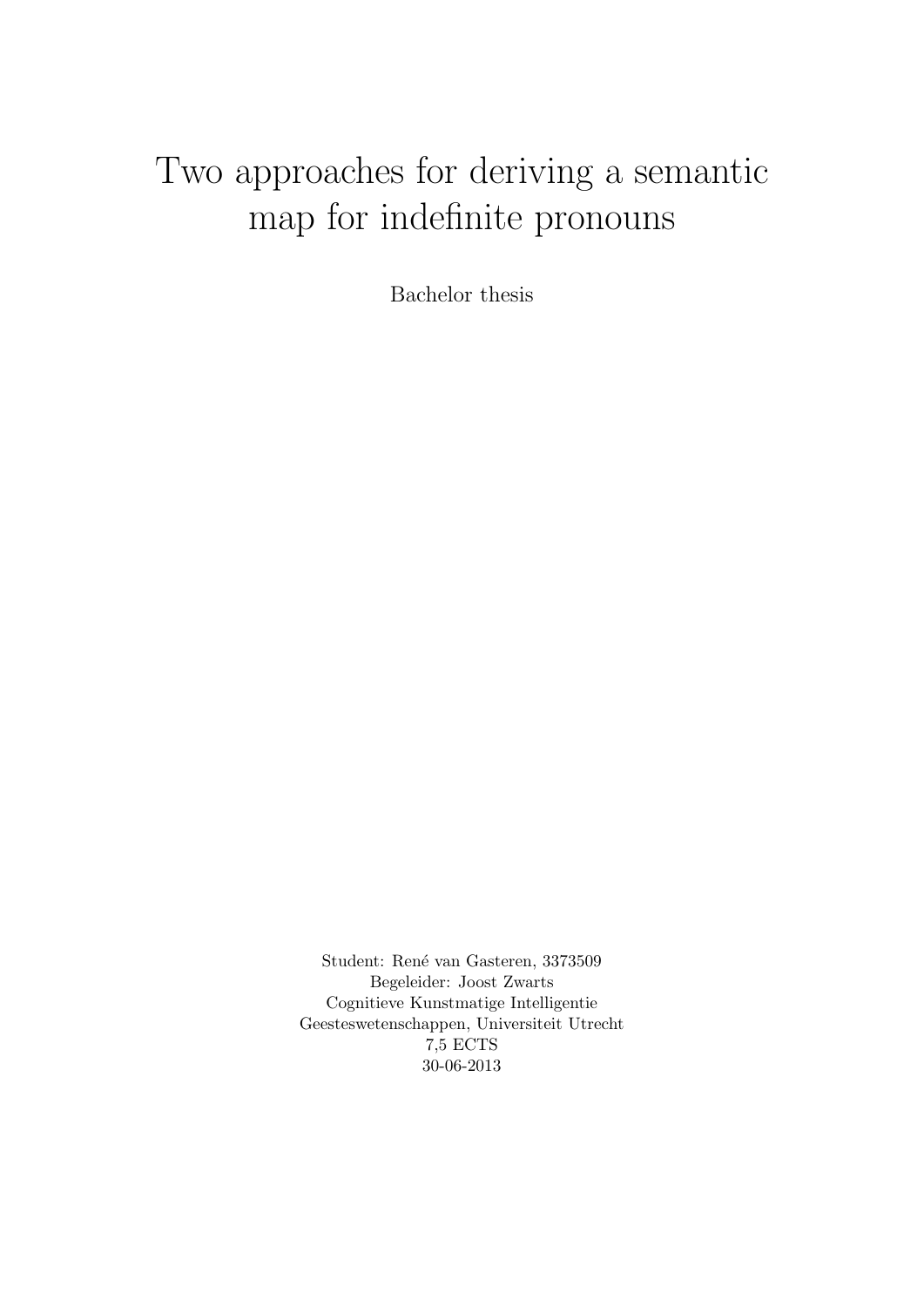# Two approaches for deriving a semantic map for indefinite pronouns

Bachelor thesis

Student: René van Gasteren, 3373509 Begeleider: Joost Zwarts Cognitieve Kunstmatige Intelligentie Geesteswetenschappen, Universiteit Utrecht 7,5 ECTS 30-06-2013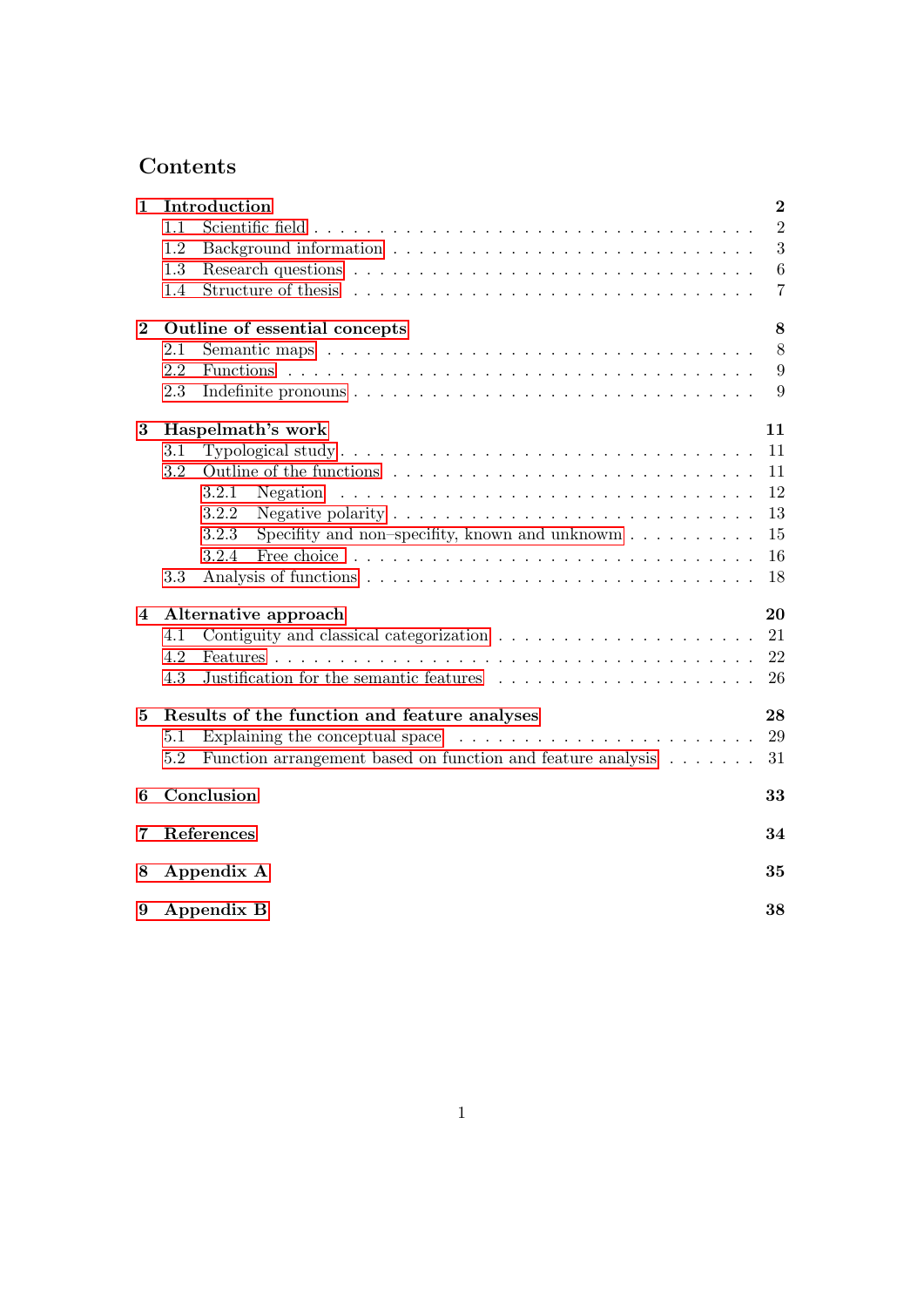## Contents

| 1                      | Introduction                                                                                       | $\overline{2}$ |  |  |  |  |  |
|------------------------|----------------------------------------------------------------------------------------------------|----------------|--|--|--|--|--|
|                        | 1.1                                                                                                | $\overline{2}$ |  |  |  |  |  |
|                        | 1.2                                                                                                | 3              |  |  |  |  |  |
|                        | 1.3                                                                                                | 6              |  |  |  |  |  |
|                        | 1.4                                                                                                | 7              |  |  |  |  |  |
| $\bf{2}$               | Outline of essential concepts                                                                      | 8              |  |  |  |  |  |
|                        | 2.1                                                                                                | 8              |  |  |  |  |  |
|                        | 2.2                                                                                                | 9              |  |  |  |  |  |
|                        | 2.3                                                                                                | 9              |  |  |  |  |  |
| 3                      | Haspelmath's work                                                                                  | 11             |  |  |  |  |  |
|                        | 3.1                                                                                                | 11             |  |  |  |  |  |
|                        | 3.2<br>Outline of the functions                                                                    | 11             |  |  |  |  |  |
|                        | 3.2.1<br>Negation                                                                                  | 12             |  |  |  |  |  |
|                        | 3.2.2<br>Negative polarity $\ldots \ldots \ldots \ldots \ldots \ldots \ldots \ldots \ldots \ldots$ | 13             |  |  |  |  |  |
|                        | 3.2.3<br>Specifity and non-specifity, known and unknowm $\dots \dots \dots$                        | 15             |  |  |  |  |  |
|                        | 3.2.4                                                                                              | 16             |  |  |  |  |  |
|                        | 3.3                                                                                                | 18             |  |  |  |  |  |
| $\boldsymbol{\Lambda}$ | Alternative approach<br>20<br>21<br>4.1                                                            |                |  |  |  |  |  |
|                        |                                                                                                    |                |  |  |  |  |  |
|                        | 4.2                                                                                                | 22             |  |  |  |  |  |
|                        | Justification for the semantic features<br>4.3                                                     | 26             |  |  |  |  |  |
| $\mathbf{5}$           | Results of the function and feature analyses                                                       | 28             |  |  |  |  |  |
|                        | Explaining the conceptual space $\ldots \ldots \ldots \ldots \ldots \ldots \ldots$<br>5.1          | 29             |  |  |  |  |  |
|                        | Function arrangement based on function and feature analysis<br>5.2                                 | 31             |  |  |  |  |  |
| 6                      | Conclusion<br>33                                                                                   |                |  |  |  |  |  |
| 7                      | References<br>34                                                                                   |                |  |  |  |  |  |
| 8                      | Appendix A<br>35                                                                                   |                |  |  |  |  |  |
| 9                      | Appendix B<br>38                                                                                   |                |  |  |  |  |  |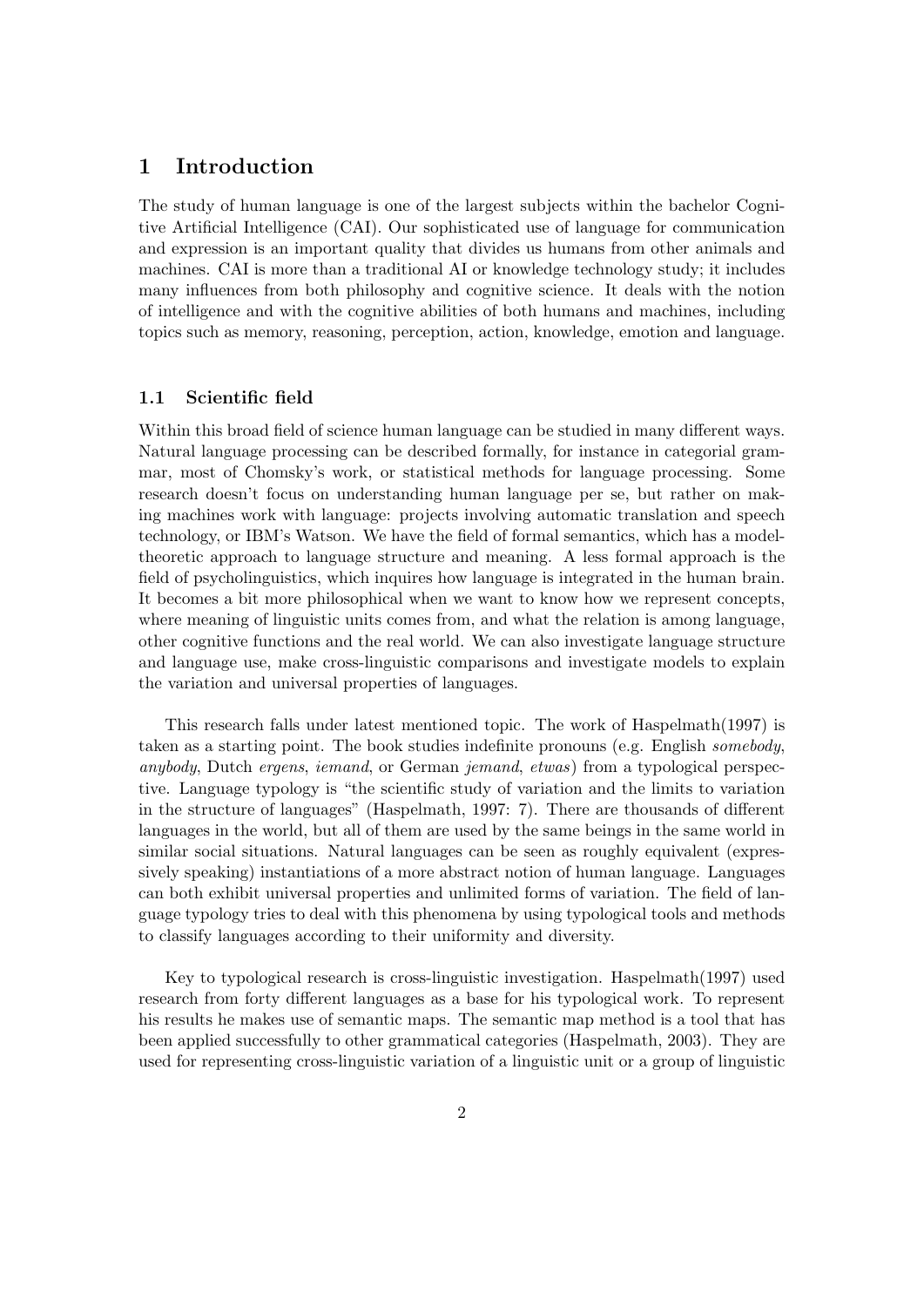## <span id="page-2-0"></span>1 Introduction

The study of human language is one of the largest subjects within the bachelor Cognitive Artificial Intelligence (CAI). Our sophisticated use of language for communication and expression is an important quality that divides us humans from other animals and machines. CAI is more than a traditional AI or knowledge technology study; it includes many influences from both philosophy and cognitive science. It deals with the notion of intelligence and with the cognitive abilities of both humans and machines, including topics such as memory, reasoning, perception, action, knowledge, emotion and language.

## <span id="page-2-1"></span>1.1 Scientific field

Within this broad field of science human language can be studied in many different ways. Natural language processing can be described formally, for instance in categorial grammar, most of Chomsky's work, or statistical methods for language processing. Some research doesn't focus on understanding human language per se, but rather on making machines work with language: projects involving automatic translation and speech technology, or IBM's Watson. We have the field of formal semantics, which has a modeltheoretic approach to language structure and meaning. A less formal approach is the field of psycholinguistics, which inquires how language is integrated in the human brain. It becomes a bit more philosophical when we want to know how we represent concepts, where meaning of linguistic units comes from, and what the relation is among language, other cognitive functions and the real world. We can also investigate language structure and language use, make cross-linguistic comparisons and investigate models to explain the variation and universal properties of languages.

This research falls under latest mentioned topic. The work of Haspelmath(1997) is taken as a starting point. The book studies indefinite pronouns (e.g. English somebody, anybody, Dutch ergens, iemand, or German jemand, etwas) from a typological perspective. Language typology is "the scientific study of variation and the limits to variation in the structure of languages" (Haspelmath, 1997: 7). There are thousands of different languages in the world, but all of them are used by the same beings in the same world in similar social situations. Natural languages can be seen as roughly equivalent (expressively speaking) instantiations of a more abstract notion of human language. Languages can both exhibit universal properties and unlimited forms of variation. The field of language typology tries to deal with this phenomena by using typological tools and methods to classify languages according to their uniformity and diversity.

Key to typological research is cross-linguistic investigation. Haspelmath(1997) used research from forty different languages as a base for his typological work. To represent his results he makes use of semantic maps. The semantic map method is a tool that has been applied successfully to other grammatical categories (Haspelmath, 2003). They are used for representing cross-linguistic variation of a linguistic unit or a group of linguistic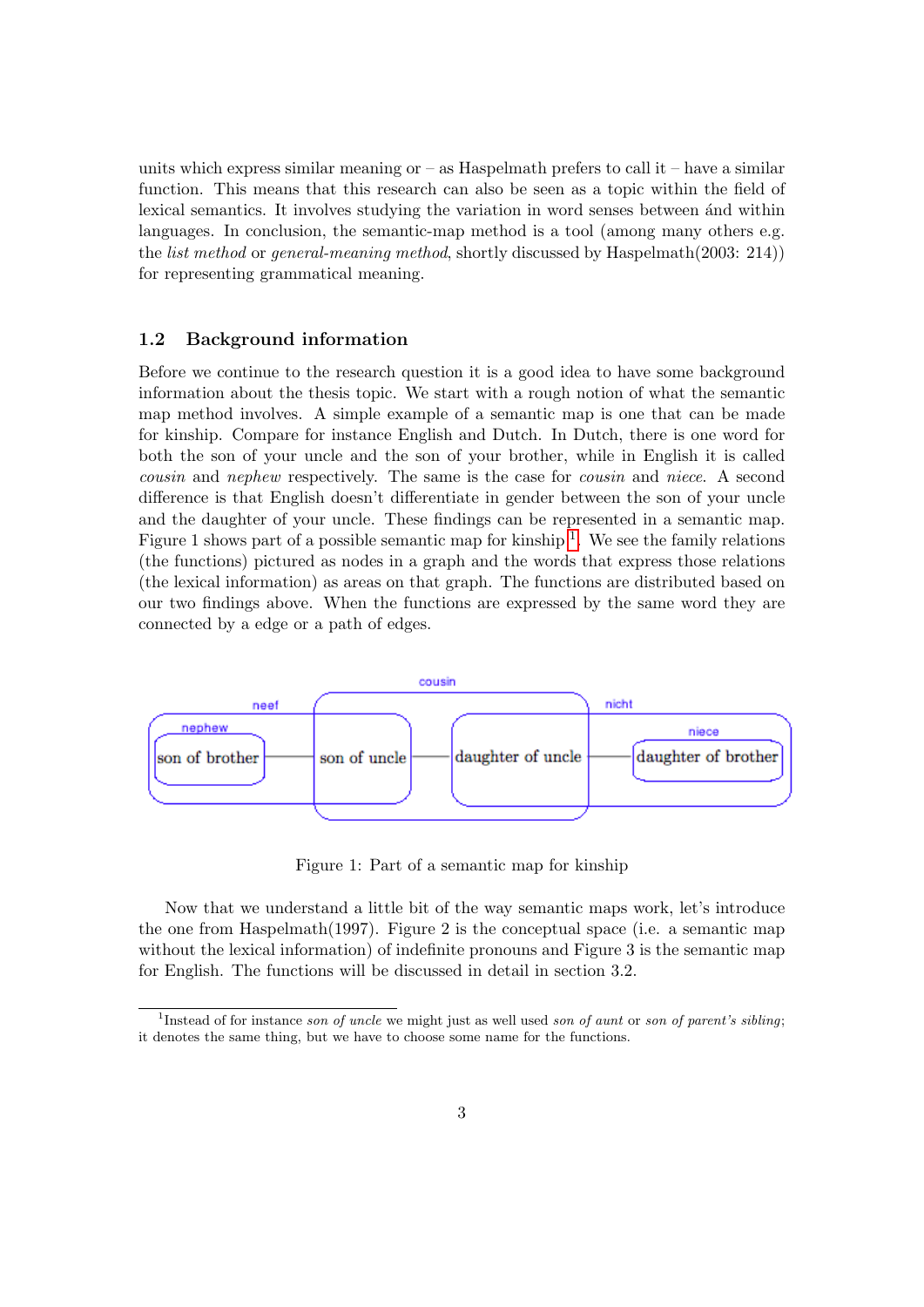units which express similar meaning or  $-$  as Haspelmath prefers to call it  $-$  have a similar function. This means that this research can also be seen as a topic within the field of lexical semantics. It involves studying the variation in word senses between and within languages. In conclusion, the semantic-map method is a tool (among many others e.g. the list method or general-meaning method, shortly discussed by Haspelmath(2003: 214)) for representing grammatical meaning.

#### <span id="page-3-0"></span>1.2 Background information

Before we continue to the research question it is a good idea to have some background information about the thesis topic. We start with a rough notion of what the semantic map method involves. A simple example of a semantic map is one that can be made for kinship. Compare for instance English and Dutch. In Dutch, there is one word for both the son of your uncle and the son of your brother, while in English it is called cousin and nephew respectively. The same is the case for cousin and niece. A second difference is that English doesn't differentiate in gender between the son of your uncle and the daughter of your uncle. These findings can be represented in a semantic map. Figure [1](#page-3-1) shows part of a possible semantic map for kinship  $<sup>1</sup>$ . We see the family relations</sup> (the functions) pictured as nodes in a graph and the words that express those relations (the lexical information) as areas on that graph. The functions are distributed based on our two findings above. When the functions are expressed by the same word they are connected by a edge or a path of edges.



Figure 1: Part of a semantic map for kinship

Now that we understand a little bit of the way semantic maps work, let's introduce the one from Haspelmath(1997). Figure 2 is the conceptual space (i.e. a semantic map without the lexical information) of indefinite pronouns and Figure 3 is the semantic map for English. The functions will be discussed in detail in section 3.2.

<span id="page-3-1"></span><sup>&</sup>lt;sup>1</sup>Instead of for instance son of uncle we might just as well used son of aunt or son of parent's sibling; it denotes the same thing, but we have to choose some name for the functions.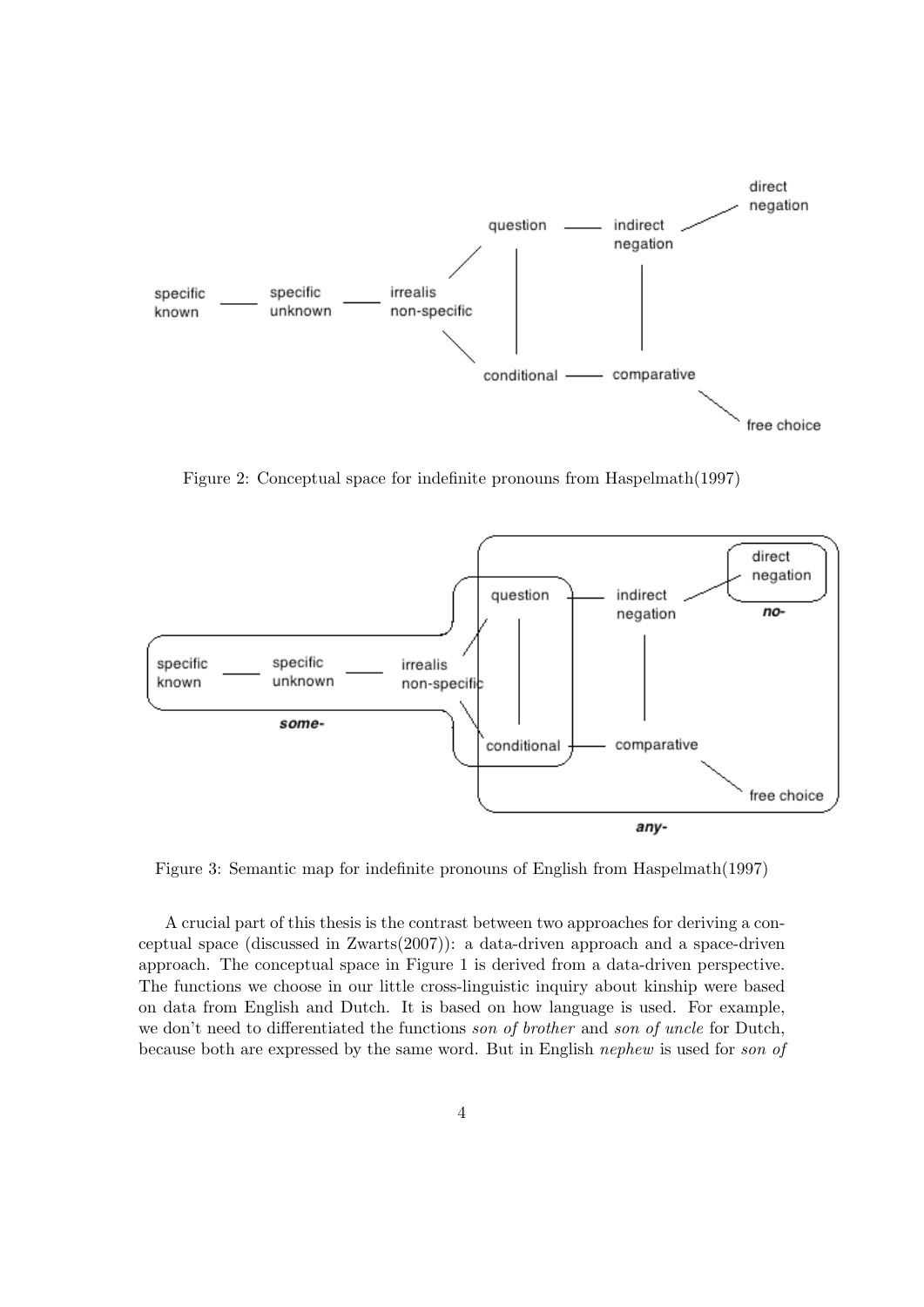

Figure 2: Conceptual space for indefinite pronouns from Haspelmath(1997)



Figure 3: Semantic map for indefinite pronouns of English from Haspelmath(1997)

A crucial part of this thesis is the contrast between two approaches for deriving a conceptual space (discussed in Zwarts(2007)): a data-driven approach and a space-driven approach. The conceptual space in Figure 1 is derived from a data-driven perspective. The functions we choose in our little cross-linguistic inquiry about kinship were based on data from English and Dutch. It is based on how language is used. For example, we don't need to differentiated the functions son of brother and son of uncle for Dutch, because both are expressed by the same word. But in English nephew is used for son of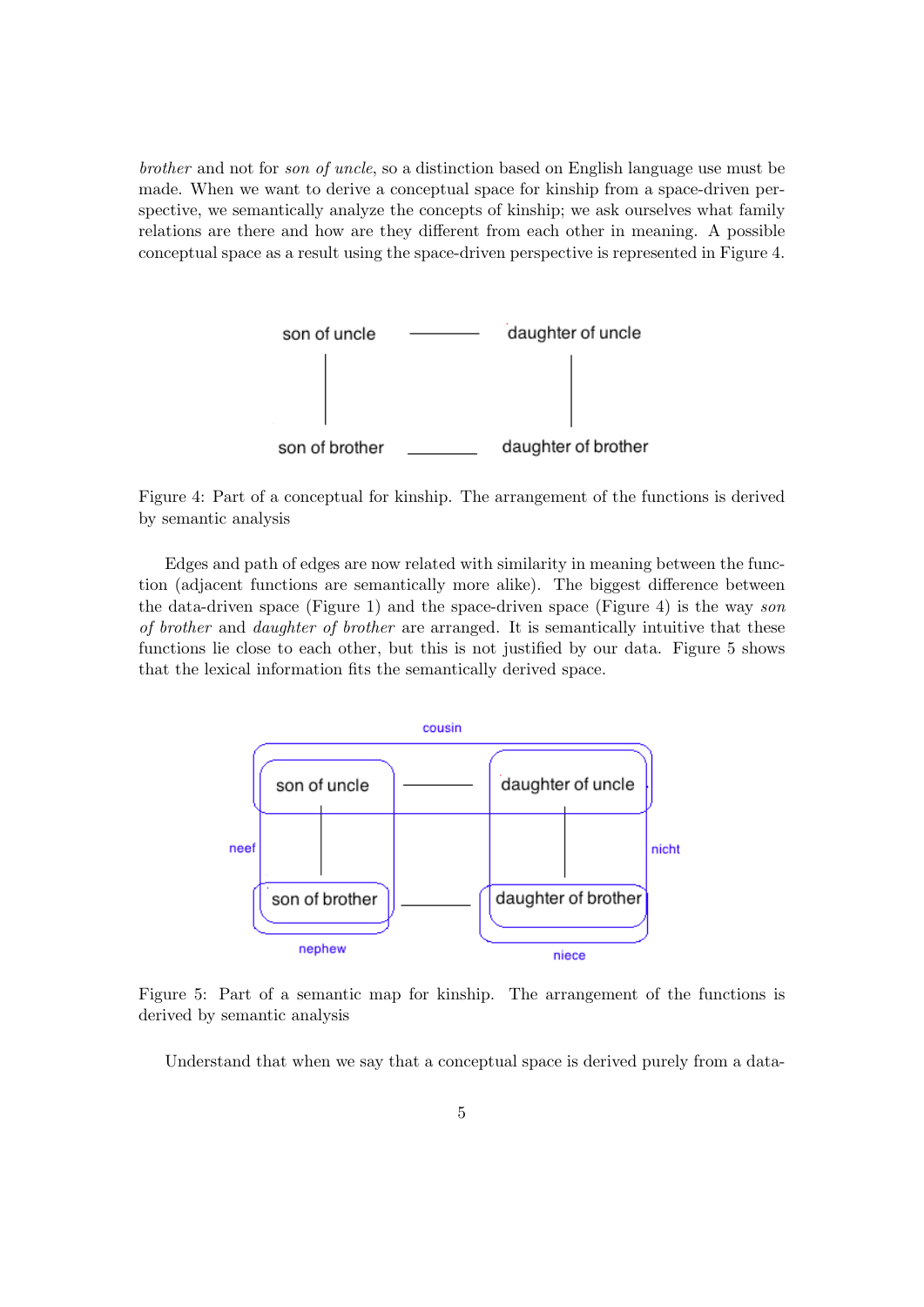brother and not for son of uncle, so a distinction based on English language use must be made. When we want to derive a conceptual space for kinship from a space-driven perspective, we semantically analyze the concepts of kinship; we ask ourselves what family relations are there and how are they different from each other in meaning. A possible conceptual space as a result using the space-driven perspective is represented in Figure 4.



Figure 4: Part of a conceptual for kinship. The arrangement of the functions is derived by semantic analysis

Edges and path of edges are now related with similarity in meaning between the function (adjacent functions are semantically more alike). The biggest difference between the data-driven space (Figure 1) and the space-driven space (Figure 4) is the way son of brother and daughter of brother are arranged. It is semantically intuitive that these functions lie close to each other, but this is not justified by our data. Figure 5 shows that the lexical information fits the semantically derived space.



Figure 5: Part of a semantic map for kinship. The arrangement of the functions is derived by semantic analysis

Understand that when we say that a conceptual space is derived purely from a data-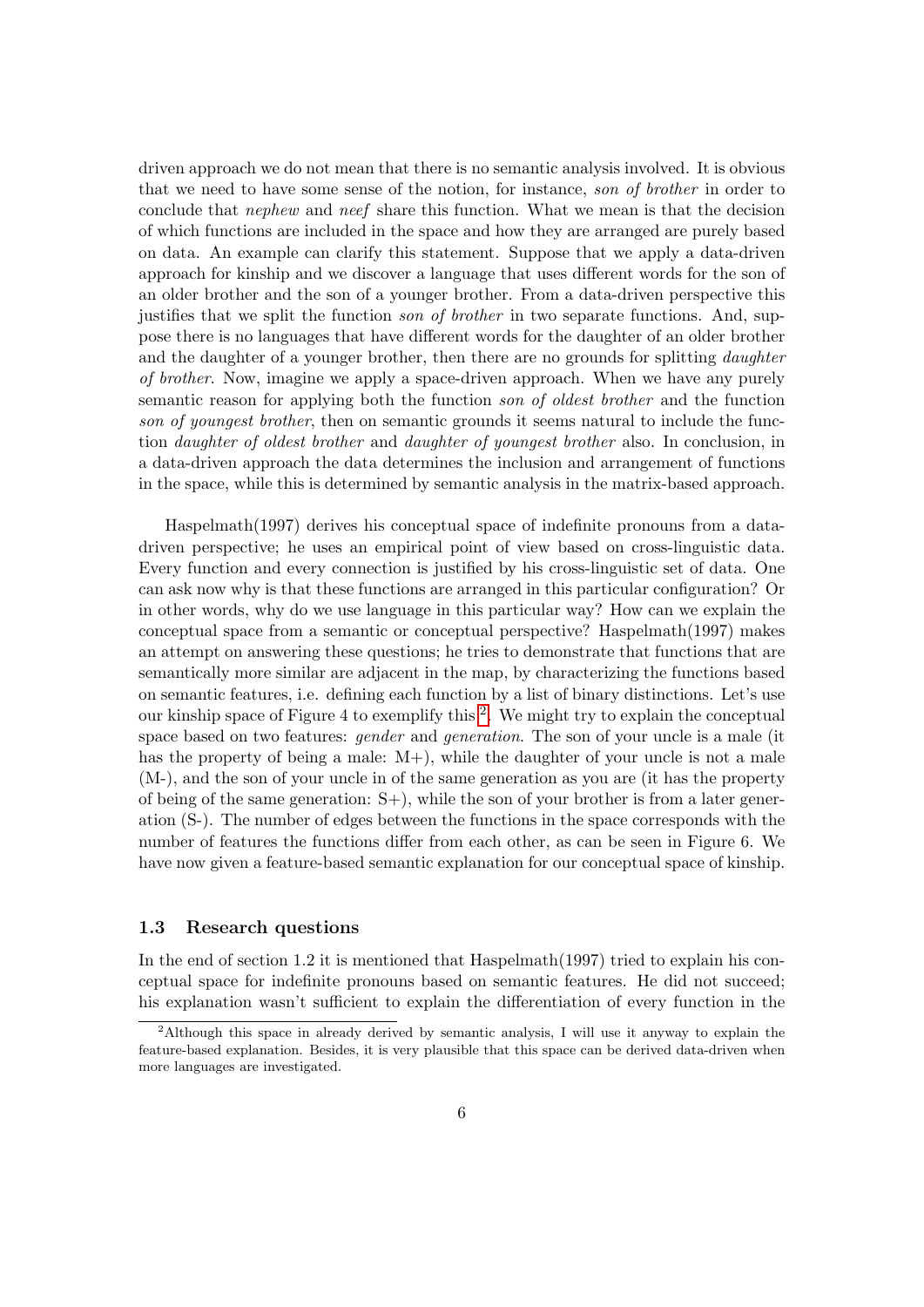driven approach we do not mean that there is no semantic analysis involved. It is obvious that we need to have some sense of the notion, for instance, son of brother in order to conclude that nephew and neef share this function. What we mean is that the decision of which functions are included in the space and how they are arranged are purely based on data. An example can clarify this statement. Suppose that we apply a data-driven approach for kinship and we discover a language that uses different words for the son of an older brother and the son of a younger brother. From a data-driven perspective this justifies that we split the function *son of brother* in two separate functions. And, suppose there is no languages that have different words for the daughter of an older brother and the daughter of a younger brother, then there are no grounds for splitting *daughter* of brother. Now, imagine we apply a space-driven approach. When we have any purely semantic reason for applying both the function son of oldest brother and the function son of youngest brother, then on semantic grounds it seems natural to include the function daughter of oldest brother and daughter of youngest brother also. In conclusion, in a data-driven approach the data determines the inclusion and arrangement of functions in the space, while this is determined by semantic analysis in the matrix-based approach.

Haspelmath(1997) derives his conceptual space of indefinite pronouns from a datadriven perspective; he uses an empirical point of view based on cross-linguistic data. Every function and every connection is justified by his cross-linguistic set of data. One can ask now why is that these functions are arranged in this particular configuration? Or in other words, why do we use language in this particular way? How can we explain the conceptual space from a semantic or conceptual perspective? Haspelmath(1997) makes an attempt on answering these questions; he tries to demonstrate that functions that are semantically more similar are adjacent in the map, by characterizing the functions based on semantic features, i.e. defining each function by a list of binary distinctions. Let's use our kinship space of Figure 4 to exemplify this  $2$ . We might try to explain the conceptual space based on two features: *gender* and *generation*. The son of your uncle is a male (it has the property of being a male:  $M<sub>+</sub>$ , while the daughter of your uncle is not a male (M-), and the son of your uncle in of the same generation as you are (it has the property of being of the same generation:  $S<sub>+</sub>$ ), while the son of your brother is from a later generation (S-). The number of edges between the functions in the space corresponds with the number of features the functions differ from each other, as can be seen in Figure 6. We have now given a feature-based semantic explanation for our conceptual space of kinship.

#### <span id="page-6-0"></span>1.3 Research questions

In the end of section 1.2 it is mentioned that Haspelmath $(1997)$  tried to explain his conceptual space for indefinite pronouns based on semantic features. He did not succeed; his explanation wasn't sufficient to explain the differentiation of every function in the

<span id="page-6-1"></span><sup>2</sup>Although this space in already derived by semantic analysis, I will use it anyway to explain the feature-based explanation. Besides, it is very plausible that this space can be derived data-driven when more languages are investigated.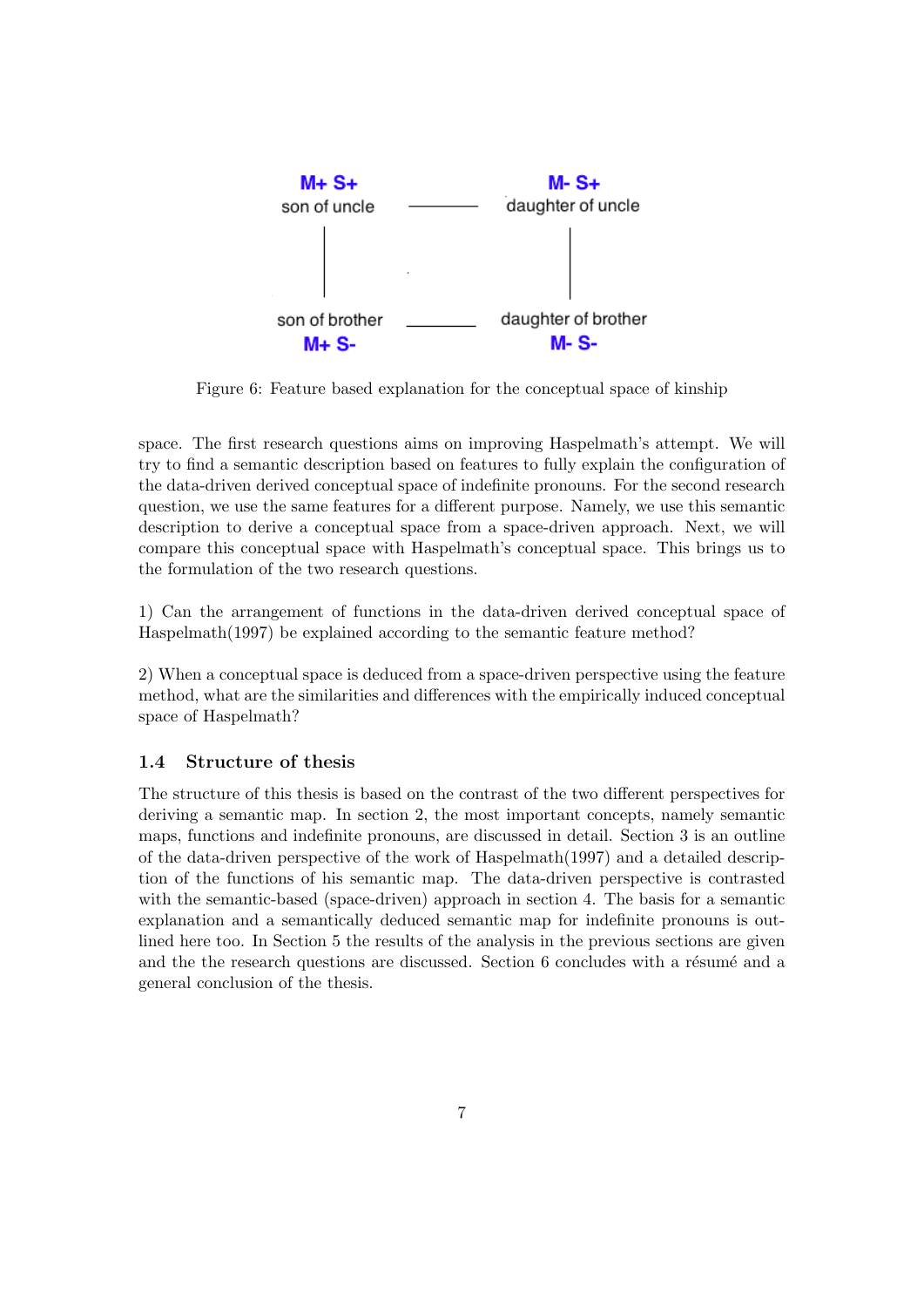

Figure 6: Feature based explanation for the conceptual space of kinship

space. The first research questions aims on improving Haspelmath's attempt. We will try to find a semantic description based on features to fully explain the configuration of the data-driven derived conceptual space of indefinite pronouns. For the second research question, we use the same features for a different purpose. Namely, we use this semantic description to derive a conceptual space from a space-driven approach. Next, we will compare this conceptual space with Haspelmath's conceptual space. This brings us to the formulation of the two research questions.

1) Can the arrangement of functions in the data-driven derived conceptual space of Haspelmath(1997) be explained according to the semantic feature method?

2) When a conceptual space is deduced from a space-driven perspective using the feature method, what are the similarities and differences with the empirically induced conceptual space of Haspelmath?

## <span id="page-7-0"></span>1.4 Structure of thesis

The structure of this thesis is based on the contrast of the two different perspectives for deriving a semantic map. In section 2, the most important concepts, namely semantic maps, functions and indefinite pronouns, are discussed in detail. Section 3 is an outline of the data-driven perspective of the work of Haspelmath(1997) and a detailed description of the functions of his semantic map. The data-driven perspective is contrasted with the semantic-based (space-driven) approach in section 4. The basis for a semantic explanation and a semantically deduced semantic map for indefinite pronouns is outlined here too. In Section 5 the results of the analysis in the previous sections are given and the the research questions are discussed. Section 6 concludes with a résumé and a general conclusion of the thesis.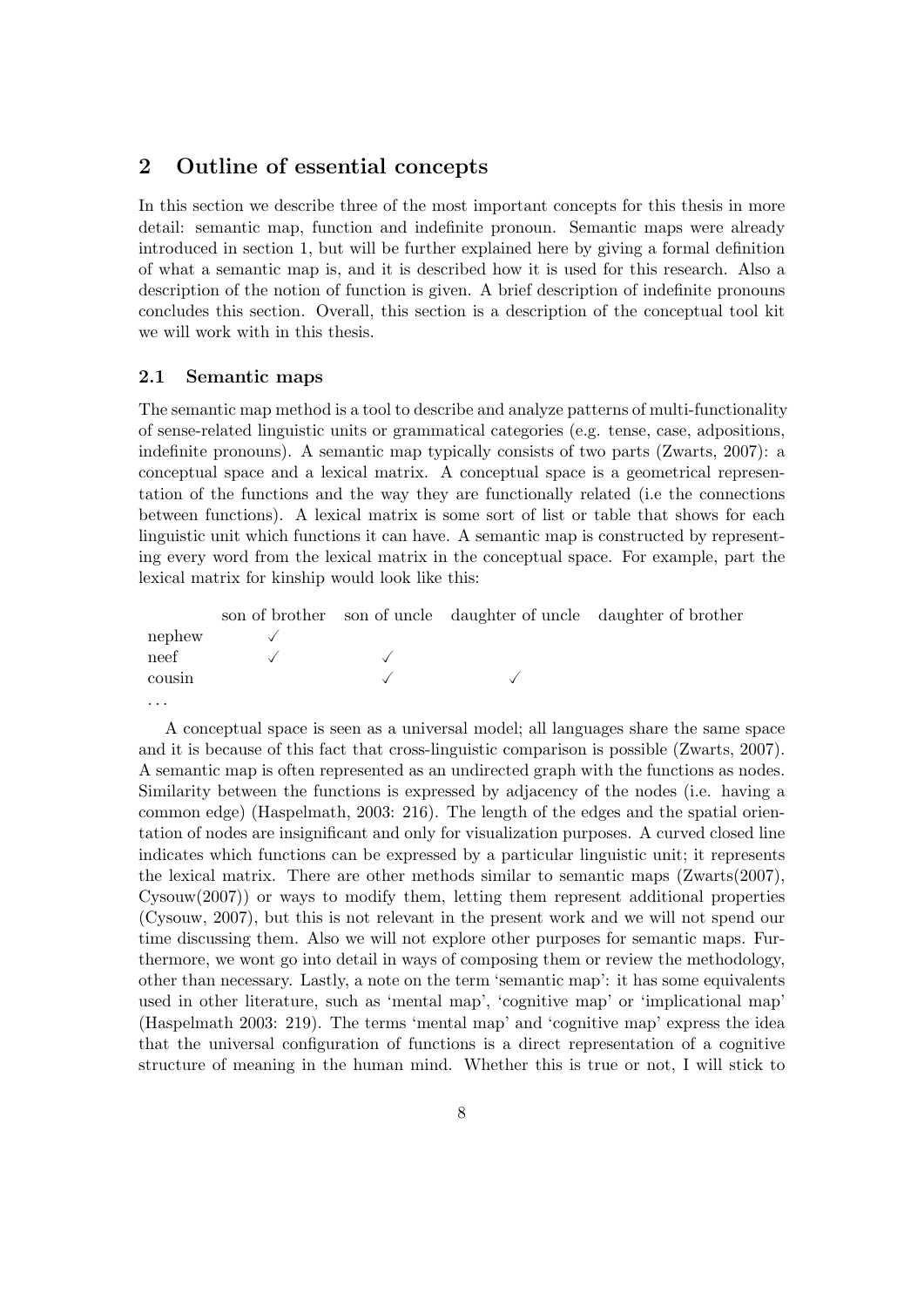## <span id="page-8-0"></span>2 Outline of essential concepts

In this section we describe three of the most important concepts for this thesis in more detail: semantic map, function and indefinite pronoun. Semantic maps were already introduced in section 1, but will be further explained here by giving a formal definition of what a semantic map is, and it is described how it is used for this research. Also a description of the notion of function is given. A brief description of indefinite pronouns concludes this section. Overall, this section is a description of the conceptual tool kit we will work with in this thesis.

#### <span id="page-8-1"></span>2.1 Semantic maps

The semantic map method is a tool to describe and analyze patterns of multi-functionality of sense-related linguistic units or grammatical categories (e.g. tense, case, adpositions, indefinite pronouns). A semantic map typically consists of two parts (Zwarts, 2007): a conceptual space and a lexical matrix. A conceptual space is a geometrical representation of the functions and the way they are functionally related (i.e the connections between functions). A lexical matrix is some sort of list or table that shows for each linguistic unit which functions it can have. A semantic map is constructed by representing every word from the lexical matrix in the conceptual space. For example, part the lexical matrix for kinship would look like this:

|          |  | son of brother son of uncle daughter of uncle daughter of brother |
|----------|--|-------------------------------------------------------------------|
| nephew   |  |                                                                   |
| neef     |  |                                                                   |
| cousin   |  |                                                                   |
| $\cdots$ |  |                                                                   |

A conceptual space is seen as a universal model; all languages share the same space and it is because of this fact that cross-linguistic comparison is possible (Zwarts, 2007). A semantic map is often represented as an undirected graph with the functions as nodes. Similarity between the functions is expressed by adjacency of the nodes (i.e. having a common edge) (Haspelmath, 2003: 216). The length of the edges and the spatial orientation of nodes are insignificant and only for visualization purposes. A curved closed line indicates which functions can be expressed by a particular linguistic unit; it represents the lexical matrix. There are other methods similar to semantic maps (Zwarts(2007), Cysouw(2007)) or ways to modify them, letting them represent additional properties (Cysouw, 2007), but this is not relevant in the present work and we will not spend our time discussing them. Also we will not explore other purposes for semantic maps. Furthermore, we wont go into detail in ways of composing them or review the methodology, other than necessary. Lastly, a note on the term 'semantic map': it has some equivalents used in other literature, such as 'mental map', 'cognitive map' or 'implicational map' (Haspelmath 2003: 219). The terms 'mental map' and 'cognitive map' express the idea that the universal configuration of functions is a direct representation of a cognitive structure of meaning in the human mind. Whether this is true or not, I will stick to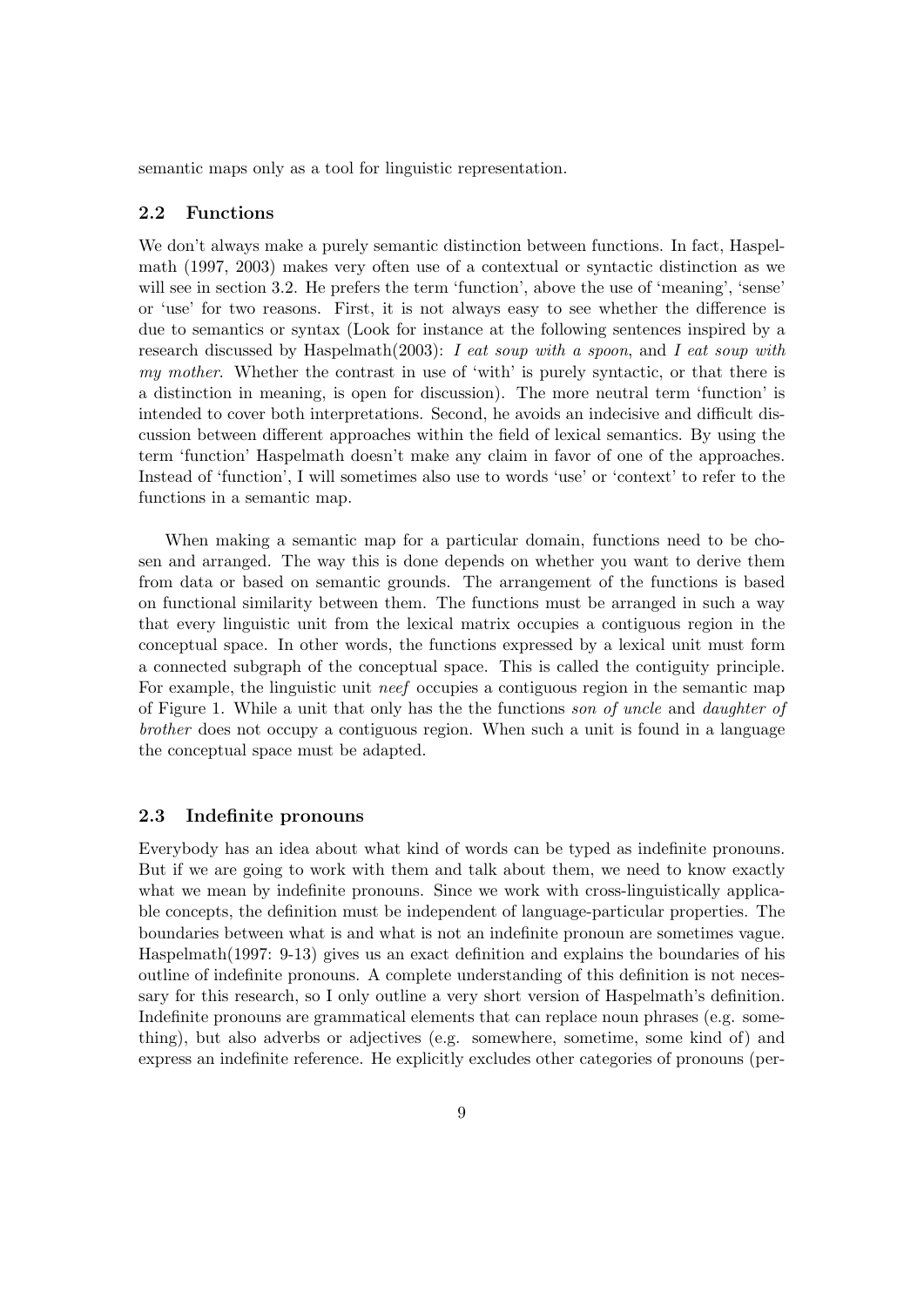semantic maps only as a tool for linguistic representation.

#### <span id="page-9-0"></span>2.2 Functions

We don't always make a purely semantic distinction between functions. In fact, Haspelmath (1997, 2003) makes very often use of a contextual or syntactic distinction as we will see in section 3.2. He prefers the term 'function', above the use of 'meaning', 'sense' or 'use' for two reasons. First, it is not always easy to see whether the difference is due to semantics or syntax (Look for instance at the following sentences inspired by a research discussed by Haspelmath $(2003)$ : I eat soup with a spoon, and I eat soup with my mother. Whether the contrast in use of 'with' is purely syntactic, or that there is a distinction in meaning, is open for discussion). The more neutral term 'function' is intended to cover both interpretations. Second, he avoids an indecisive and difficult discussion between different approaches within the field of lexical semantics. By using the term 'function' Haspelmath doesn't make any claim in favor of one of the approaches. Instead of 'function', I will sometimes also use to words 'use' or 'context' to refer to the functions in a semantic map.

When making a semantic map for a particular domain, functions need to be chosen and arranged. The way this is done depends on whether you want to derive them from data or based on semantic grounds. The arrangement of the functions is based on functional similarity between them. The functions must be arranged in such a way that every linguistic unit from the lexical matrix occupies a contiguous region in the conceptual space. In other words, the functions expressed by a lexical unit must form a connected subgraph of the conceptual space. This is called the contiguity principle. For example, the linguistic unit *neef* occupies a contiguous region in the semantic map of Figure 1. While a unit that only has the the functions son of uncle and daughter of brother does not occupy a contiguous region. When such a unit is found in a language the conceptual space must be adapted.

#### <span id="page-9-1"></span>2.3 Indefinite pronouns

Everybody has an idea about what kind of words can be typed as indefinite pronouns. But if we are going to work with them and talk about them, we need to know exactly what we mean by indefinite pronouns. Since we work with cross-linguistically applicable concepts, the definition must be independent of language-particular properties. The boundaries between what is and what is not an indefinite pronoun are sometimes vague. Haspelmath(1997: 9-13) gives us an exact definition and explains the boundaries of his outline of indefinite pronouns. A complete understanding of this definition is not necessary for this research, so I only outline a very short version of Haspelmath's definition. Indefinite pronouns are grammatical elements that can replace noun phrases (e.g. something), but also adverbs or adjectives (e.g. somewhere, sometime, some kind of) and express an indefinite reference. He explicitly excludes other categories of pronouns (per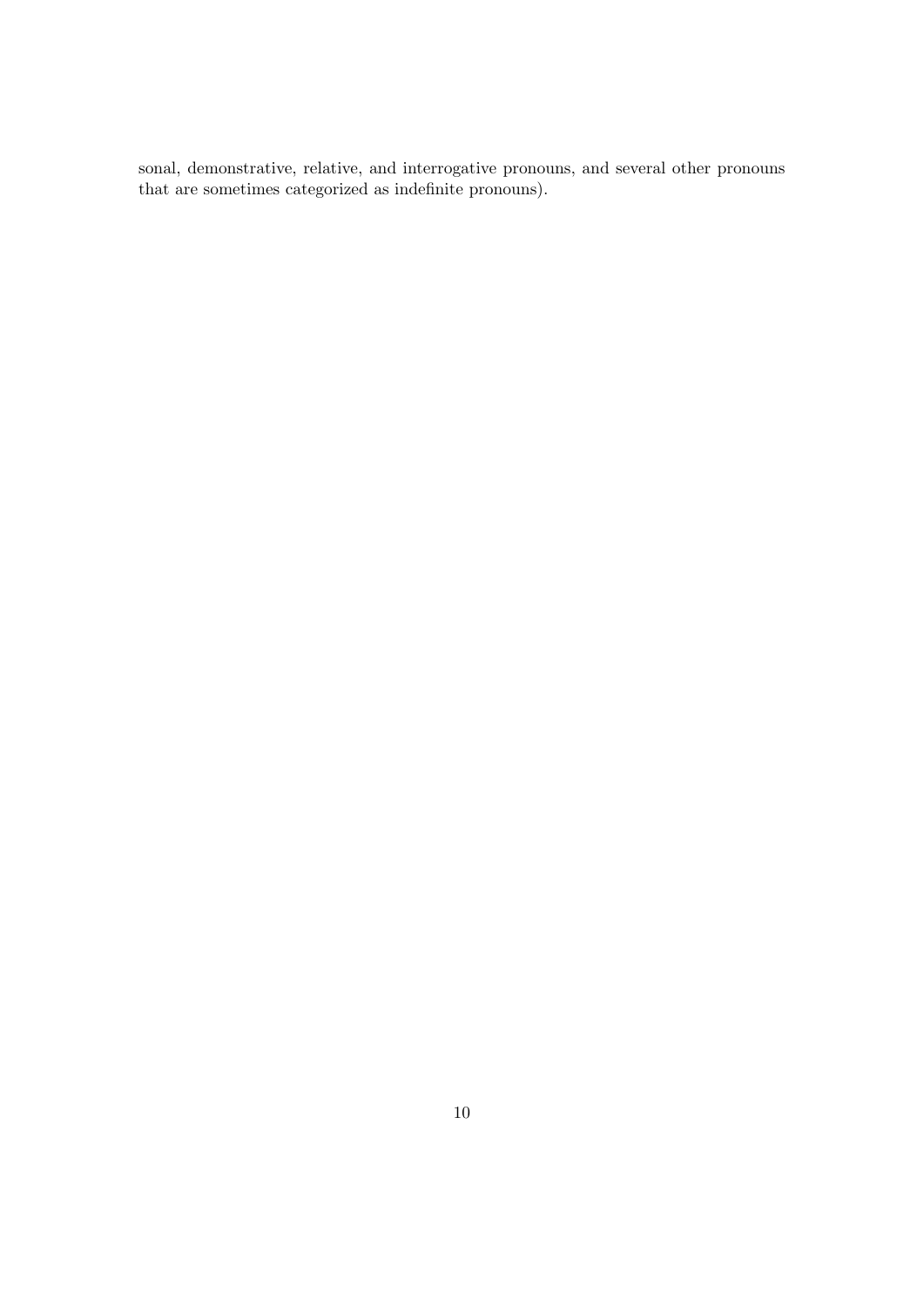sonal, demonstrative, relative, and interrogative pronouns, and several other pronouns that are sometimes categorized as indefinite pronouns).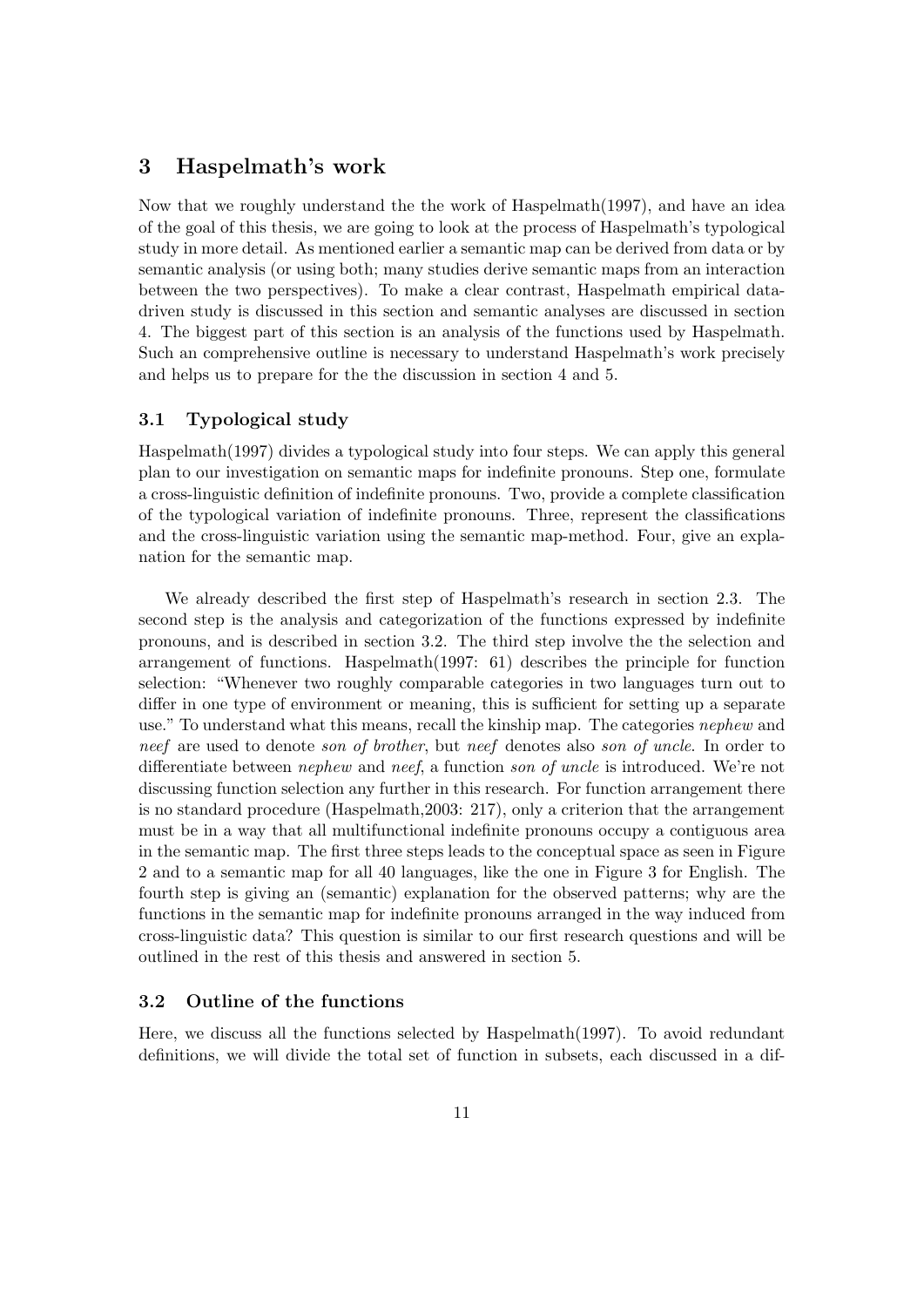## <span id="page-11-0"></span>3 Haspelmath's work

Now that we roughly understand the the work of Haspelmath(1997), and have an idea of the goal of this thesis, we are going to look at the process of Haspelmath's typological study in more detail. As mentioned earlier a semantic map can be derived from data or by semantic analysis (or using both; many studies derive semantic maps from an interaction between the two perspectives). To make a clear contrast, Haspelmath empirical datadriven study is discussed in this section and semantic analyses are discussed in section 4. The biggest part of this section is an analysis of the functions used by Haspelmath. Such an comprehensive outline is necessary to understand Haspelmath's work precisely and helps us to prepare for the the discussion in section 4 and 5.

### <span id="page-11-1"></span>3.1 Typological study

Haspelmath(1997) divides a typological study into four steps. We can apply this general plan to our investigation on semantic maps for indefinite pronouns. Step one, formulate a cross-linguistic definition of indefinite pronouns. Two, provide a complete classification of the typological variation of indefinite pronouns. Three, represent the classifications and the cross-linguistic variation using the semantic map-method. Four, give an explanation for the semantic map.

We already described the first step of Haspelmath's research in section 2.3. The second step is the analysis and categorization of the functions expressed by indefinite pronouns, and is described in section 3.2. The third step involve the the selection and arrangement of functions. Haspelmath(1997: 61) describes the principle for function selection: "Whenever two roughly comparable categories in two languages turn out to differ in one type of environment or meaning, this is sufficient for setting up a separate use." To understand what this means, recall the kinship map. The categories *nephew* and neef are used to denote son of brother, but neef denotes also son of uncle. In order to differentiate between *nephew* and *neef*, a function *son of uncle* is introduced. We're not discussing function selection any further in this research. For function arrangement there is no standard procedure (Haspelmath,2003: 217), only a criterion that the arrangement must be in a way that all multifunctional indefinite pronouns occupy a contiguous area in the semantic map. The first three steps leads to the conceptual space as seen in Figure 2 and to a semantic map for all 40 languages, like the one in Figure 3 for English. The fourth step is giving an (semantic) explanation for the observed patterns; why are the functions in the semantic map for indefinite pronouns arranged in the way induced from cross-linguistic data? This question is similar to our first research questions and will be outlined in the rest of this thesis and answered in section 5.

#### <span id="page-11-2"></span>3.2 Outline of the functions

Here, we discuss all the functions selected by Haspelmath(1997). To avoid redundant definitions, we will divide the total set of function in subsets, each discussed in a dif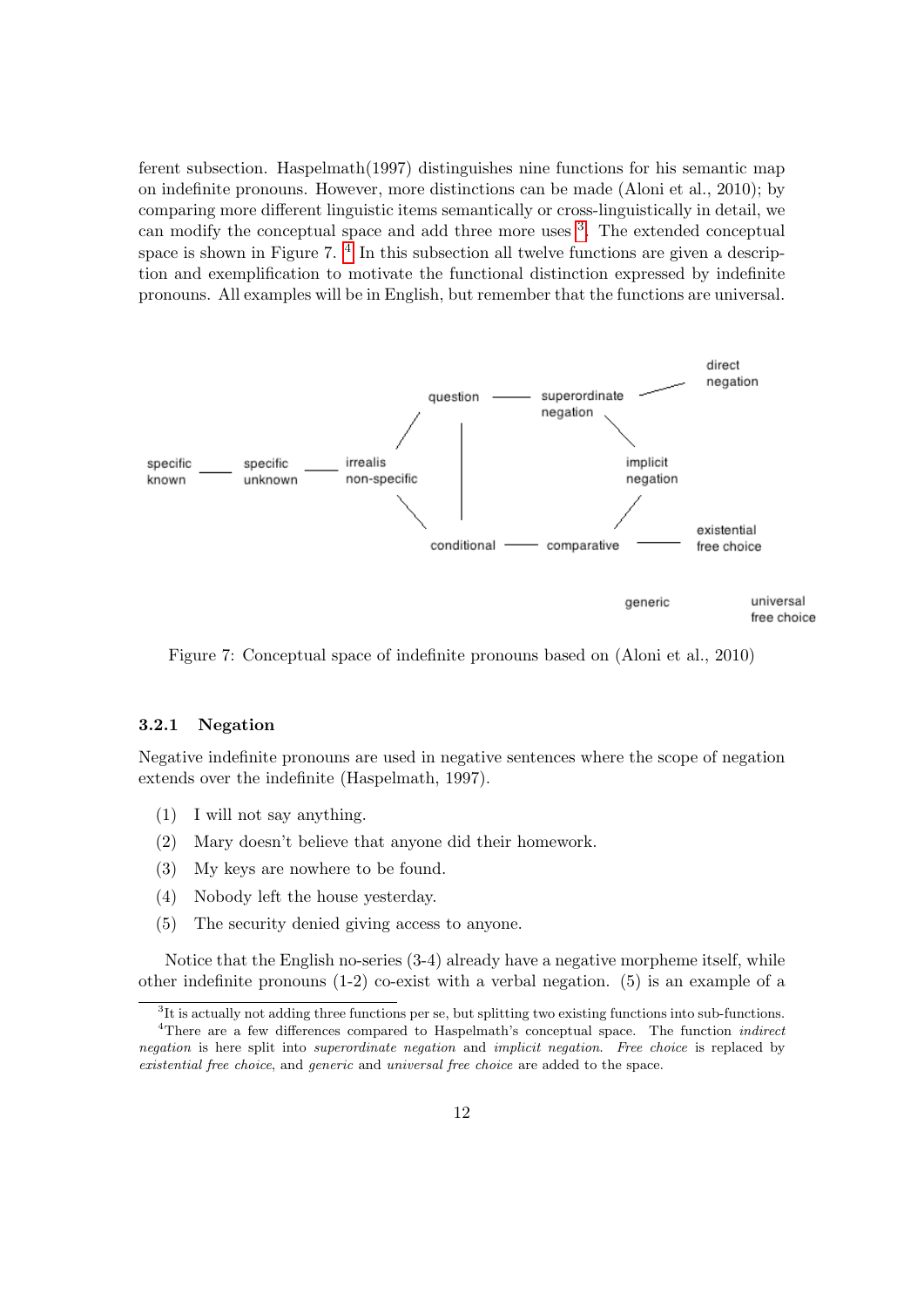ferent subsection. Haspelmath(1997) distinguishes nine functions for his semantic map on indefinite pronouns. However, more distinctions can be made (Aloni et al., 2010); by comparing more different linguistic items semantically or cross-linguistically in detail, we can modify the conceptual space and add three more uses <sup>[3](#page-12-1)</sup>. The extended conceptual space is shown in Figure 7.<sup>[4](#page-12-2)</sup> In this subsection all twelve functions are given a description and exemplification to motivate the functional distinction expressed by indefinite pronouns. All examples will be in English, but remember that the functions are universal.



Figure 7: Conceptual space of indefinite pronouns based on (Aloni et al., 2010)

#### <span id="page-12-0"></span>3.2.1 Negation

Negative indefinite pronouns are used in negative sentences where the scope of negation extends over the indefinite (Haspelmath, 1997).

- (1) I will not say anything.
- (2) Mary doesn't believe that anyone did their homework.
- (3) My keys are nowhere to be found.
- (4) Nobody left the house yesterday.
- (5) The security denied giving access to anyone.

Notice that the English no-series (3-4) already have a negative morpheme itself, while other indefinite pronouns (1-2) co-exist with a verbal negation. (5) is an example of a

<span id="page-12-2"></span><span id="page-12-1"></span><sup>&</sup>lt;sup>3</sup>It is actually not adding three functions per se, but splitting two existing functions into sub-functions.

<sup>&</sup>lt;sup>4</sup>There are a few differences compared to Haspelmath's conceptual space. The function *indirect* negation is here split into *superordinate negation* and *implicit negation*. Free choice is replaced by existential free choice, and generic and universal free choice are added to the space.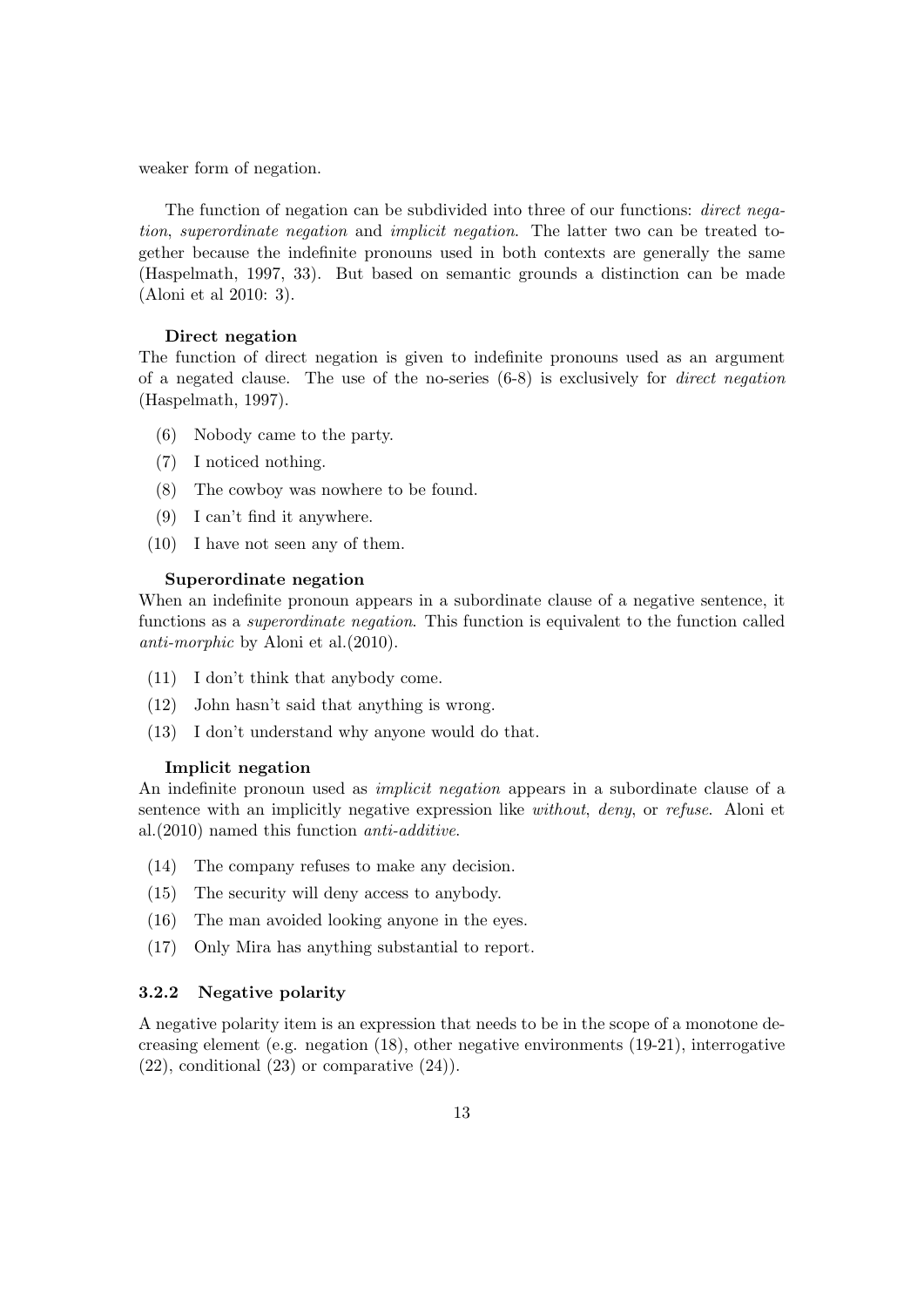weaker form of negation.

The function of negation can be subdivided into three of our functions: *direct nega*tion, superordinate negation and implicit negation. The latter two can be treated together because the indefinite pronouns used in both contexts are generally the same (Haspelmath, 1997, 33). But based on semantic grounds a distinction can be made (Aloni et al 2010: 3).

#### Direct negation

The function of direct negation is given to indefinite pronouns used as an argument of a negated clause. The use of the no-series  $(6-8)$  is exclusively for *direct negation* (Haspelmath, 1997).

- (6) Nobody came to the party.
- (7) I noticed nothing.
- (8) The cowboy was nowhere to be found.
- (9) I can't find it anywhere.
- (10) I have not seen any of them.

#### Superordinate negation

When an indefinite pronoun appears in a subordinate clause of a negative sentence, it functions as a *superordinate negation*. This function is equivalent to the function called anti-morphic by Aloni et al.(2010).

- (11) I don't think that anybody come.
- (12) John hasn't said that anything is wrong.
- (13) I don't understand why anyone would do that.

#### Implicit negation

An indefinite pronoun used as implicit negation appears in a subordinate clause of a sentence with an implicitly negative expression like *without, deny,* or *refuse*. Aloni et al.(2010) named this function anti-additive.

- (14) The company refuses to make any decision.
- (15) The security will deny access to anybody.
- (16) The man avoided looking anyone in the eyes.
- (17) Only Mira has anything substantial to report.

#### <span id="page-13-0"></span>3.2.2 Negative polarity

A negative polarity item is an expression that needs to be in the scope of a monotone decreasing element (e.g. negation  $(18)$ , other negative environments  $(19-21)$ , interrogative  $(22)$ , conditional  $(23)$  or comparative  $(24)$ ).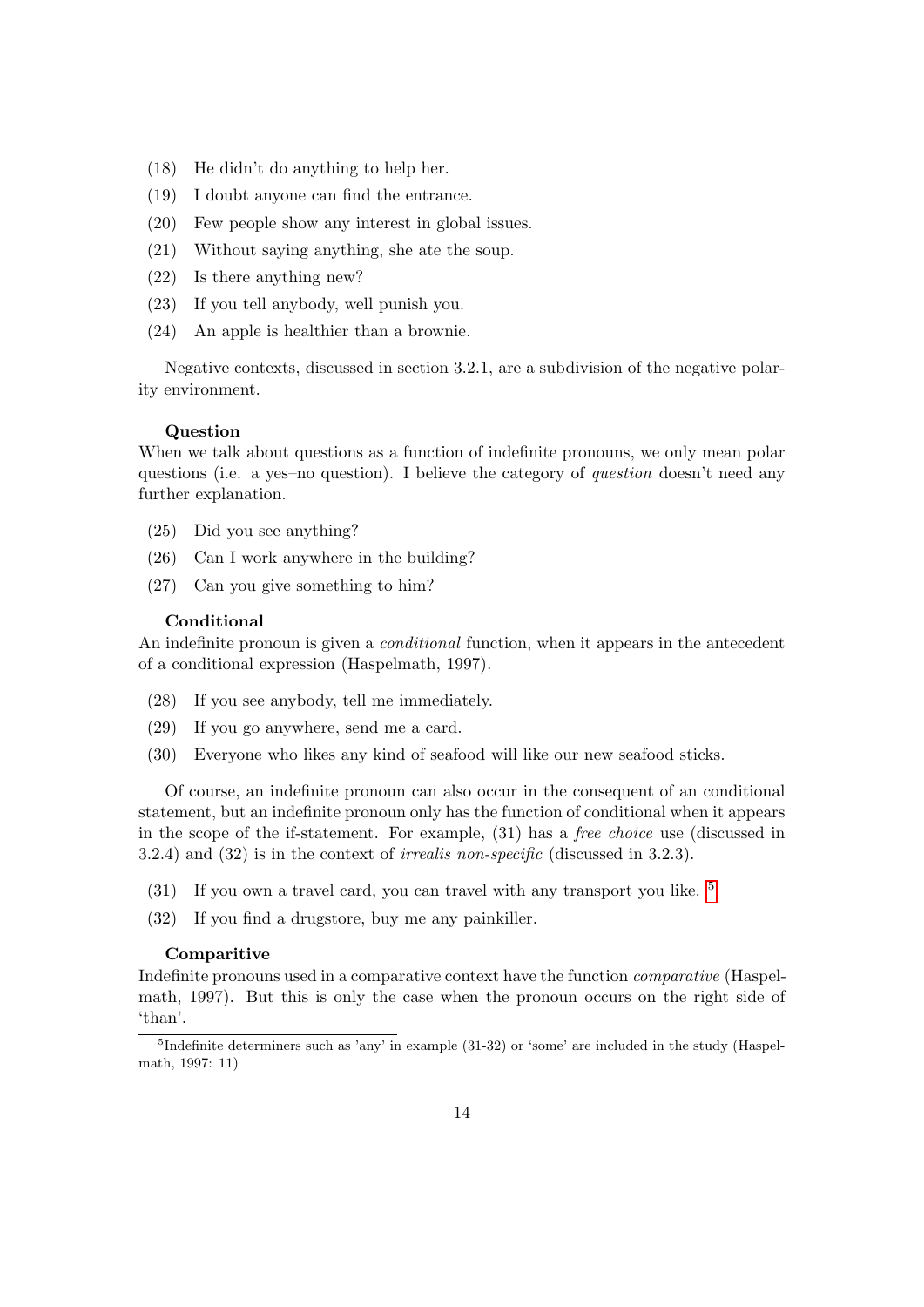- (18) He didn't do anything to help her.
- (19) I doubt anyone can find the entrance.
- (20) Few people show any interest in global issues.
- (21) Without saying anything, she ate the soup.
- (22) Is there anything new?
- (23) If you tell anybody, well punish you.
- (24) An apple is healthier than a brownie.

Negative contexts, discussed in section 3.2.1, are a subdivision of the negative polarity environment.

#### Question

When we talk about questions as a function of indefinite pronouns, we only mean polar questions (i.e. a yes–no question). I believe the category of question doesn't need any further explanation.

- (25) Did you see anything?
- (26) Can I work anywhere in the building?
- (27) Can you give something to him?

#### Conditional

An indefinite pronoun is given a *conditional* function, when it appears in the antecedent of a conditional expression (Haspelmath, 1997).

- (28) If you see anybody, tell me immediately.
- (29) If you go anywhere, send me a card.
- (30) Everyone who likes any kind of seafood will like our new seafood sticks.

Of course, an indefinite pronoun can also occur in the consequent of an conditional statement, but an indefinite pronoun only has the function of conditional when it appears in the scope of the if-statement. For example, (31) has a free choice use (discussed in 3.2.4) and (32) is in the context of irrealis non-specific (discussed in 3.2.3).

- (31) If you own a travel card, you can travel with any transport you like. [5](#page-14-0)
- (32) If you find a drugstore, buy me any painkiller.

#### Comparitive

Indefinite pronouns used in a comparative context have the function comparative (Haspelmath, 1997). But this is only the case when the pronoun occurs on the right side of 'than'.

<span id="page-14-0"></span><sup>&</sup>lt;sup>5</sup>Indefinite determiners such as 'any' in example (31-32) or 'some' are included in the study (Haspelmath, 1997: 11)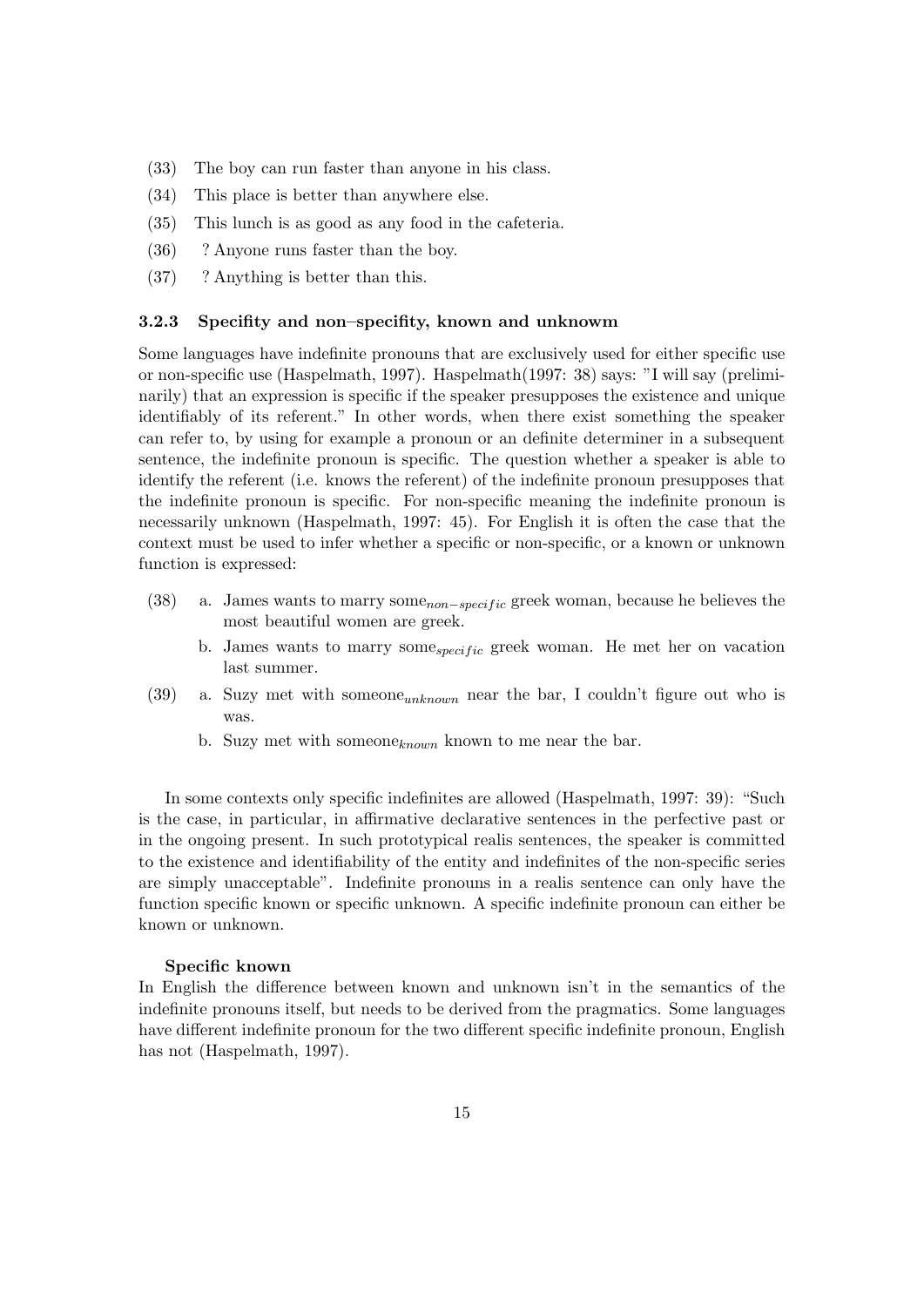- (33) The boy can run faster than anyone in his class.
- (34) This place is better than anywhere else.
- (35) This lunch is as good as any food in the cafeteria.
- (36) ? Anyone runs faster than the boy.
- (37) ? Anything is better than this.

#### <span id="page-15-0"></span>3.2.3 Specifity and non–specifity, known and unknowm

Some languages have indefinite pronouns that are exclusively used for either specific use or non-specific use (Haspelmath, 1997). Haspelmath(1997: 38) says: "I will say (preliminarily) that an expression is specific if the speaker presupposes the existence and unique identifiably of its referent." In other words, when there exist something the speaker can refer to, by using for example a pronoun or an definite determiner in a subsequent sentence, the indefinite pronoun is specific. The question whether a speaker is able to identify the referent (i.e. knows the referent) of the indefinite pronoun presupposes that the indefinite pronoun is specific. For non-specific meaning the indefinite pronoun is necessarily unknown (Haspelmath, 1997: 45). For English it is often the case that the context must be used to infer whether a specific or non-specific, or a known or unknown function is expressed:

- (38) a. James wants to marry some<sub>non–specific</sub> greek woman, because he believes the most beautiful women are greek.
	- b. James wants to marry some<sub>specific</sub> greek woman. He met her on vacation last summer.
- (39) a. Suzy met with some one  $\mu_{\text{unknown}}$  near the bar, I couldn't figure out who is was.
	- b. Suzy met with someone<sub>known</sub> known to me near the bar.

In some contexts only specific indefinites are allowed (Haspelmath, 1997: 39): "Such is the case, in particular, in affirmative declarative sentences in the perfective past or in the ongoing present. In such prototypical realis sentences, the speaker is committed to the existence and identifiability of the entity and indefinites of the non-specific series are simply unacceptable". Indefinite pronouns in a realis sentence can only have the function specific known or specific unknown. A specific indefinite pronoun can either be known or unknown.

#### Specific known

In English the difference between known and unknown isn't in the semantics of the indefinite pronouns itself, but needs to be derived from the pragmatics. Some languages have different indefinite pronoun for the two different specific indefinite pronoun, English has not (Haspelmath, 1997).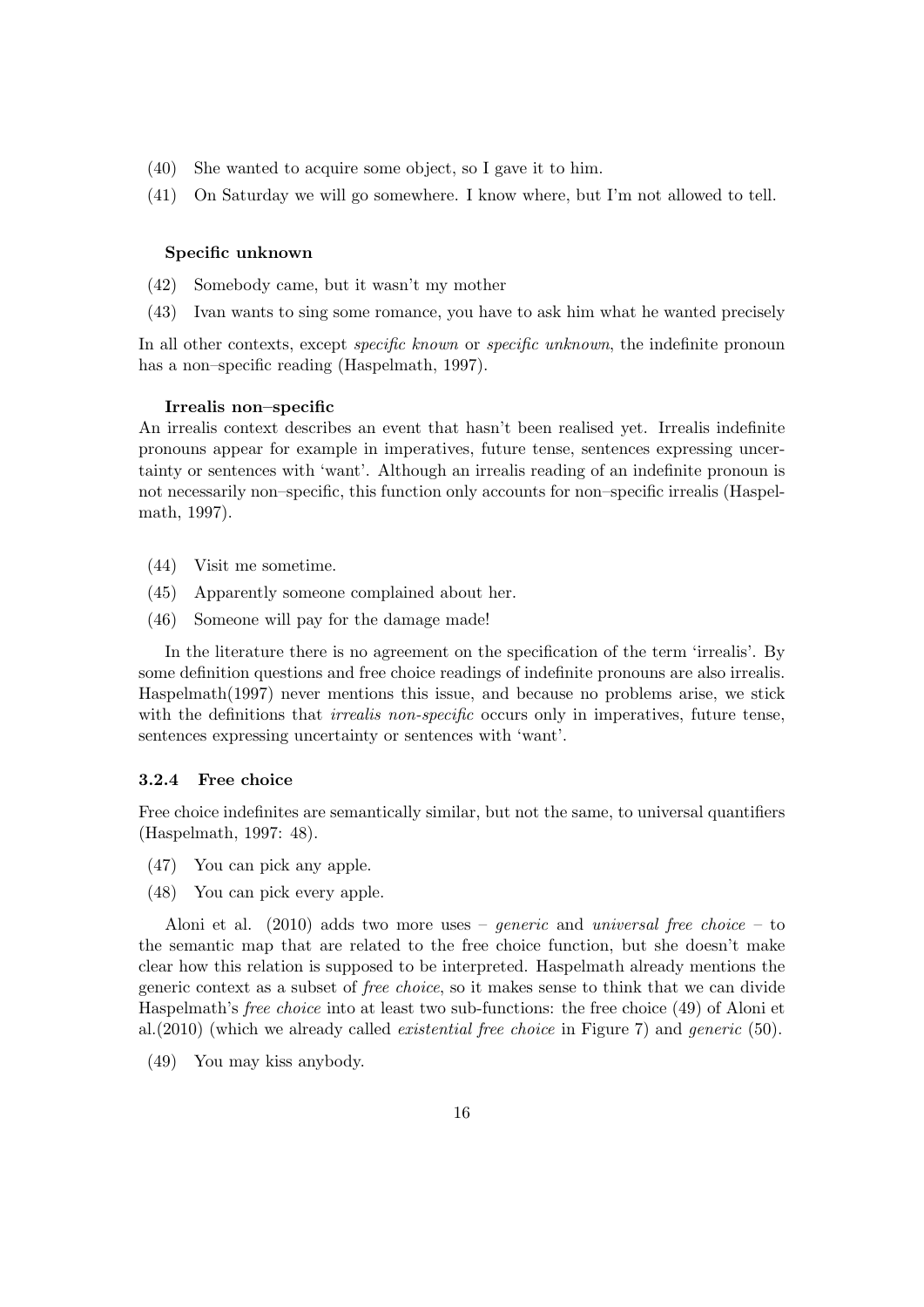- (40) She wanted to acquire some object, so I gave it to him.
- (41) On Saturday we will go somewhere. I know where, but I'm not allowed to tell.

#### Specific unknown

- (42) Somebody came, but it wasn't my mother
- (43) Ivan wants to sing some romance, you have to ask him what he wanted precisely

In all other contexts, except *specific known* or *specific unknown*, the indefinite pronoun has a non–specific reading (Haspelmath, 1997).

#### Irrealis non–specific

An irrealis context describes an event that hasn't been realised yet. Irrealis indefinite pronouns appear for example in imperatives, future tense, sentences expressing uncertainty or sentences with 'want'. Although an irrealis reading of an indefinite pronoun is not necessarily non–specific, this function only accounts for non–specific irrealis (Haspelmath, 1997).

- (44) Visit me sometime.
- (45) Apparently someone complained about her.
- (46) Someone will pay for the damage made!

In the literature there is no agreement on the specification of the term 'irrealis'. By some definition questions and free choice readings of indefinite pronouns are also irrealis. Haspelmath(1997) never mentions this issue, and because no problems arise, we stick with the definitions that *irrealis non-specific* occurs only in imperatives, future tense, sentences expressing uncertainty or sentences with 'want'.

#### <span id="page-16-0"></span>3.2.4 Free choice

Free choice indefinites are semantically similar, but not the same, to universal quantifiers (Haspelmath, 1997: 48).

- (47) You can pick any apple.
- (48) You can pick every apple.

Aloni et al.  $(2010)$  adds two more uses – *generic* and *universal free choice* – to the semantic map that are related to the free choice function, but she doesn't make clear how this relation is supposed to be interpreted. Haspelmath already mentions the generic context as a subset of free choice, so it makes sense to think that we can divide Haspelmath's free choice into at least two sub-functions: the free choice (49) of Aloni et al.(2010) (which we already called *existential free choice* in Figure 7) and *generic* (50).

(49) You may kiss anybody.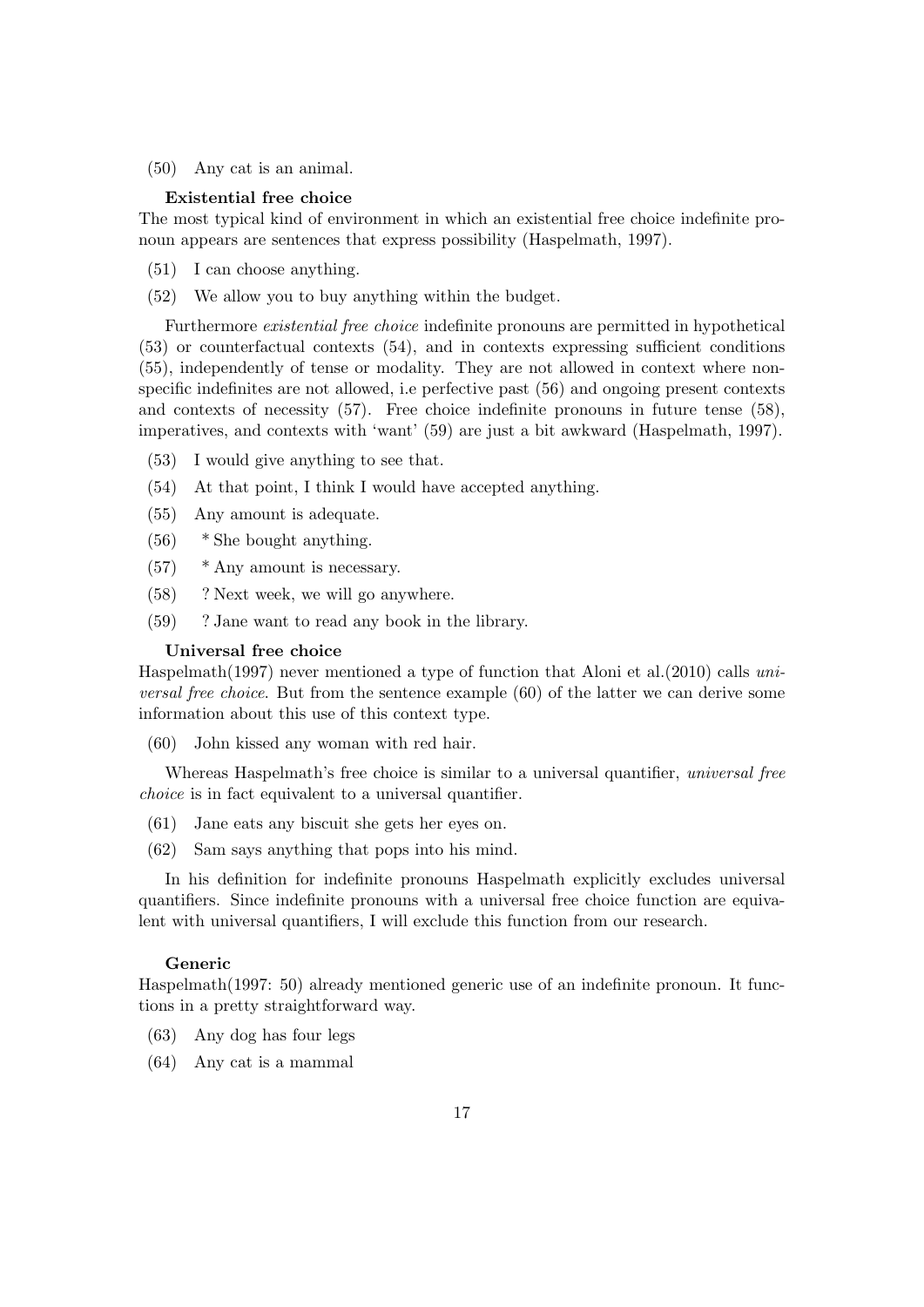(50) Any cat is an animal.

#### Existential free choice

The most typical kind of environment in which an existential free choice indefinite pronoun appears are sentences that express possibility (Haspelmath, 1997).

- (51) I can choose anything.
- (52) We allow you to buy anything within the budget.

Furthermore existential free choice indefinite pronouns are permitted in hypothetical (53) or counterfactual contexts (54), and in contexts expressing sufficient conditions (55), independently of tense or modality. They are not allowed in context where nonspecific indefinites are not allowed, i.e perfective past (56) and ongoing present contexts and contexts of necessity (57). Free choice indefinite pronouns in future tense (58), imperatives, and contexts with 'want' (59) are just a bit awkward (Haspelmath, 1997).

- (53) I would give anything to see that.
- (54) At that point, I think I would have accepted anything.
- (55) Any amount is adequate.
- (56) \* She bought anything.
- (57) \* Any amount is necessary.
- (58) ? Next week, we will go anywhere.
- (59) ? Jane want to read any book in the library.

#### Universal free choice

Haspelmath(1997) never mentioned a type of function that Aloni et al.(2010) calls universal free choice. But from the sentence example (60) of the latter we can derive some information about this use of this context type.

(60) John kissed any woman with red hair.

Whereas Haspelmath's free choice is similar to a universal quantifier, *universal free* choice is in fact equivalent to a universal quantifier.

- (61) Jane eats any biscuit she gets her eyes on.
- (62) Sam says anything that pops into his mind.

In his definition for indefinite pronouns Haspelmath explicitly excludes universal quantifiers. Since indefinite pronouns with a universal free choice function are equivalent with universal quantifiers, I will exclude this function from our research.

#### Generic

Haspelmath(1997: 50) already mentioned generic use of an indefinite pronoun. It functions in a pretty straightforward way.

- (63) Any dog has four legs
- (64) Any cat is a mammal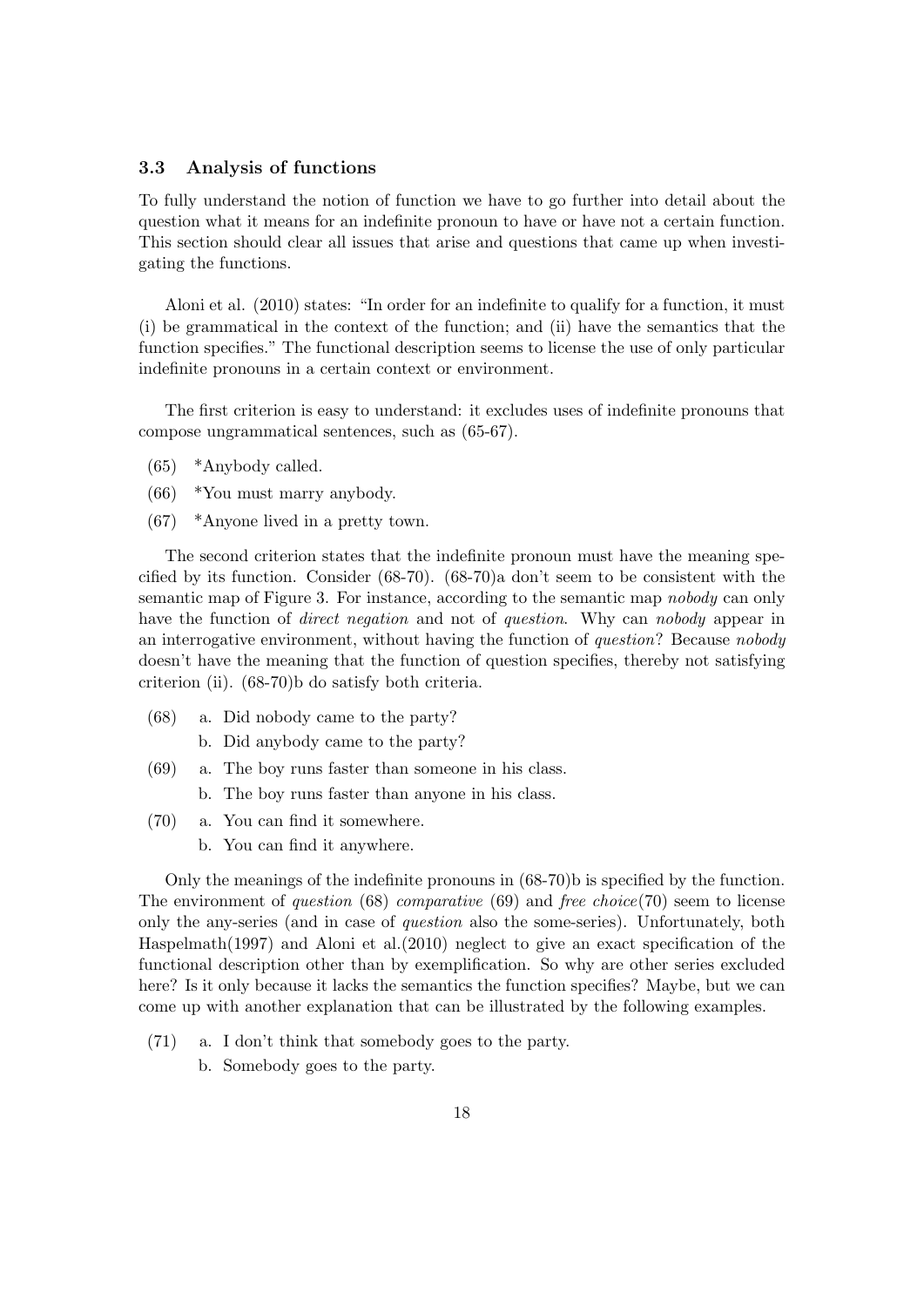## <span id="page-18-0"></span>3.3 Analysis of functions

To fully understand the notion of function we have to go further into detail about the question what it means for an indefinite pronoun to have or have not a certain function. This section should clear all issues that arise and questions that came up when investigating the functions.

Aloni et al. (2010) states: "In order for an indefinite to qualify for a function, it must (i) be grammatical in the context of the function; and (ii) have the semantics that the function specifies." The functional description seems to license the use of only particular indefinite pronouns in a certain context or environment.

The first criterion is easy to understand: it excludes uses of indefinite pronouns that compose ungrammatical sentences, such as (65-67).

- (65) \*Anybody called.
- (66) \*You must marry anybody.
- (67) \*Anyone lived in a pretty town.

The second criterion states that the indefinite pronoun must have the meaning specified by its function. Consider (68-70). (68-70)a don't seem to be consistent with the semantic map of Figure 3. For instance, according to the semantic map nobody can only have the function of *direct negation* and not of *question*. Why can *nobody* appear in an interrogative environment, without having the function of question? Because nobody doesn't have the meaning that the function of question specifies, thereby not satisfying criterion (ii). (68-70)b do satisfy both criteria.

- (68) a. Did nobody came to the party?
	- b. Did anybody came to the party?
- (69) a. The boy runs faster than someone in his class.
	- b. The boy runs faster than anyone in his class.
- (70) a. You can find it somewhere.
	- b. You can find it anywhere.

Only the meanings of the indefinite pronouns in (68-70)b is specified by the function. The environment of question  $(68)$  comparative  $(69)$  and free choice(70) seem to license only the any-series (and in case of question also the some-series). Unfortunately, both Haspelmath(1997) and Aloni et al.(2010) neglect to give an exact specification of the functional description other than by exemplification. So why are other series excluded here? Is it only because it lacks the semantics the function specifies? Maybe, but we can come up with another explanation that can be illustrated by the following examples.

- (71) a. I don't think that somebody goes to the party.
	- b. Somebody goes to the party.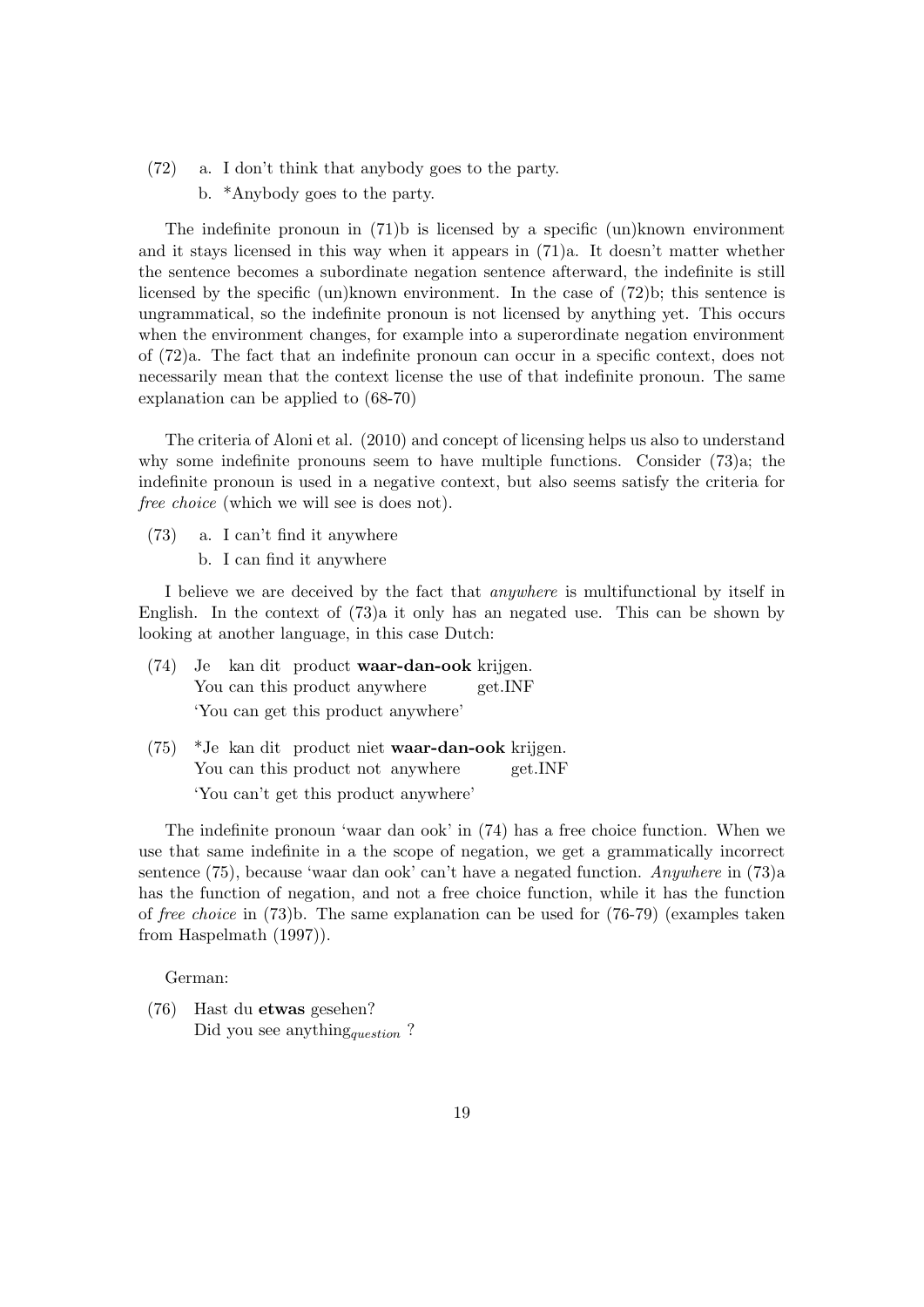- (72) a. I don't think that anybody goes to the party.
	- b. \*Anybody goes to the party.

The indefinite pronoun in  $(71)$ b is licensed by a specific  $(un)$ known environment and it stays licensed in this way when it appears in (71)a. It doesn't matter whether the sentence becomes a subordinate negation sentence afterward, the indefinite is still licensed by the specific (un)known environment. In the case of (72)b; this sentence is ungrammatical, so the indefinite pronoun is not licensed by anything yet. This occurs when the environment changes, for example into a superordinate negation environment of (72)a. The fact that an indefinite pronoun can occur in a specific context, does not necessarily mean that the context license the use of that indefinite pronoun. The same explanation can be applied to (68-70)

The criteria of Aloni et al. (2010) and concept of licensing helps us also to understand why some indefinite pronouns seem to have multiple functions. Consider (73)a; the indefinite pronoun is used in a negative context, but also seems satisfy the criteria for free choice (which we will see is does not).

- (73) a. I can't find it anywhere
	- b. I can find it anywhere

I believe we are deceived by the fact that anywhere is multifunctional by itself in English. In the context of (73)a it only has an negated use. This can be shown by looking at another language, in this case Dutch:

- (74) Je kan dit product waar-dan-ook krijgen. You can this product anywhere get.INF 'You can get this product anywhere'
- $(75)$ You can this product not anywhere kan dit product niet waar-dan-ook krijgen. get.INF 'You can't get this product anywhere'

The indefinite pronoun 'waar dan ook' in (74) has a free choice function. When we use that same indefinite in a the scope of negation, we get a grammatically incorrect sentence (75), because 'waar dan ook' can't have a negated function. Anywhere in (73)a has the function of negation, and not a free choice function, while it has the function of free choice in (73)b. The same explanation can be used for (76-79) (examples taken from Haspelmath (1997)).

German:

(76) Hast du etwas gesehen? Did you see anything<sub>question</sub>?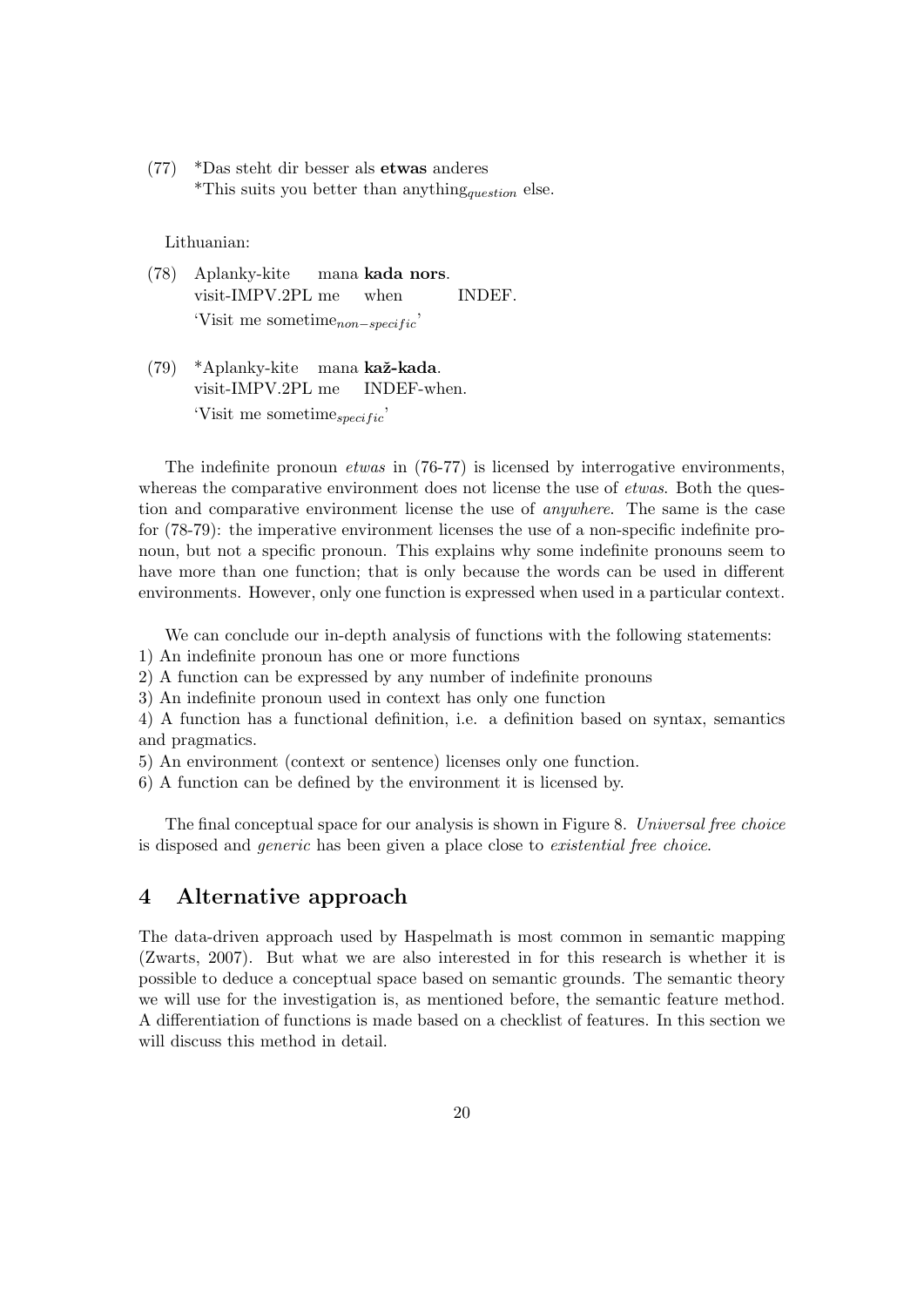(77) \*Das steht dir besser als etwas anderes \*This suits you better than anything<sub>question</sub> else.

Lithuanian:

- (78) Aplanky-kite visit-IMPV.2PL me mana kada nors. when **INDEF**.  $'Visit$  me sometime<sub>non−specific</sub>
- (79) \*Aplanky-kite mana kaž-kada. visit-IMPV.2PL me INDEF-when. 'Visit me sometime $_{specific}$ '

The indefinite pronoun etwas in (76-77) is licensed by interrogative environments, whereas the comparative environment does not license the use of *etwas*. Both the question and comparative environment license the use of anywhere. The same is the case for (78-79): the imperative environment licenses the use of a non-specific indefinite pronoun, but not a specific pronoun. This explains why some indefinite pronouns seem to have more than one function; that is only because the words can be used in different environments. However, only one function is expressed when used in a particular context.

We can conclude our in-depth analysis of functions with the following statements:

1) An indefinite pronoun has one or more functions

2) A function can be expressed by any number of indefinite pronouns

3) An indefinite pronoun used in context has only one function

4) A function has a functional definition, i.e. a definition based on syntax, semantics and pragmatics.

5) An environment (context or sentence) licenses only one function.

6) A function can be defined by the environment it is licensed by.

The final conceptual space for our analysis is shown in Figure 8. Universal free choice is disposed and generic has been given a place close to existential free choice.

## <span id="page-20-0"></span>4 Alternative approach

The data-driven approach used by Haspelmath is most common in semantic mapping (Zwarts, 2007). But what we are also interested in for this research is whether it is possible to deduce a conceptual space based on semantic grounds. The semantic theory we will use for the investigation is, as mentioned before, the semantic feature method. A differentiation of functions is made based on a checklist of features. In this section we will discuss this method in detail.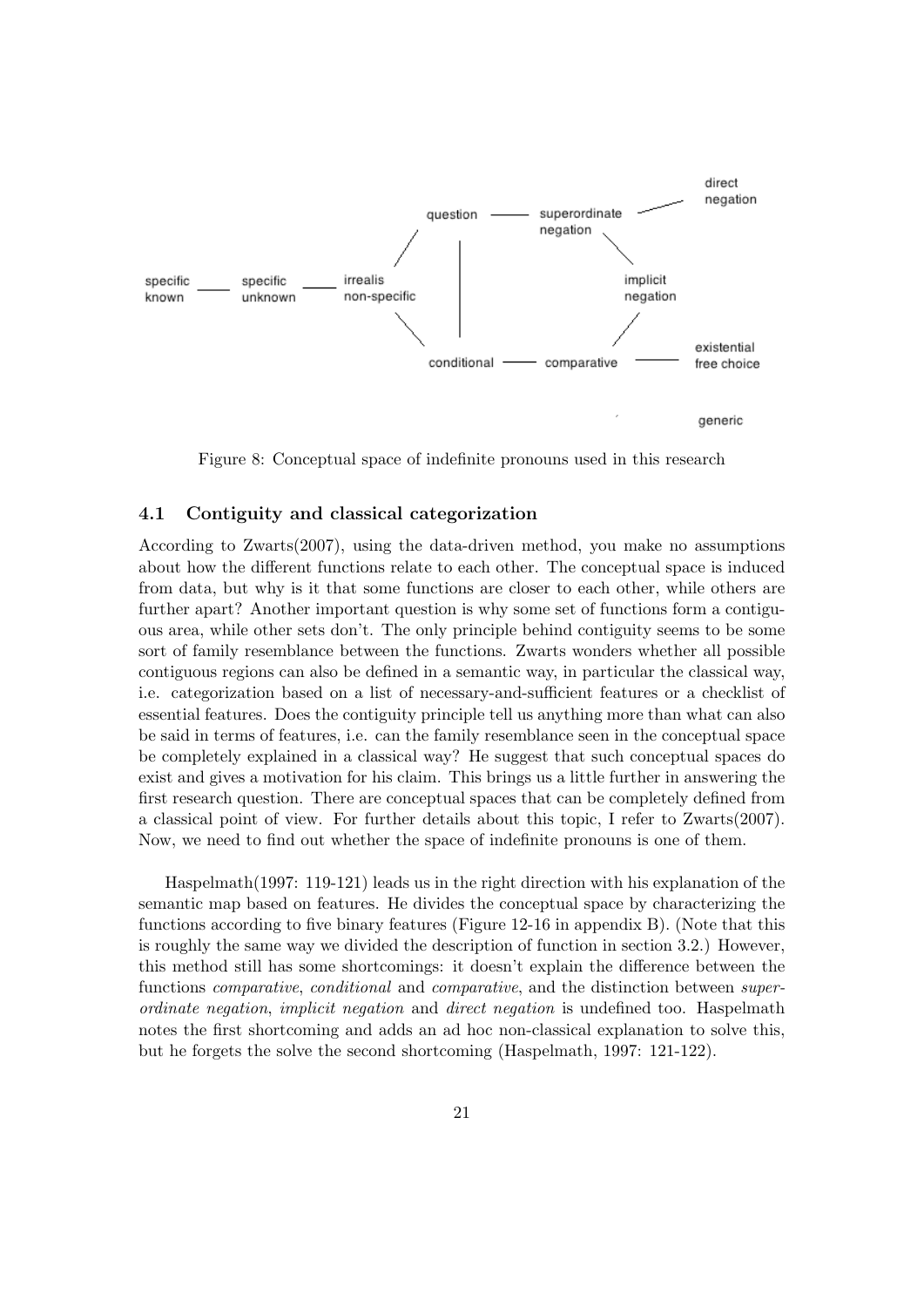

Figure 8: Conceptual space of indefinite pronouns used in this research

#### <span id="page-21-0"></span>4.1 Contiguity and classical categorization

According to Zwarts(2007), using the data-driven method, you make no assumptions about how the different functions relate to each other. The conceptual space is induced from data, but why is it that some functions are closer to each other, while others are further apart? Another important question is why some set of functions form a contiguous area, while other sets don't. The only principle behind contiguity seems to be some sort of family resemblance between the functions. Zwarts wonders whether all possible contiguous regions can also be defined in a semantic way, in particular the classical way, i.e. categorization based on a list of necessary-and-sufficient features or a checklist of essential features. Does the contiguity principle tell us anything more than what can also be said in terms of features, i.e. can the family resemblance seen in the conceptual space be completely explained in a classical way? He suggest that such conceptual spaces do exist and gives a motivation for his claim. This brings us a little further in answering the first research question. There are conceptual spaces that can be completely defined from a classical point of view. For further details about this topic, I refer to Zwarts(2007). Now, we need to find out whether the space of indefinite pronouns is one of them.

Haspelmath(1997: 119-121) leads us in the right direction with his explanation of the semantic map based on features. He divides the conceptual space by characterizing the functions according to five binary features (Figure 12-16 in appendix B). (Note that this is roughly the same way we divided the description of function in section 3.2.) However, this method still has some shortcomings: it doesn't explain the difference between the functions *comparative*, *conditional* and *comparative*, and the distinction between *super*ordinate negation, implicit negation and direct negation is undefined too. Haspelmath notes the first shortcoming and adds an ad hoc non-classical explanation to solve this, but he forgets the solve the second shortcoming (Haspelmath, 1997: 121-122).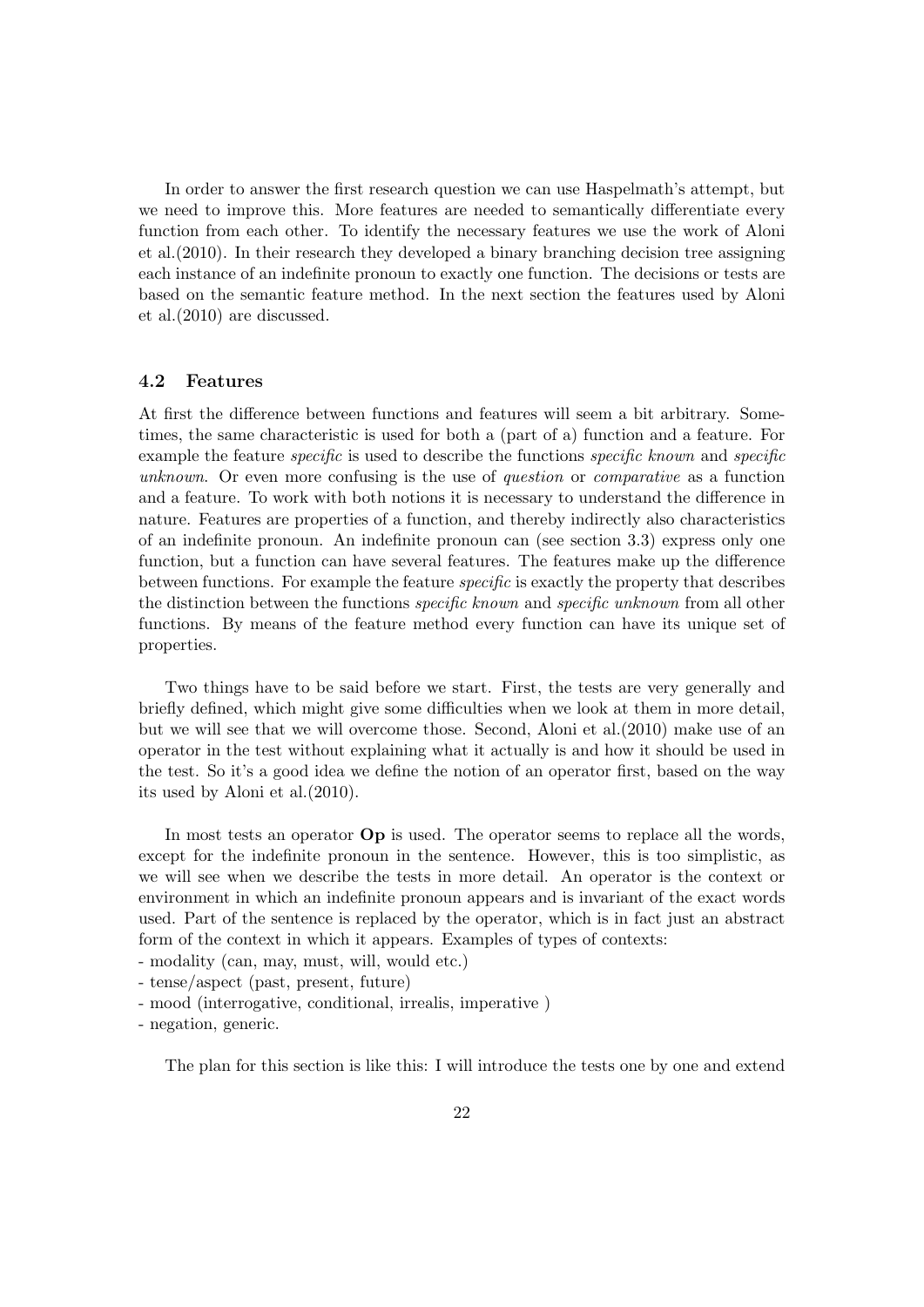In order to answer the first research question we can use Haspelmath's attempt, but we need to improve this. More features are needed to semantically differentiate every function from each other. To identify the necessary features we use the work of Aloni et al.(2010). In their research they developed a binary branching decision tree assigning each instance of an indefinite pronoun to exactly one function. The decisions or tests are based on the semantic feature method. In the next section the features used by Aloni et al.(2010) are discussed.

## <span id="page-22-0"></span>4.2 Features

At first the difference between functions and features will seem a bit arbitrary. Sometimes, the same characteristic is used for both a (part of a) function and a feature. For example the feature *specific* is used to describe the functions *specific known* and *specific* unknown. Or even more confusing is the use of question or comparative as a function and a feature. To work with both notions it is necessary to understand the difference in nature. Features are properties of a function, and thereby indirectly also characteristics of an indefinite pronoun. An indefinite pronoun can (see section 3.3) express only one function, but a function can have several features. The features make up the difference between functions. For example the feature specific is exactly the property that describes the distinction between the functions *specific known* and *specific unknown* from all other functions. By means of the feature method every function can have its unique set of properties.

Two things have to be said before we start. First, the tests are very generally and briefly defined, which might give some difficulties when we look at them in more detail, but we will see that we will overcome those. Second, Aloni et al.(2010) make use of an operator in the test without explaining what it actually is and how it should be used in the test. So it's a good idea we define the notion of an operator first, based on the way its used by Aloni et al.(2010).

In most tests an operator **Op** is used. The operator seems to replace all the words, except for the indefinite pronoun in the sentence. However, this is too simplistic, as we will see when we describe the tests in more detail. An operator is the context or environment in which an indefinite pronoun appears and is invariant of the exact words used. Part of the sentence is replaced by the operator, which is in fact just an abstract form of the context in which it appears. Examples of types of contexts:

- modality (can, may, must, will, would etc.)
- tense/aspect (past, present, future)
- mood (interrogative, conditional, irrealis, imperative )
- negation, generic.

The plan for this section is like this: I will introduce the tests one by one and extend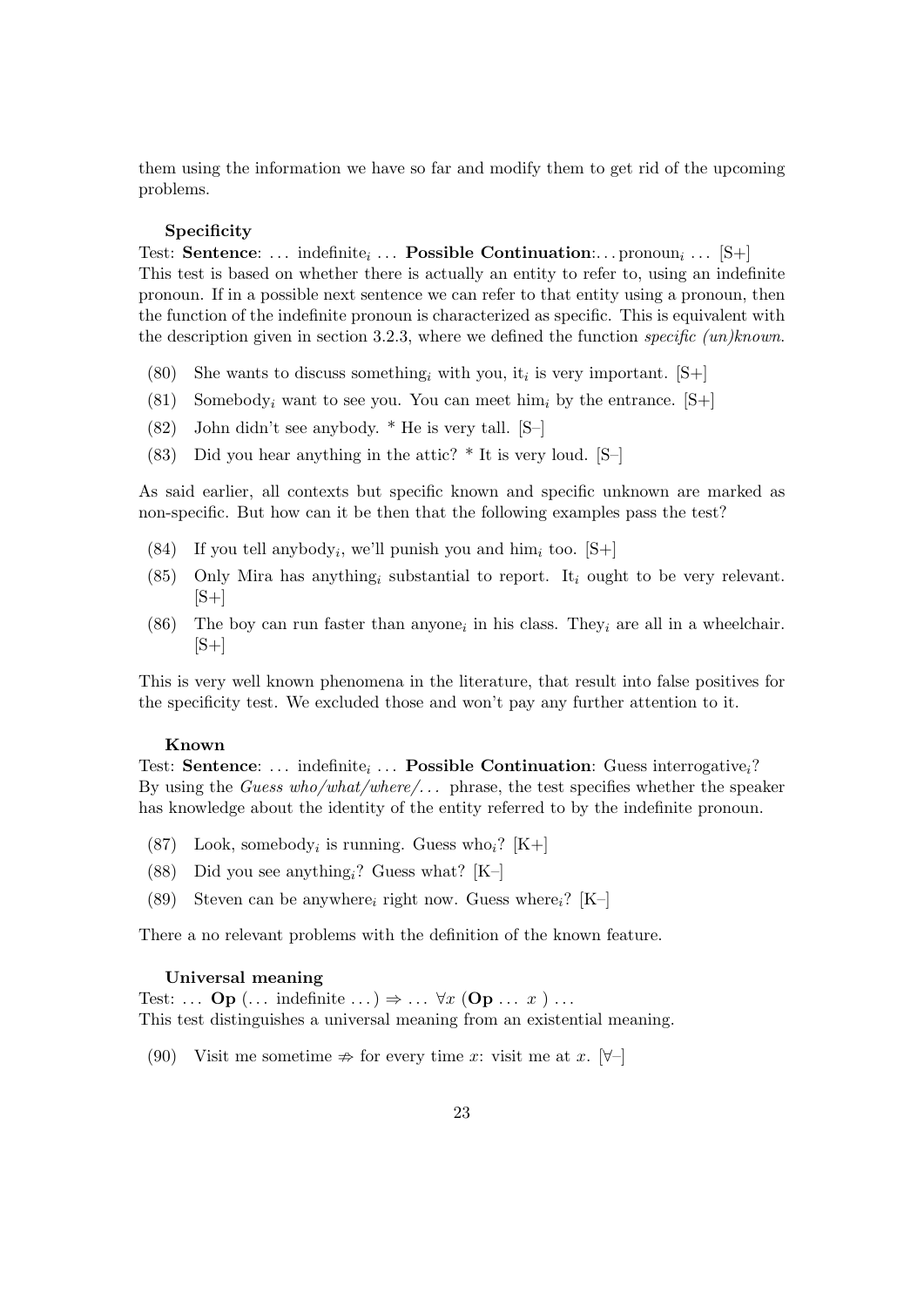them using the information we have so far and modify them to get rid of the upcoming problems.

#### Specificity

Test: Sentence: ... indefinite<sub>i</sub> ... **Possible Continuation**:... pronoun<sub>i</sub> ... [S+] This test is based on whether there is actually an entity to refer to, using an indefinite pronoun. If in a possible next sentence we can refer to that entity using a pronoun, then the function of the indefinite pronoun is characterized as specific. This is equivalent with the description given in section 3.2.3, where we defined the function specific (un)known.

- (80) She wants to discuss something, with you, it, is very important.  $[S+]$
- (81) Somebody<sub>i</sub> want to see you. You can meet him<sub>i</sub> by the entrance.  $[S+]$
- (82) John didn't see anybody. \* He is very tall. [S–]
- (83) Did you hear anything in the attic?  $*$  It is very loud. [S–]

As said earlier, all contexts but specific known and specific unknown are marked as non-specific. But how can it be then that the following examples pass the test?

- (84) If you tell anybody<sub>i</sub>, we'll punish you and him<sub>i</sub> too. [S+]
- (85) Only Mira has anything<sub>i</sub> substantial to report. It<sub>i</sub> ought to be very relevant.  $[S+]$
- (86) The boy can run faster than anyone<sub>i</sub> in his class. They<sub>i</sub> are all in a wheelchair.  $|S+|$

This is very well known phenomena in the literature, that result into false positives for the specificity test. We excluded those and won't pay any further attention to it.

#### Known

Test: **Sentence**: ... indefinite<sub>i</sub> ... **Possible Continuation**: Guess interrogative<sub>i</sub>? By using the Guess who/what/where/... phrase, the test specifies whether the speaker has knowledge about the identity of the entity referred to by the indefinite pronoun.

- (87) Look, somebody<sub>i</sub> is running. Guess who<sub>i</sub>? [K+]
- (88) Did you see anything<sub>i</sub>? Guess what?  $[K-]$
- (89) Steven can be anywhere, right now. Guess where,?  $[K-]$

There a no relevant problems with the definition of the known feature.

#### Universal meaning

Test: ...  $\mathbf{Op}$  (... indefinite ...)  $\Rightarrow$  ...  $\forall x$  ( $\mathbf{Op}$  ...  $x$ ) ... This test distinguishes a universal meaning from an existential meaning.

(90) Visit me sometime  $\Rightarrow$  for every time x: visit me at x.  $\forall$ -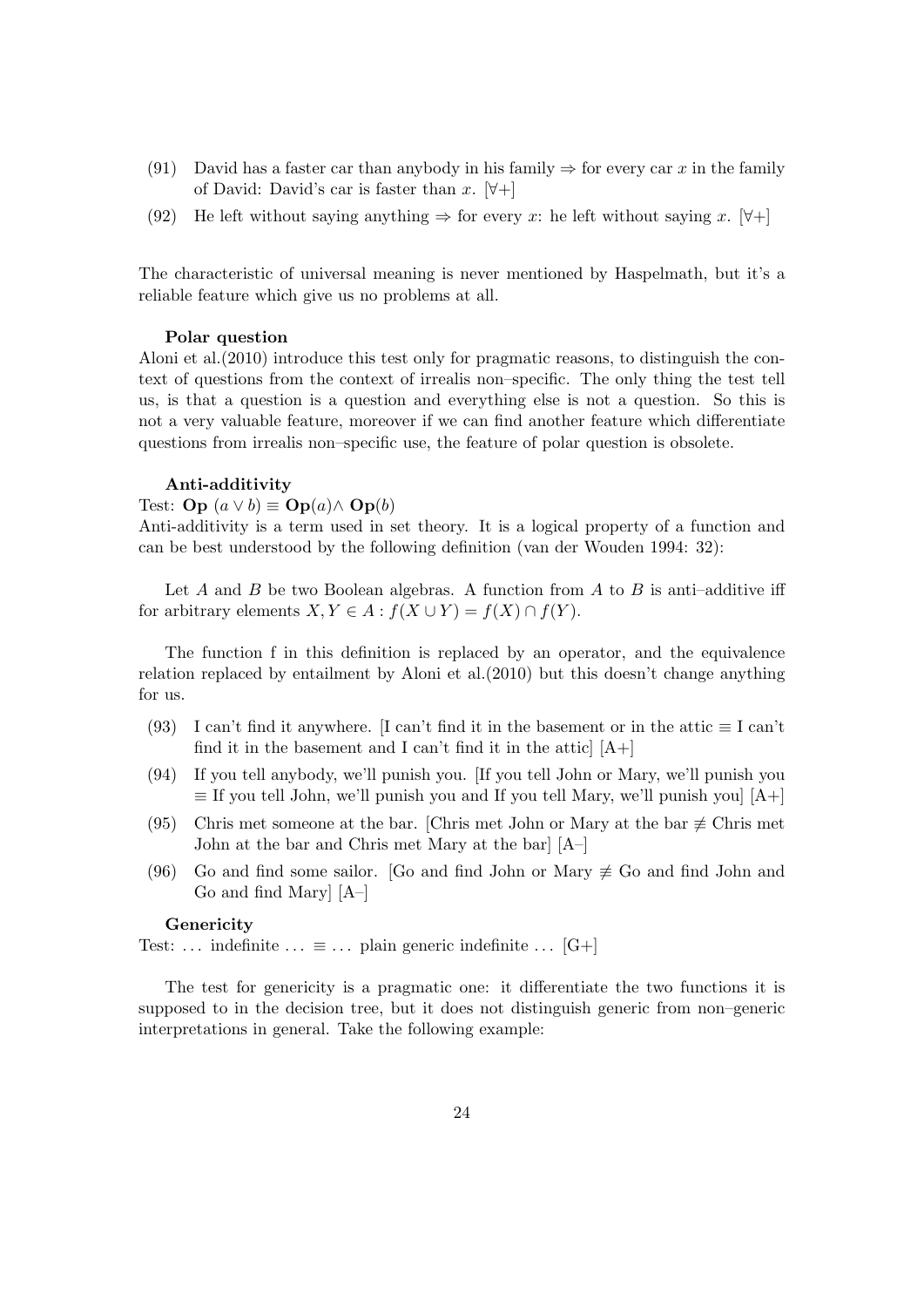- (91) David has a faster car than anybody in his family  $\Rightarrow$  for every car x in the family of David: David's car is faster than x.  $[\forall +]$
- (92) He left without saying anything  $\Rightarrow$  for every x: he left without saying x. [ $\forall$ +]

The characteristic of universal meaning is never mentioned by Haspelmath, but it's a reliable feature which give us no problems at all.

#### Polar question

Aloni et al.(2010) introduce this test only for pragmatic reasons, to distinguish the context of questions from the context of irrealis non–specific. The only thing the test tell us, is that a question is a question and everything else is not a question. So this is not a very valuable feature, moreover if we can find another feature which differentiate questions from irrealis non–specific use, the feature of polar question is obsolete.

#### Anti-additivity

Test: **Op**  $(a \vee b) \equiv$  **Op** $(a) \wedge$  **Op** $(b)$ 

Anti-additivity is a term used in set theory. It is a logical property of a function and can be best understood by the following definition (van der Wouden 1994: 32):

Let A and B be two Boolean algebras. A function from A to B is anti-additive iff for arbitrary elements  $X, Y \in A : f(X \cup Y) = f(X) \cap f(Y)$ .

The function f in this definition is replaced by an operator, and the equivalence relation replaced by entailment by Aloni et al.(2010) but this doesn't change anything for us.

- (93) I can't find it anywhere. [I can't find it in the basement or in the attic  $\equiv$  I can't find it in the basement and I can't find it in the attic  $[A+]$
- (94) If you tell anybody, we'll punish you. [If you tell John or Mary, we'll punish you  $\equiv$  If you tell John, we'll punish you and If you tell Mary, we'll punish you  $[A+]$
- (95) Chris met someone at the bar. [Chris met John or Mary at the bar  $\neq$  Chris met John at the bar and Chris met Mary at the bar] [A–]
- (96) Go and find some sailor. [Go and find John or Mary  $\not\equiv$  Go and find John and Go and find Mary] [A–]

#### **Genericity**

Test: ... indefinite ...  $\equiv$  ... plain generic indefinite ... [G+]

The test for genericity is a pragmatic one: it differentiate the two functions it is supposed to in the decision tree, but it does not distinguish generic from non–generic interpretations in general. Take the following example: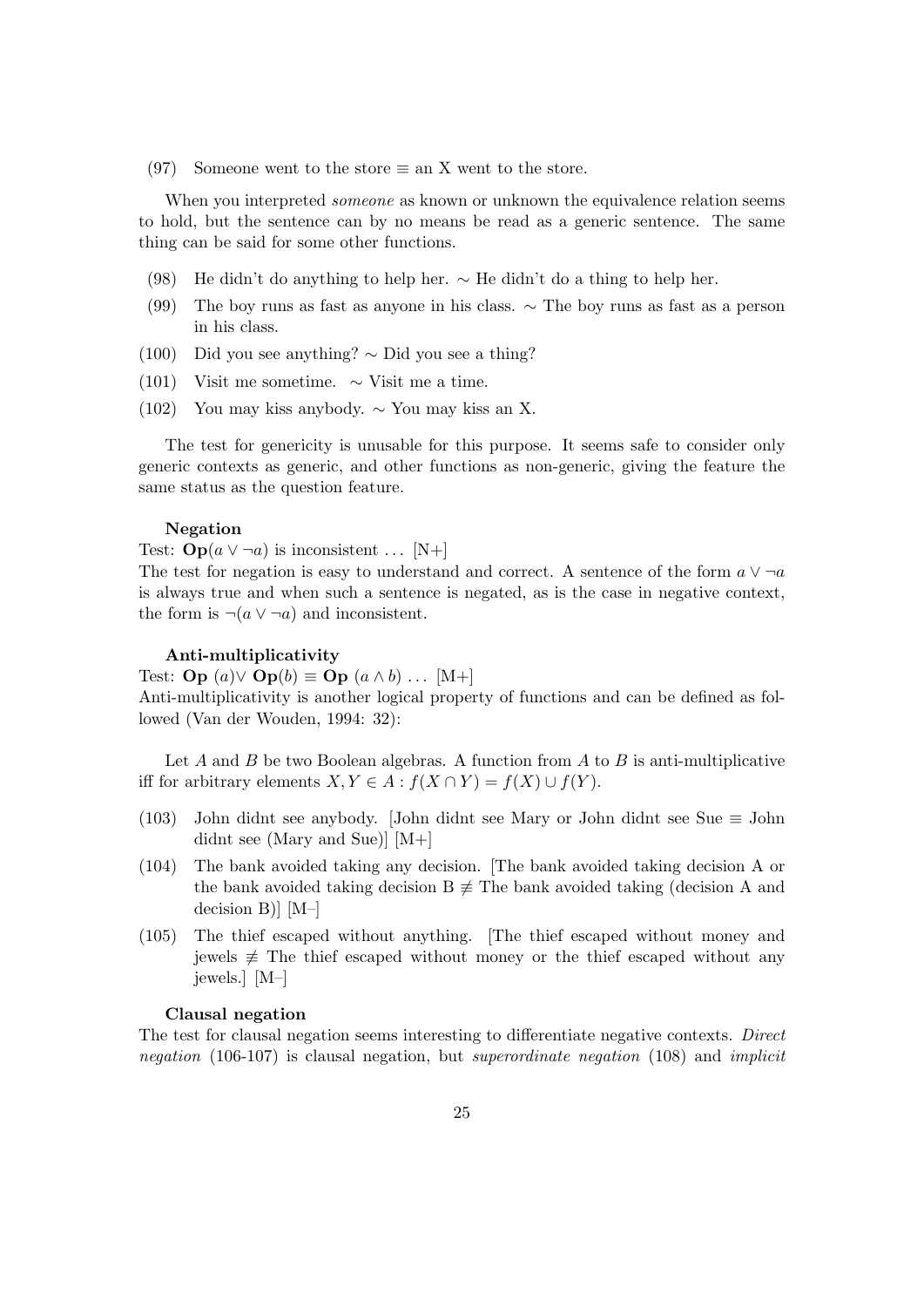(97) Someone went to the store  $\equiv$  an X went to the store.

When you interpreted *someone* as known or unknown the equivalence relation seems to hold, but the sentence can by no means be read as a generic sentence. The same thing can be said for some other functions.

- (98) He didn't do anything to help her. ∼ He didn't do a thing to help her.
- (99) The boy runs as fast as anyone in his class. ∼ The boy runs as fast as a person in his class.
- (100) Did you see anything? ∼ Did you see a thing?
- (101) Visit me sometime.  $\sim$  Visit me a time.
- (102) You may kiss anybody. ∼ You may kiss an X.

The test for genericity is unusable for this purpose. It seems safe to consider only generic contexts as generic, and other functions as non-generic, giving the feature the same status as the question feature.

#### Negation

Test:  $\mathbf{Op}(a \vee \neg a)$  is inconsistent ... [N+]

The test for negation is easy to understand and correct. A sentence of the form  $a \vee \neg a$ is always true and when such a sentence is negated, as is the case in negative context, the form is  $\neg(a \vee \neg a)$  and inconsistent.

#### Anti-multiplicativity

Test: **Op**  $(a) \vee$  **Op** $(b) \equiv$  **Op**  $(a \wedge b)$  ... [M+]

Anti-multiplicativity is another logical property of functions and can be defined as followed (Van der Wouden, 1994: 32):

Let  $A$  and  $B$  be two Boolean algebras. A function from  $A$  to  $B$  is anti-multiplicative iff for arbitrary elements  $X, Y \in A : f(X \cap Y) = f(X) \cup f(Y)$ .

- (103) John didnt see anybody. [John didnt see Mary or John didnt see Sue ≡ John didnt see (Mary and Sue)] [M+]
- (104) The bank avoided taking any decision. [The bank avoided taking decision A or the bank avoided taking decision B  $\neq$  The bank avoided taking (decision A and decision B)] [M–]
- (105) The thief escaped without anything. [The thief escaped without money and jewels  $\neq$  The thief escaped without money or the thief escaped without any jewels.] [M–]

#### Clausal negation

The test for clausal negation seems interesting to differentiate negative contexts. Direct negation (106-107) is clausal negation, but superordinate negation (108) and implicit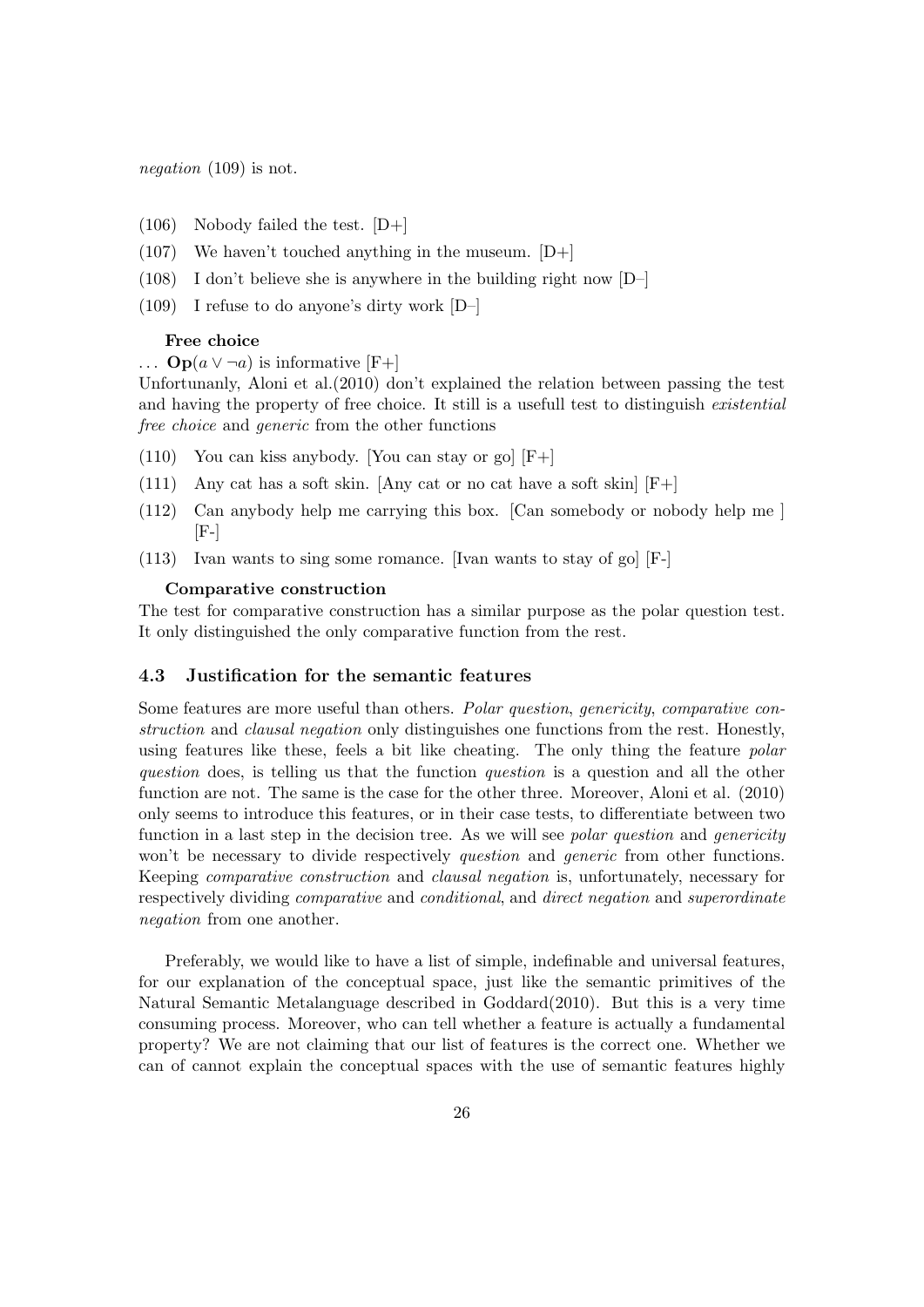negation (109) is not.

- $(106)$  Nobody failed the test.  $[D+]$
- $(107)$  We haven't touched anything in the museum.  $[D+]$
- (108) I don't believe she is anywhere in the building right now [D–]
- (109) I refuse to do anyone's dirty work [D–]

#### Free choice

 $\ldots$  Op( $a \vee \neg a$ ) is informative [F+]

Unfortunanly, Aloni et al.(2010) don't explained the relation between passing the test and having the property of free choice. It still is a usefull test to distinguish *existential* free choice and generic from the other functions

- $(110)$  You can kiss anybody. [You can stay or go]  $[F+]$
- (111) Any cat has a soft skin. [Any cat or no cat have a soft skin]  $[F+]$
- (112) Can anybody help me carrying this box. [Can somebody or nobody help me ]  $[F-]$
- (113) Ivan wants to sing some romance. [Ivan wants to stay of go] [F-]

#### Comparative construction

The test for comparative construction has a similar purpose as the polar question test. It only distinguished the only comparative function from the rest.

### <span id="page-26-0"></span>4.3 Justification for the semantic features

Some features are more useful than others. Polar question, genericity, comparative construction and clausal negation only distinguishes one functions from the rest. Honestly, using features like these, feels a bit like cheating. The only thing the feature *polar* question does, is telling us that the function question is a question and all the other function are not. The same is the case for the other three. Moreover, Aloni et al. (2010) only seems to introduce this features, or in their case tests, to differentiate between two function in a last step in the decision tree. As we will see *polar question* and *genericity* won't be necessary to divide respectively *question* and *generic* from other functions. Keeping comparative construction and clausal negation is, unfortunately, necessary for respectively dividing comparative and conditional, and direct negation and superordinate negation from one another.

Preferably, we would like to have a list of simple, indefinable and universal features, for our explanation of the conceptual space, just like the semantic primitives of the Natural Semantic Metalanguage described in Goddard(2010). But this is a very time consuming process. Moreover, who can tell whether a feature is actually a fundamental property? We are not claiming that our list of features is the correct one. Whether we can of cannot explain the conceptual spaces with the use of semantic features highly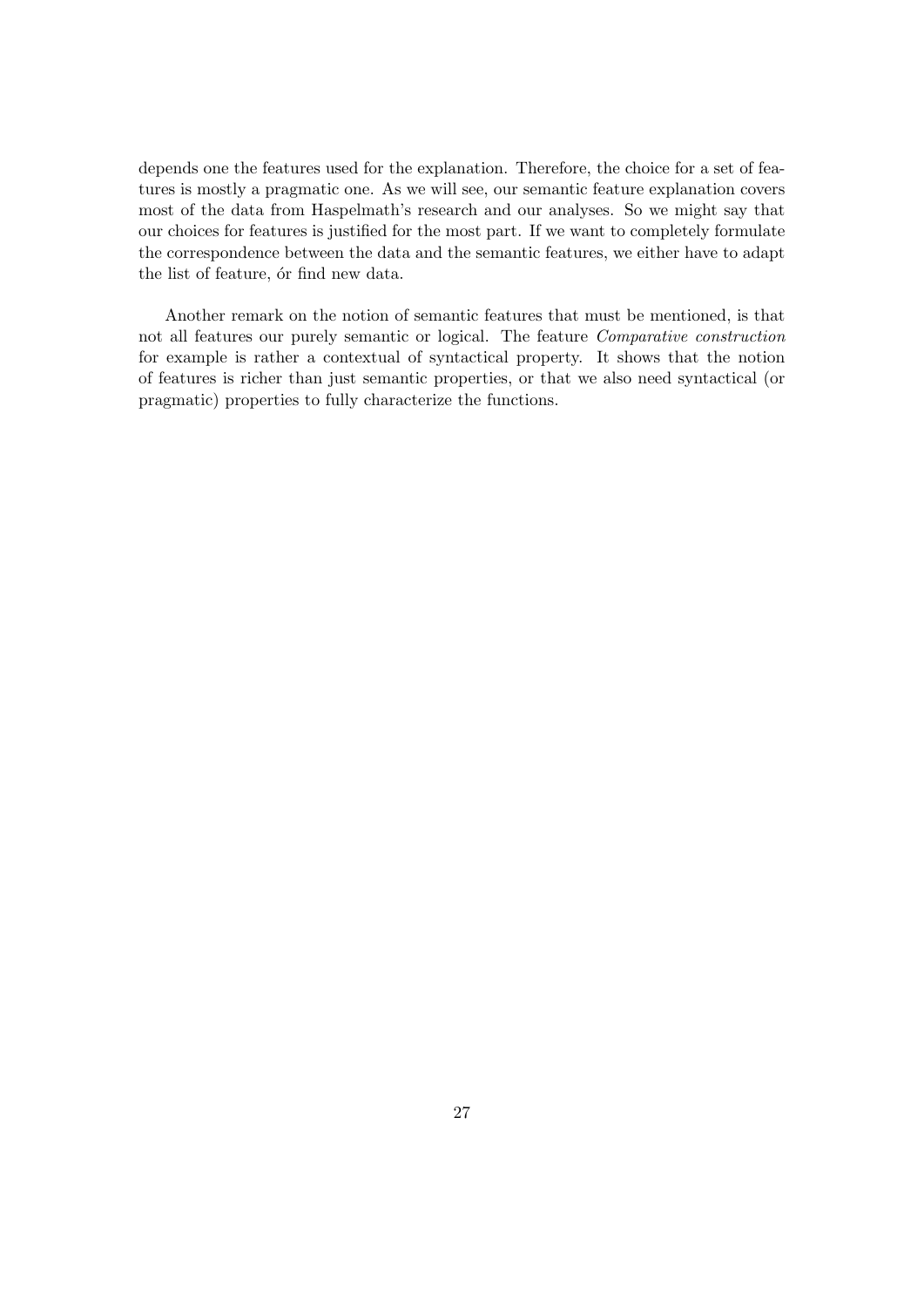depends one the features used for the explanation. Therefore, the choice for a set of features is mostly a pragmatic one. As we will see, our semantic feature explanation covers most of the data from Haspelmath's research and our analyses. So we might say that our choices for features is justified for the most part. If we want to completely formulate the correspondence between the data and the semantic features, we either have to adapt the list of feature, or find new data.

Another remark on the notion of semantic features that must be mentioned, is that not all features our purely semantic or logical. The feature Comparative construction for example is rather a contextual of syntactical property. It shows that the notion of features is richer than just semantic properties, or that we also need syntactical (or pragmatic) properties to fully characterize the functions.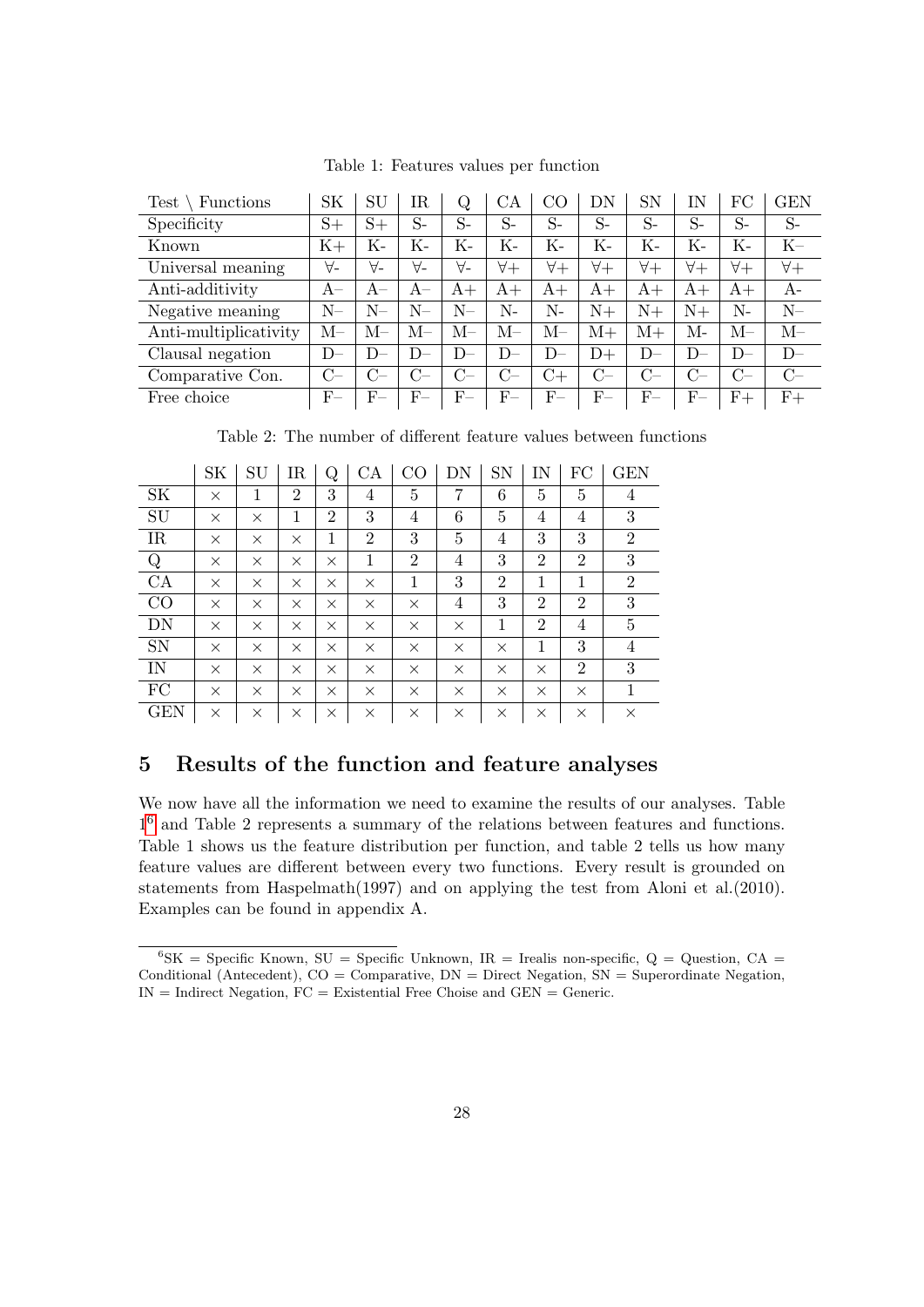| <b>Test</b><br>Functions | <b>SK</b> | SU          | IR.         | Q           | CА          | CO          | DN          | <b>SN</b>   | ΙN           | FC          | <b>GEN</b>  |
|--------------------------|-----------|-------------|-------------|-------------|-------------|-------------|-------------|-------------|--------------|-------------|-------------|
| Specificity              | $S+$      | $S+$        | $S-$        | $S-$        | $S-$        | $S-$        | $S-$        | $S-$        | $S-$         | $S-$        | $S-$        |
| Known                    | $K+$      | Κ-          | Κ-          | Κ-          | Κ-          | Κ-          | Κ-          | Κ-          | K-           | Κ-          | $_{\rm K-}$ |
| Universal meaning        | ∀-        | $\forall$ - | $\forall$ - | $\forall$ - | $\forall +$ | $\forall +$ | $\forall +$ | $\forall +$ | $\forall +$  | $\forall +$ | $\forall +$ |
| Anti-additivity          | $A-$      | $A-$        | $A-$        | $A+$        | $A+$        | $A+$        | $A+$        | $A+$        | $A+$         | $A+$        | A-          |
| Negative meaning         | N–        | N–          | N–          | $N-$        | N-          | N-          | $N+$        | $N+$        | $N+$         | N-          | $N-$        |
| Anti-multiplicativity    | $M-$      | M–          | М–          | М–          | М–          | $M-$        | $M+$        | $M+$        | М-           | $M-$        | $M-$        |
| Clausal negation         | $D-$      | D           | $D-$        | D-          | $D-$        | D-          | $D+$        | $D-$        | D            | $D-$        | $D-$        |
| Comparative Con.         | $C-$      | $C-$        | $C-$        | $C-$        | $C-$        | $C +$       | $C-$        | $C-$        | $C_{\equiv}$ | $C-$        | $C-$        |
| Free choice              | $F-$      | $F-$        | $_{\rm F-}$ | $_{\rm F-}$ | $_{\rm F-}$ | $_{\rm F-}$ | $_{\rm F-}$ | $_{\rm F-}$ | $_{\rm F-}$  | $F+$        | $F+$        |

Table 1: Features values per function

Table 2: The number of different feature values between functions

|            | SK       | $\mathrm{SU}$ | IR             | Q              | CA             | CO             | DN       | SN             | IN             | FC             | <b>GEN</b>     |
|------------|----------|---------------|----------------|----------------|----------------|----------------|----------|----------------|----------------|----------------|----------------|
| <b>SK</b>  | X        | 1             | $\overline{2}$ | 3              | 4              | $\overline{5}$ | 7        | 6              | 5              | 5              | 4              |
| SU         | $\times$ | $\times$      | 1              | $\overline{2}$ | 3              | 4              | 6        | 5              | 4              | 4              | 3              |
| IR         | $\times$ | $\times$      | $\times$       | 1              | $\overline{2}$ | 3              | 5        | 4              | 3              | 3              | $\overline{2}$ |
| $\rm Q$    | $\times$ | $\times$      | $\times$       | $\times$       | 1              | $\overline{2}$ | 4        | 3              | $\overline{2}$ | $\overline{2}$ | 3              |
| CA         | $\times$ | $\times$      | $\times$       | $\times$       | $\times$       | 1              | 3        | $\overline{2}$ | 1              | 1              | $\overline{2}$ |
| CO         | $\times$ | $\times$      | $\times$       | $\times$       | $\times$       | $\times$       | 4        | 3              | $\overline{2}$ | $\overline{2}$ | 3              |
| DN         | $\times$ | $\times$      | $\times$       | $\times$       | $\times$       | $\times$       | $\times$ | 1              | $\overline{2}$ | $\overline{4}$ | $\overline{5}$ |
| <b>SN</b>  | $\times$ | $\times$      | $\times$       | $\times$       | $\times$       | $\times$       | $\times$ | $\times$       | 1              | 3              | 4              |
| IN         | $\times$ | $\times$      | $\times$       | $\times$       | $\times$       | $\times$       | $\times$ | $\times$       | $\times$       | $\overline{2}$ | 3              |
| FC         | $\times$ | $\times$      | $\times$       | $\times$       | $\times$       | $\times$       | $\times$ | $\times$       | $\times$       | $\times$       | 1              |
| <b>GEN</b> | ×        | X             | X              | ×              | $\times$       | X              | $\times$ | $\times$       | $\times$       | X              | $\times$       |

## <span id="page-28-0"></span>5 Results of the function and feature analyses

We now have all the information we need to examine the results of our analyses. Table 1 [6](#page-28-1) and Table 2 represents a summary of the relations between features and functions. Table 1 shows us the feature distribution per function, and table 2 tells us how many feature values are different between every two functions. Every result is grounded on statements from Haspelmath(1997) and on applying the test from Aloni et al.(2010). Examples can be found in appendix A.

<span id="page-28-1"></span> ${}^{6}$ SK = Specific Known, SU = Specific Unknown, IR = Irealis non-specific, Q = Question, CA = Conditional (Antecedent),  $CO =$  Comparative,  $DN =$  Direct Negation,  $SN =$  Superordinate Negation,  $IN = Indirect Negation, FC = Existential Free Choice and GEN = Generic.$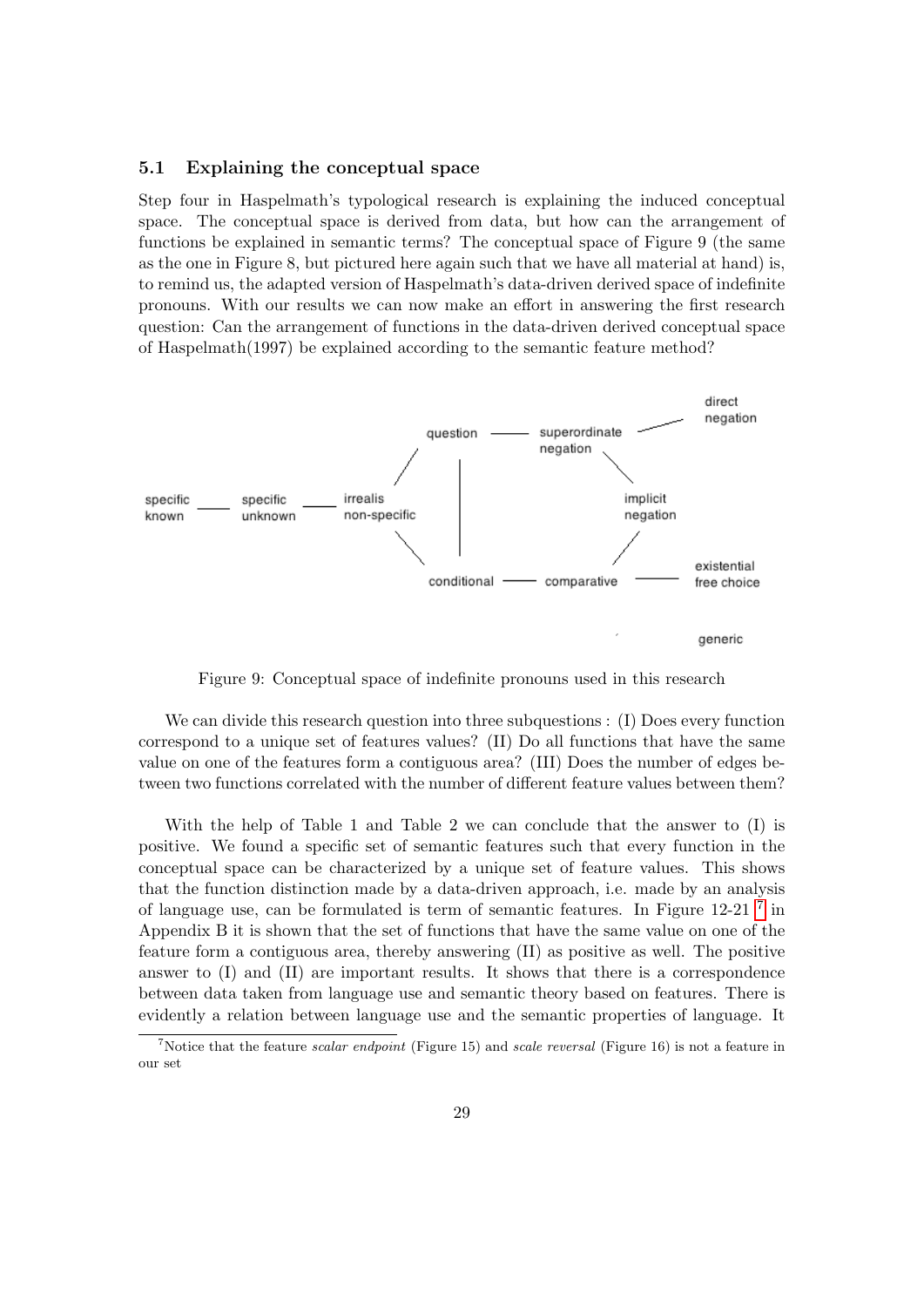#### <span id="page-29-0"></span>5.1 Explaining the conceptual space

Step four in Haspelmath's typological research is explaining the induced conceptual space. The conceptual space is derived from data, but how can the arrangement of functions be explained in semantic terms? The conceptual space of Figure 9 (the same as the one in Figure 8, but pictured here again such that we have all material at hand) is, to remind us, the adapted version of Haspelmath's data-driven derived space of indefinite pronouns. With our results we can now make an effort in answering the first research question: Can the arrangement of functions in the data-driven derived conceptual space of Haspelmath(1997) be explained according to the semantic feature method?



Figure 9: Conceptual space of indefinite pronouns used in this research

We can divide this research question into three subquestions : (I) Does every function correspond to a unique set of features values? (II) Do all functions that have the same value on one of the features form a contiguous area? (III) Does the number of edges between two functions correlated with the number of different feature values between them?

With the help of Table 1 and Table 2 we can conclude that the answer to (I) is positive. We found a specific set of semantic features such that every function in the conceptual space can be characterized by a unique set of feature values. This shows that the function distinction made by a data-driven approach, i.e. made by an analysis of language use, can be formulated is term of semantic features. In Figure 12-21<sup>[7](#page-29-1)</sup> in Appendix B it is shown that the set of functions that have the same value on one of the feature form a contiguous area, thereby answering (II) as positive as well. The positive answer to (I) and (II) are important results. It shows that there is a correspondence between data taken from language use and semantic theory based on features. There is evidently a relation between language use and the semantic properties of language. It

<span id="page-29-1"></span><sup>&</sup>lt;sup>7</sup>Notice that the feature *scalar endpoint* (Figure 15) and *scale reversal* (Figure 16) is not a feature in our set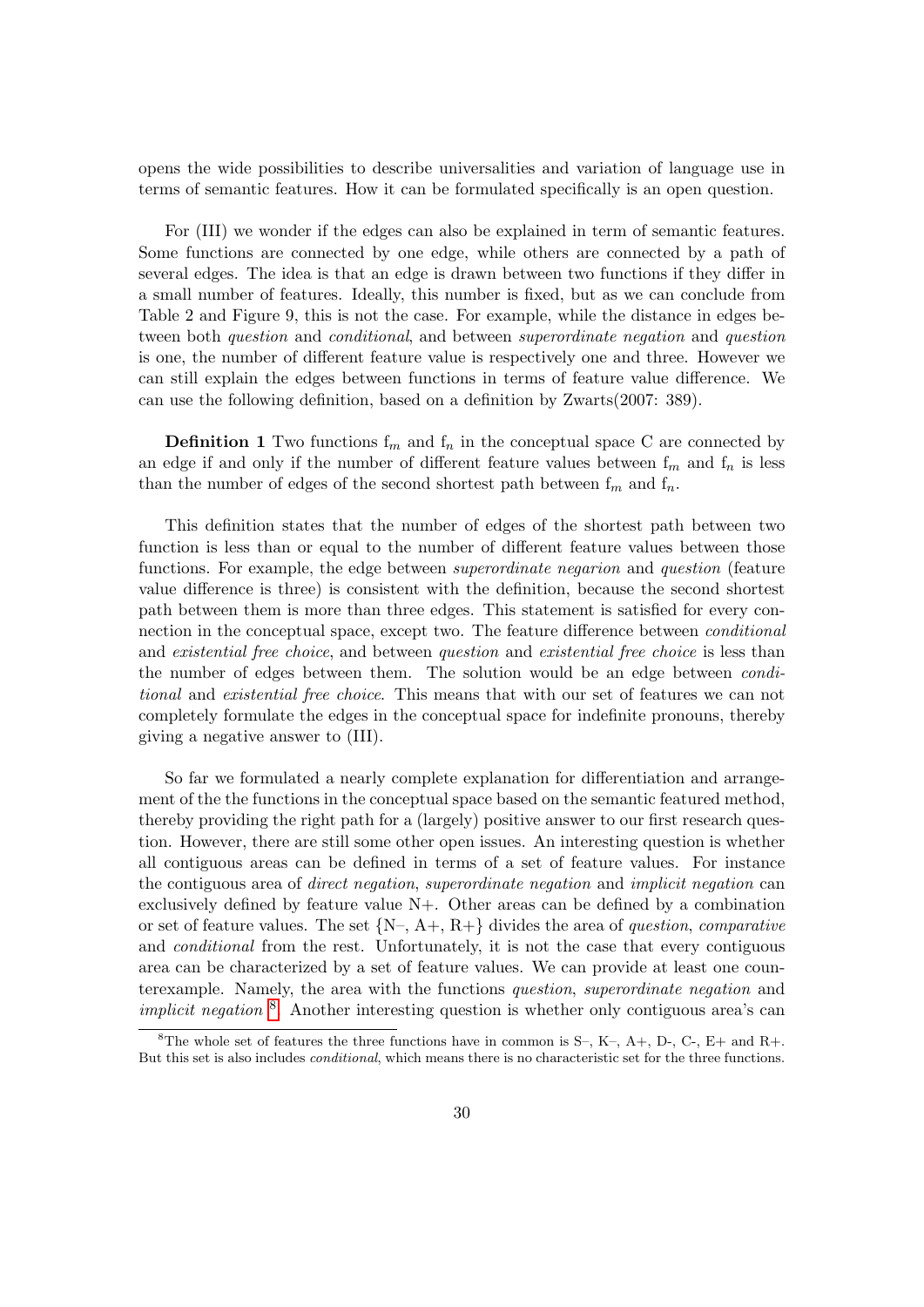opens the wide possibilities to describe universalities and variation of language use in terms of semantic features. How it can be formulated specifically is an open question.

For (III) we wonder if the edges can also be explained in term of semantic features. Some functions are connected by one edge, while others are connected by a path of several edges. The idea is that an edge is drawn between two functions if they differ in a small number of features. Ideally, this number is fixed, but as we can conclude from Table 2 and Figure 9, this is not the case. For example, while the distance in edges between both question and conditional, and between superordinate negation and question is one, the number of different feature value is respectively one and three. However we can still explain the edges between functions in terms of feature value difference. We can use the following definition, based on a definition by Zwarts(2007: 389).

**Definition 1** Two functions  $f_m$  and  $f_n$  in the conceptual space C are connected by an edge if and only if the number of different feature values between  $f_m$  and  $f_n$  is less than the number of edges of the second shortest path between  $f_m$  and  $f_n$ .

This definition states that the number of edges of the shortest path between two function is less than or equal to the number of different feature values between those functions. For example, the edge between superordinate negarion and question (feature value difference is three) is consistent with the definition, because the second shortest path between them is more than three edges. This statement is satisfied for every connection in the conceptual space, except two. The feature difference between conditional and existential free choice, and between question and existential free choice is less than the number of edges between them. The solution would be an edge between conditional and existential free choice. This means that with our set of features we can not completely formulate the edges in the conceptual space for indefinite pronouns, thereby giving a negative answer to (III).

So far we formulated a nearly complete explanation for differentiation and arrangement of the the functions in the conceptual space based on the semantic featured method, thereby providing the right path for a (largely) positive answer to our first research question. However, there are still some other open issues. An interesting question is whether all contiguous areas can be defined in terms of a set of feature values. For instance the contiguous area of direct negation, superordinate negation and implicit negation can exclusively defined by feature value N+. Other areas can be defined by a combination or set of feature values. The set  ${N-, A+, R+}$  divides the area of question, comparative and conditional from the rest. Unfortunately, it is not the case that every contiguous area can be characterized by a set of feature values. We can provide at least one counterexample. Namely, the area with the functions question, superordinate negation and *implicit negation*  $\delta$ . Another interesting question is whether only contiguous area's can

<span id="page-30-0"></span><sup>&</sup>lt;sup>8</sup>The whole set of features the three functions have in common is S–, K–, A+, D-, C–, E+ and R+. But this set is also includes conditional, which means there is no characteristic set for the three functions.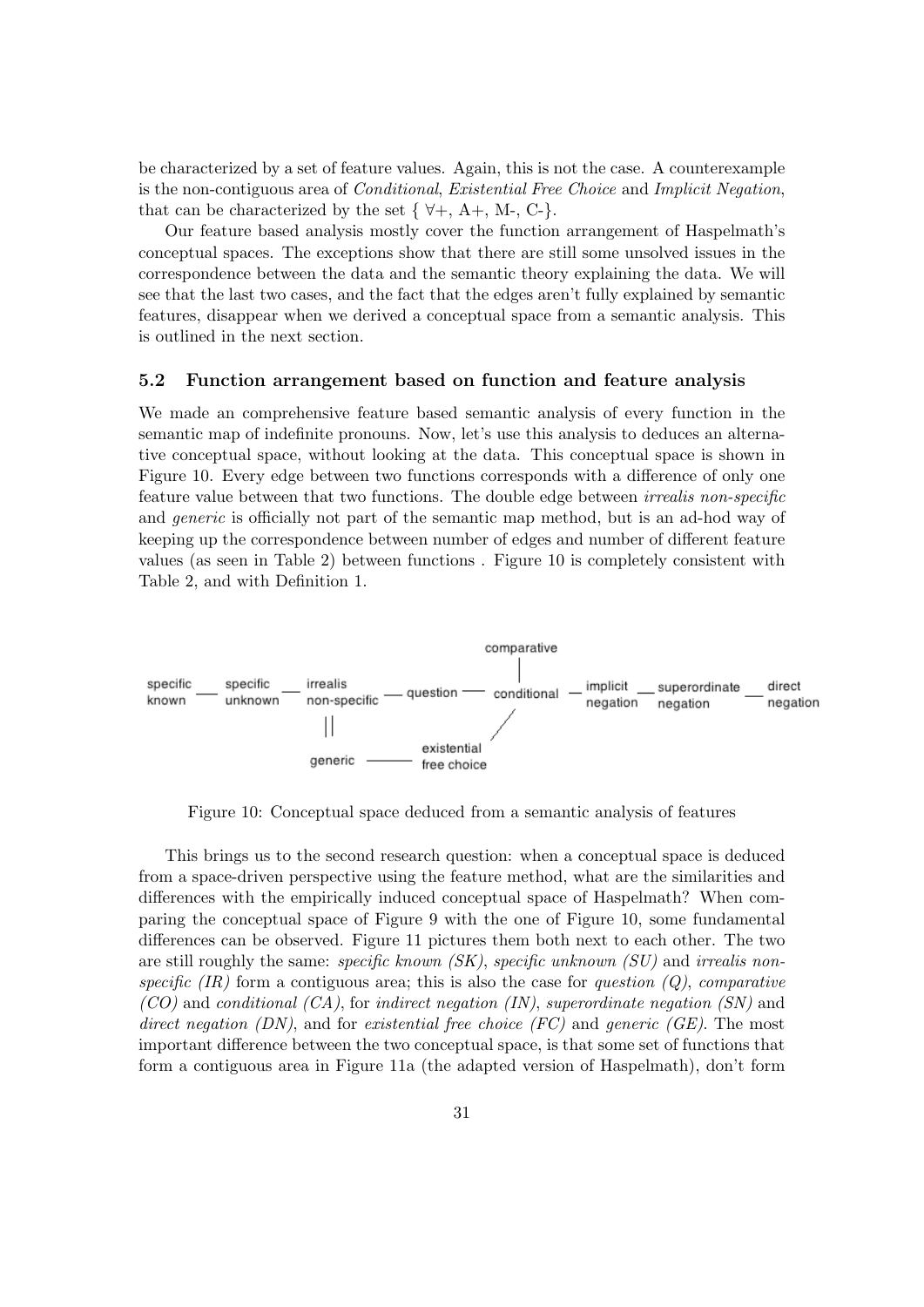be characterized by a set of feature values. Again, this is not the case. A counterexample is the non-contiguous area of Conditional, Existential Free Choice and Implicit Negation, that can be characterized by the set  $\{ \forall +, A+, M-, C \}$ .

Our feature based analysis mostly cover the function arrangement of Haspelmath's conceptual spaces. The exceptions show that there are still some unsolved issues in the correspondence between the data and the semantic theory explaining the data. We will see that the last two cases, and the fact that the edges aren't fully explained by semantic features, disappear when we derived a conceptual space from a semantic analysis. This is outlined in the next section.

#### <span id="page-31-0"></span>5.2 Function arrangement based on function and feature analysis

We made an comprehensive feature based semantic analysis of every function in the semantic map of indefinite pronouns. Now, let's use this analysis to deduces an alternative conceptual space, without looking at the data. This conceptual space is shown in Figure 10. Every edge between two functions corresponds with a difference of only one feature value between that two functions. The double edge between *irrealis non-specific* and *generic* is officially not part of the semantic map method, but is an ad-hod way of keeping up the correspondence between number of edges and number of different feature values (as seen in Table 2) between functions . Figure 10 is completely consistent with Table 2, and with Definition 1.



Figure 10: Conceptual space deduced from a semantic analysis of features

This brings us to the second research question: when a conceptual space is deduced from a space-driven perspective using the feature method, what are the similarities and differences with the empirically induced conceptual space of Haspelmath? When comparing the conceptual space of Figure 9 with the one of Figure 10, some fundamental differences can be observed. Figure 11 pictures them both next to each other. The two are still roughly the same: *specific known (SK)*, *specific unknown (SU)* and *irrealis non*specific  $(IR)$  form a contiguous area; this is also the case for question  $(Q)$ , comparative  $(CO)$  and conditional  $(CA)$ , for indirect negation  $(IN)$ , superordinate negation  $(SN)$  and direct negation  $(DN)$ , and for existential free choice  $(FC)$  and generic  $(GE)$ . The most important difference between the two conceptual space, is that some set of functions that form a contiguous area in Figure 11a (the adapted version of Haspelmath), don't form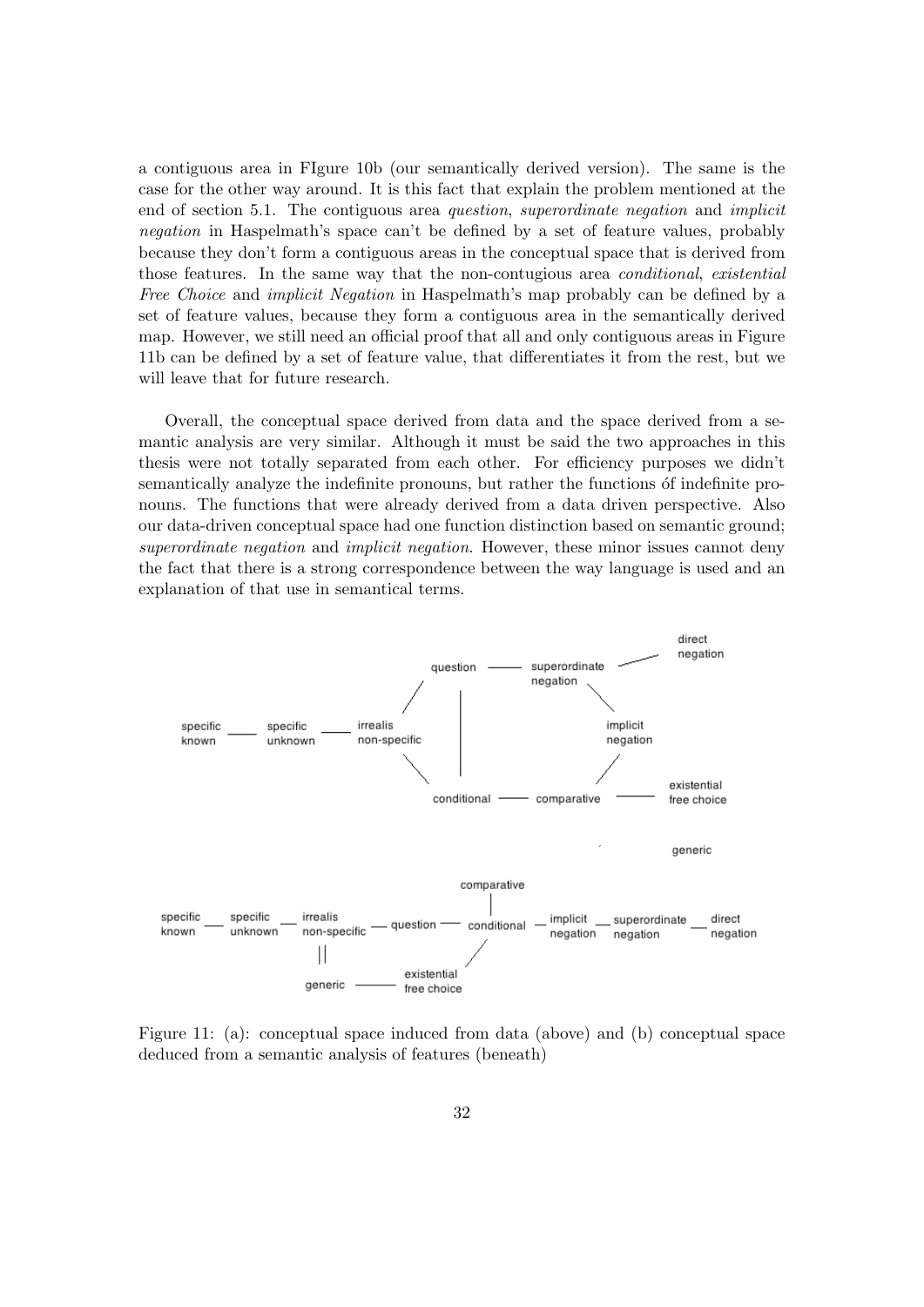a contiguous area in FIgure 10b (our semantically derived version). The same is the case for the other way around. It is this fact that explain the problem mentioned at the end of section 5.1. The contiguous area question, superordinate negation and implicit negation in Haspelmath's space can't be defined by a set of feature values, probably because they don't form a contiguous areas in the conceptual space that is derived from those features. In the same way that the non-contugious area *conditional*, existential Free Choice and *implicit Negation* in Haspelmath's map probably can be defined by a set of feature values, because they form a contiguous area in the semantically derived map. However, we still need an official proof that all and only contiguous areas in Figure 11b can be defined by a set of feature value, that differentiates it from the rest, but we will leave that for future research.

Overall, the conceptual space derived from data and the space derived from a semantic analysis are very similar. Although it must be said the two approaches in this thesis were not totally separated from each other. For efficiency purposes we didn't semantically analyze the indefinite pronouns, but rather the functions of indefinite pronouns. The functions that were already derived from a data driven perspective. Also our data-driven conceptual space had one function distinction based on semantic ground; superordinate negation and *implicit negation*. However, these minor issues cannot deny the fact that there is a strong correspondence between the way language is used and an explanation of that use in semantical terms.



Figure 11: (a): conceptual space induced from data (above) and (b) conceptual space deduced from a semantic analysis of features (beneath)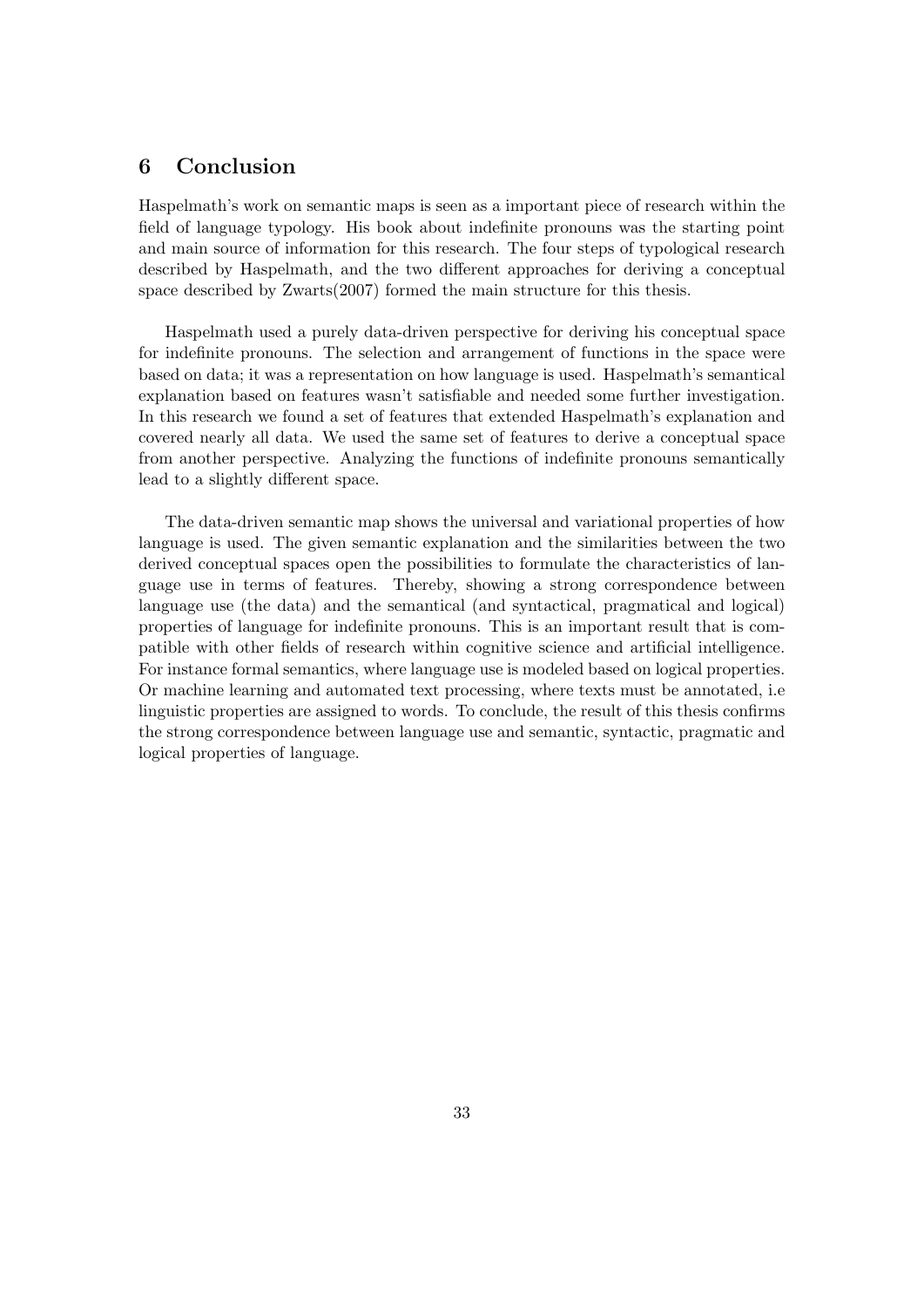## <span id="page-33-0"></span>6 Conclusion

Haspelmath's work on semantic maps is seen as a important piece of research within the field of language typology. His book about indefinite pronouns was the starting point and main source of information for this research. The four steps of typological research described by Haspelmath, and the two different approaches for deriving a conceptual space described by Zwarts(2007) formed the main structure for this thesis.

Haspelmath used a purely data-driven perspective for deriving his conceptual space for indefinite pronouns. The selection and arrangement of functions in the space were based on data; it was a representation on how language is used. Haspelmath's semantical explanation based on features wasn't satisfiable and needed some further investigation. In this research we found a set of features that extended Haspelmath's explanation and covered nearly all data. We used the same set of features to derive a conceptual space from another perspective. Analyzing the functions of indefinite pronouns semantically lead to a slightly different space.

The data-driven semantic map shows the universal and variational properties of how language is used. The given semantic explanation and the similarities between the two derived conceptual spaces open the possibilities to formulate the characteristics of language use in terms of features. Thereby, showing a strong correspondence between language use (the data) and the semantical (and syntactical, pragmatical and logical) properties of language for indefinite pronouns. This is an important result that is compatible with other fields of research within cognitive science and artificial intelligence. For instance formal semantics, where language use is modeled based on logical properties. Or machine learning and automated text processing, where texts must be annotated, i.e linguistic properties are assigned to words. To conclude, the result of this thesis confirms the strong correspondence between language use and semantic, syntactic, pragmatic and logical properties of language.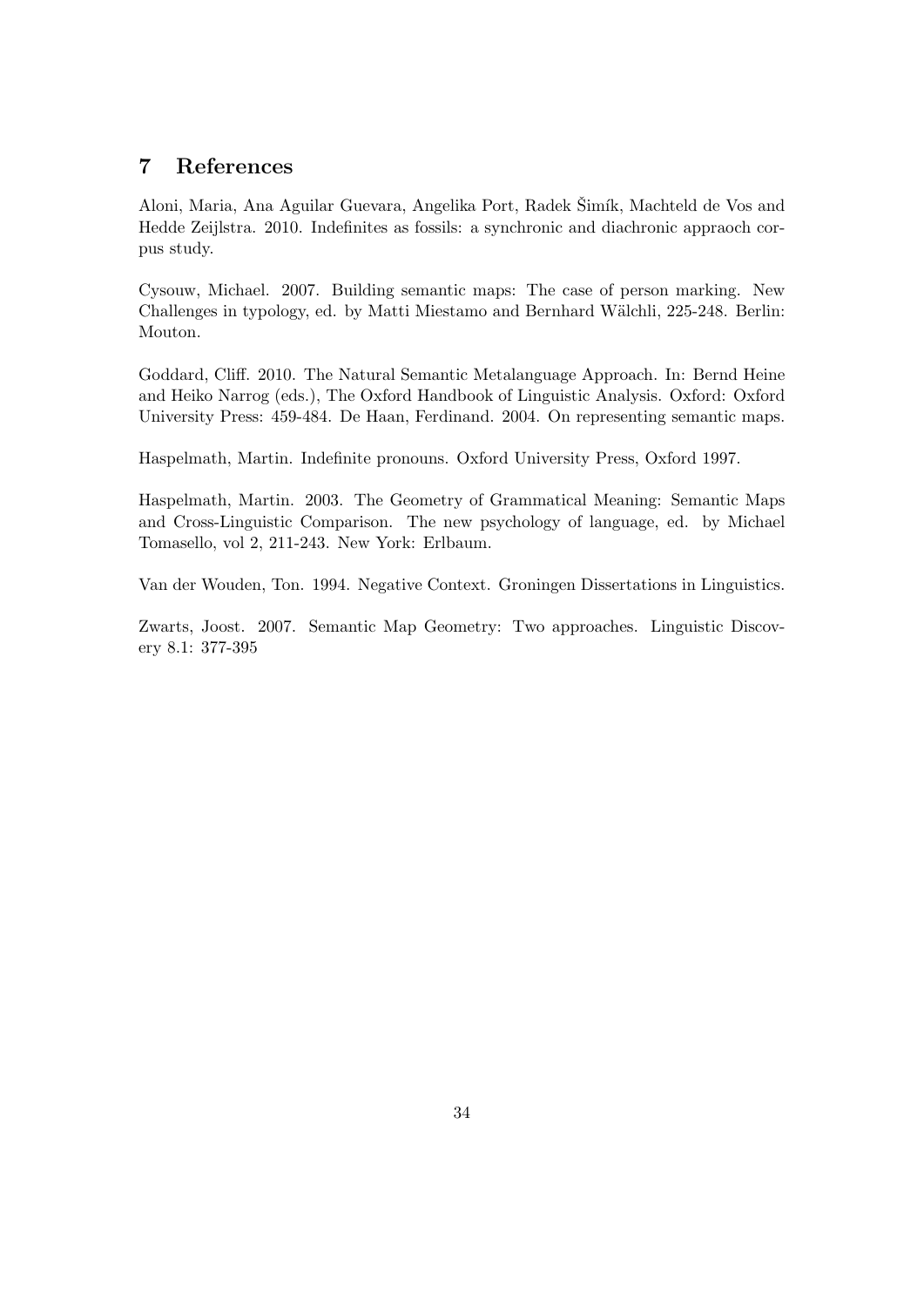## <span id="page-34-0"></span>7 References

Aloni, Maria, Ana Aguilar Guevara, Angelika Port, Radek Šimík, Machteld de Vos and Hedde Zeijlstra. 2010. Indefinites as fossils: a synchronic and diachronic appraoch corpus study.

Cysouw, Michael. 2007. Building semantic maps: The case of person marking. New Challenges in typology, ed. by Matti Miestamo and Bernhard W¨alchli, 225-248. Berlin: Mouton.

Goddard, Cliff. 2010. The Natural Semantic Metalanguage Approach. In: Bernd Heine and Heiko Narrog (eds.), The Oxford Handbook of Linguistic Analysis. Oxford: Oxford University Press: 459-484. De Haan, Ferdinand. 2004. On representing semantic maps.

Haspelmath, Martin. Indefinite pronouns. Oxford University Press, Oxford 1997.

Haspelmath, Martin. 2003. The Geometry of Grammatical Meaning: Semantic Maps and Cross-Linguistic Comparison. The new psychology of language, ed. by Michael Tomasello, vol 2, 211-243. New York: Erlbaum.

Van der Wouden, Ton. 1994. Negative Context. Groningen Dissertations in Linguistics.

Zwarts, Joost. 2007. Semantic Map Geometry: Two approaches. Linguistic Discovery 8.1: 377-395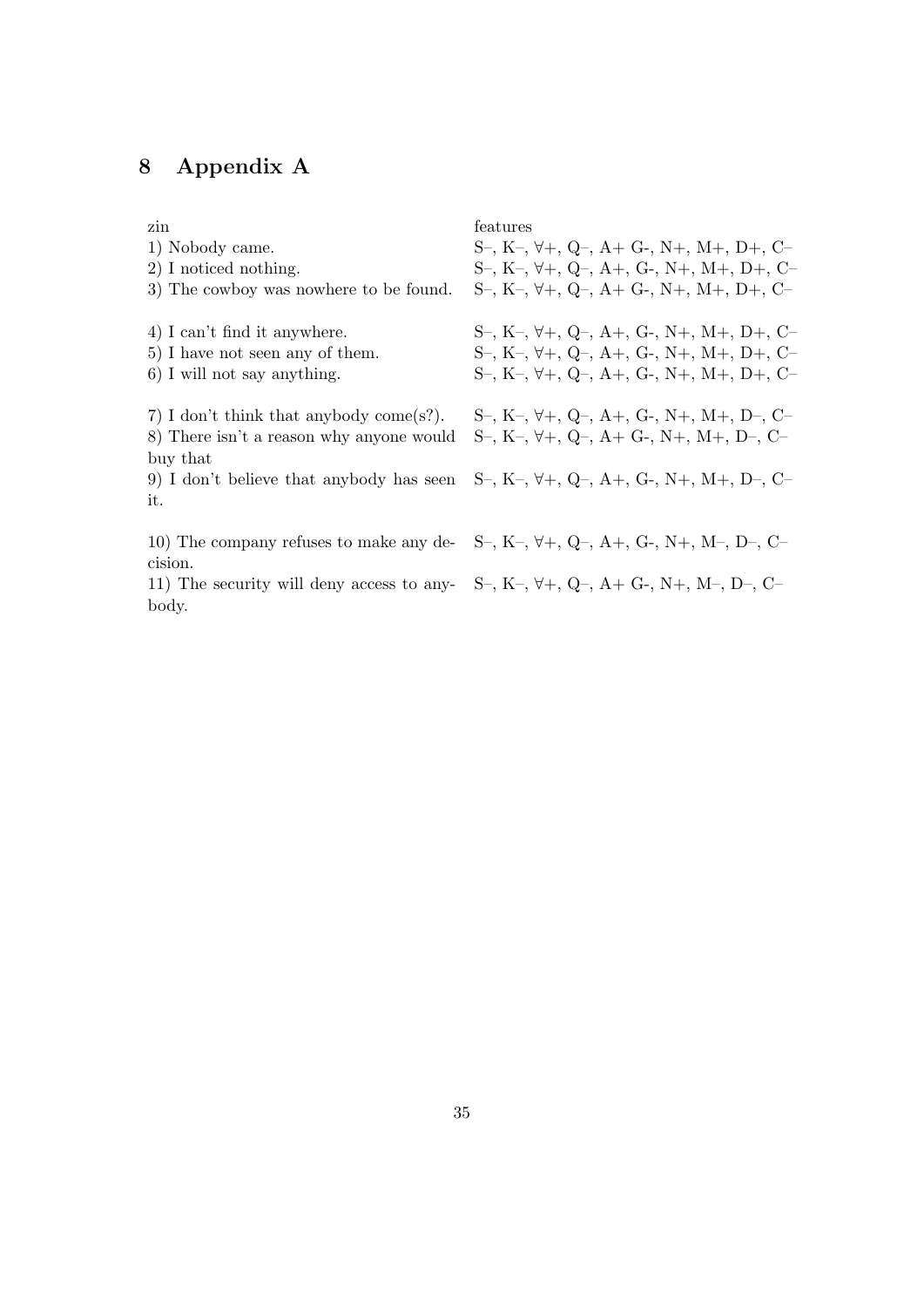## <span id="page-35-0"></span>8 Appendix A

| zin                                                                                          | features                                                                                    |
|----------------------------------------------------------------------------------------------|---------------------------------------------------------------------------------------------|
| 1) Nobody came.                                                                              | $S-, K-, \forall +, Q-, A+, G-, N+, M+, D+, C-$                                             |
| 2) I noticed nothing.                                                                        | $S-, K-, \forall+, Q-, A+, G-, N+, M+, D+, C-$                                              |
| 3) The cowboy was nowhere to be found.                                                       | $S-, K-, \forall+, Q-, A+, G-, N+, M+, D+, C-$                                              |
| 4) I can't find it anywhere.                                                                 | $S-, K-, \forall +, Q-, A+, G-, N+, M+, D+, C-$                                             |
| 5) I have not seen any of them.                                                              | $S-, K-, \forall +, Q-, A+, G-, N+, M+, D+, C-$                                             |
| 6) I will not say anything.                                                                  | $S-, K-, \forall+, Q-, A+, G-, N+, M+, D+, C-$                                              |
| 7) I don't think that anybody come(s?).                                                      | $S-, K-, \forall +, Q-, A+, G-, N+, M+, D-, C-$                                             |
| 8) There isn't a reason why anyone would                                                     | $S-, K-, \forall+, Q-, A+, G-, N+, M+, D-, C-$                                              |
| buy that<br>9) I don't believe that anybody has seen                                         | $S-, K-, \forall+, Q-, A+, G-, N+, M+, D-, C-$                                              |
| it.                                                                                          |                                                                                             |
|                                                                                              |                                                                                             |
|                                                                                              | 10) The company refuses to make any de-<br>S-, K-, $\forall +$ , Q-, A+, G-, N+, M-, D-, C- |
| cision.                                                                                      |                                                                                             |
| 11) The security will deny access to any-<br>S-, K-, $\forall +$ , Q-, A+ G-, N+, M-, D-, C- |                                                                                             |
| body.                                                                                        |                                                                                             |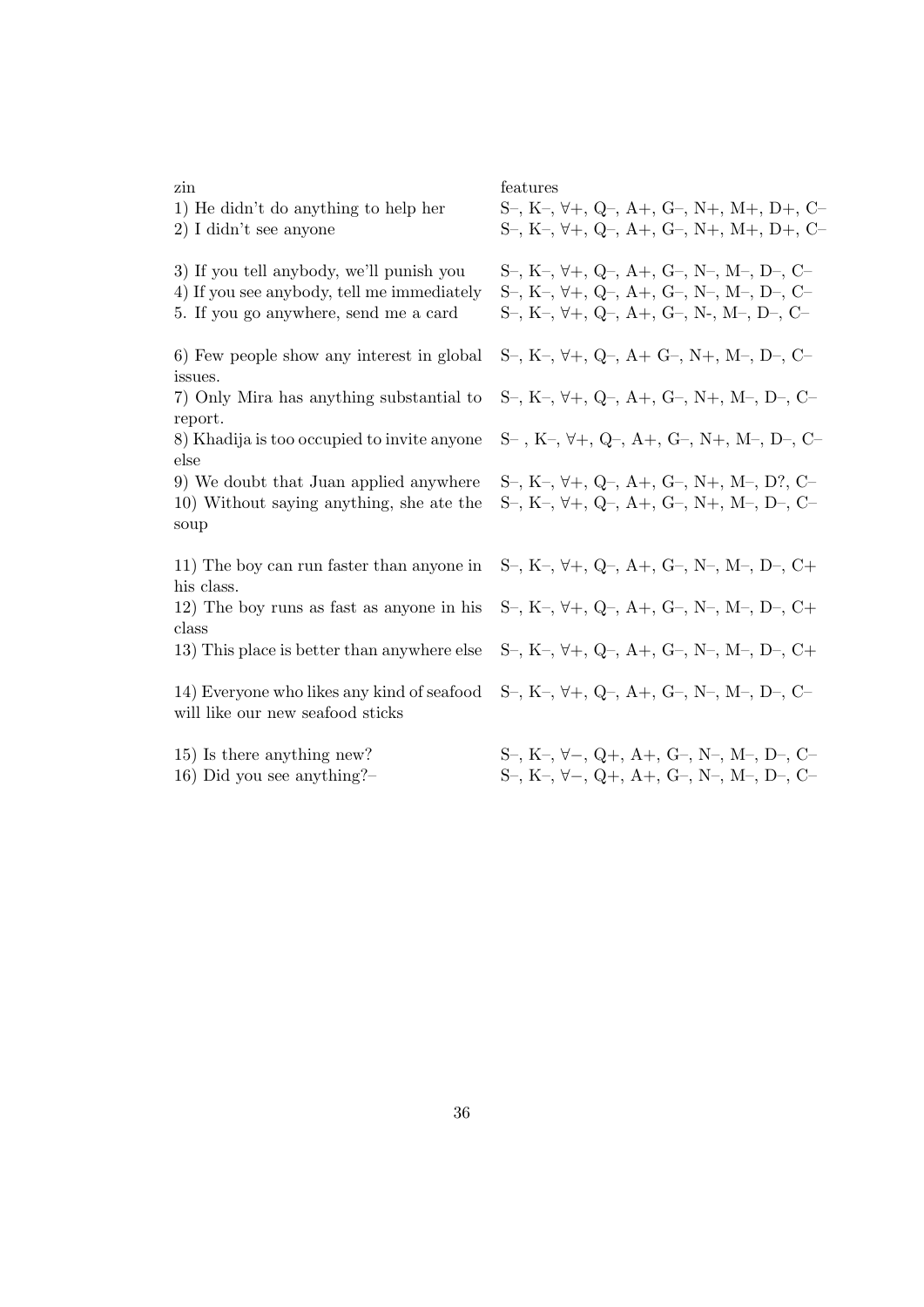#### zin features

- 
- 
- 

6) Few people show any interest in global issues.

7) Only Mira has anything substantial to report.

8) Khadija is too occupied to invite anyone else

10) Without saying anything, she ate the soup

11) The boy can run faster than anyone in his class.

12) The boy runs as fast as anyone in his class

14) Everyone who likes any kind of seafood will like our new seafood sticks

1) He didn't do anything to help her  $S-, K-, \forall+, Q-, A+, G-, N+, M+, D+, C-$ 2) I didn't see anyone  $S^-, K^-, \forall +, Q^-, A^+, G^-, N^+, M^+, D^+, C^-$ 3) If you tell anybody, we'll punish you  $S-, K-, \forall+, Q-, A+, G-, N-, M-, D-, C-$ 4) If you see anybody, tell me immediately  $S-, K-, \forall +, Q-, A+, G-, N-, M-, D-, C-$ 5. If you go anywhere, send me a card  $S-, K-, \forall+, Q-, A+, G-, N-, M-, D-, C-$ S–, K–, ∀+, Q–, A+ G–, N+, M–, D–, C– S–, K–, ∀+, Q–, A+, G–, N+, M–, D–, C– S– , K–, ∀+, Q–, A+, G–, N+, M–, D–, C– 9) We doubt that Juan applied anywhere  $S-, K-, \forall+, Q-, A+, G-, N+, M-, D?, C-$ S–, K–, ∀+, Q–, A+, G–, N+, M–, D–, C– S–, K–, ∀+, Q–, A+, G–, N–, M–, D–, C+ S–, K–, ∀+, Q–, A+, G–, N–, M–, D–, C+ 13) This place is better than anywhere else  $S-, K-, \forall+, Q-, A+, G-, N-, M-, D-, C+$ S–, K–, ∀+, Q–, A+, G–, N–, M–, D–, C–

15) Is there anything new? S–, K–, ∀−, Q+, A+, G–, N–, M–, D–, C– 16) Did you see anything?– S–, K–, ∀−, Q+, A+, G–, N–, M–, D–, C–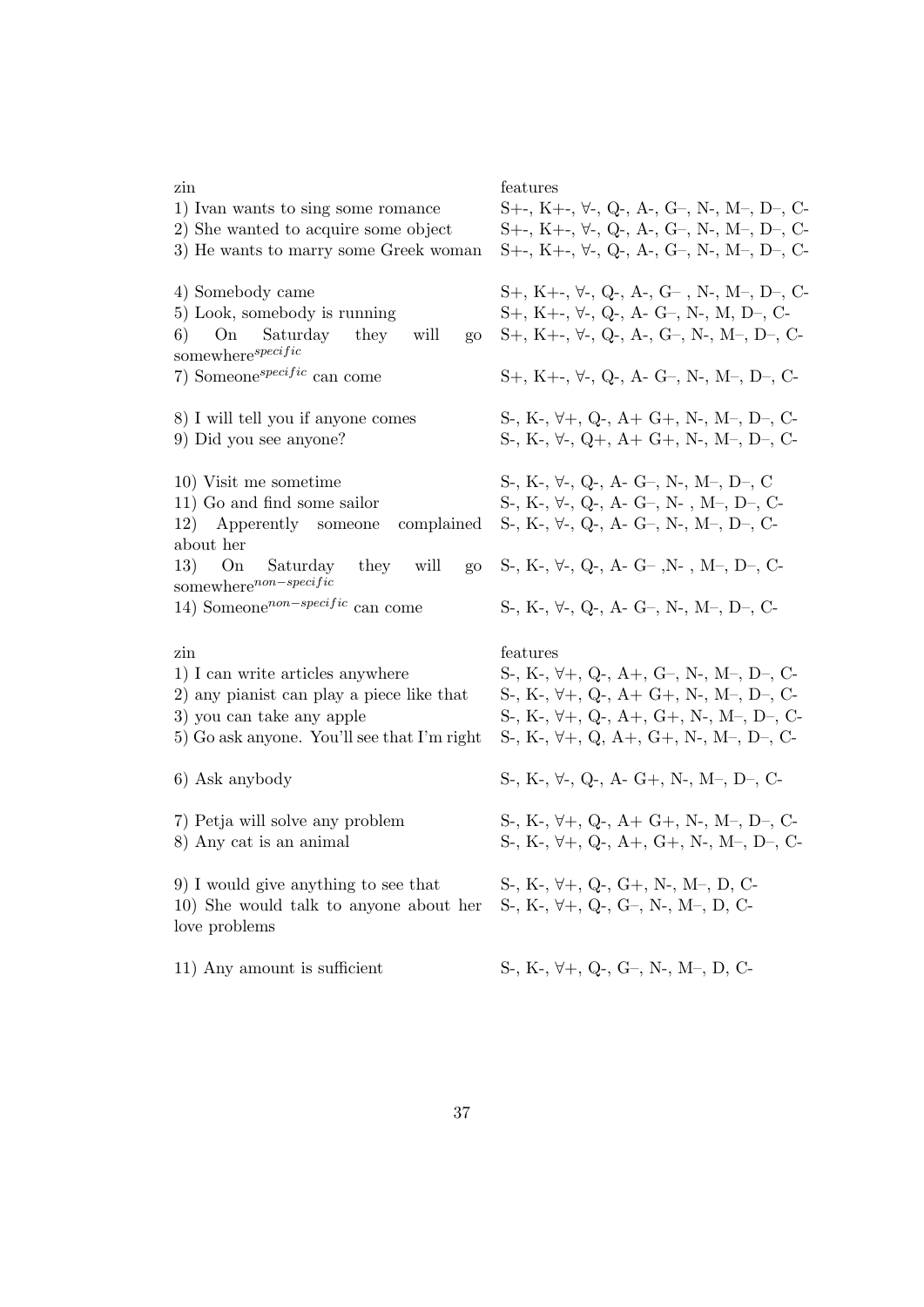| zin<br>1) Ivan wants to sing some romance<br>2) She wanted to acquire some object<br>3) He wants to marry some Greek woman                                       | features<br>$S++, K+-, \forall-, Q-, A-, G-, N-, M-, D-, C$<br>$S+, K+, \forall$ -, Q-, A-, G-, N-, M-, D-, C-<br>$S++, K+-, \forall -$ , Q-, A-, G-, N-, M-, D-, C-                                                   |
|------------------------------------------------------------------------------------------------------------------------------------------------------------------|------------------------------------------------------------------------------------------------------------------------------------------------------------------------------------------------------------------------|
| 4) Somebody came<br>5) Look, somebody is running<br>6)<br>On<br>Saturday they<br>will<br>go<br>somewhere <sup>specific</sup>                                     | $S+, K+, \forall$ -, $Q$ -, $A$ -, $G-$ , $N$ -, $M-$ , $D-$ , $C-$<br>$S+, K+, \forall$ -, Q-, A- G-, N-, M, D-, C-<br>$S+, K+, \forall$ -, Q-, A-, G-, N-, M-, D-, C-                                                |
| 7) Someone <sup>specific</sup> can come                                                                                                                          | $S+, K+, \forall$ -, $Q$ -, A- G-, N-, M-, D-, C-                                                                                                                                                                      |
| 8) I will tell you if anyone comes<br>9) Did you see anyone?                                                                                                     | S-, K-, $\forall +$ , Q-, A+ G+, N-, M-, D-, C-<br>S-, K-, $\forall$ -, Q+, A+ G+, N-, M-, D-, C-                                                                                                                      |
| 10) Visit me sometime<br>11) Go and find some sailor<br>12) Apperently someone<br>complained<br>about her                                                        | S-, K-, $\forall$ -, Q-, A- G-, N-, M-, D-, C<br>S-, K-, $\forall$ -, Q-, A- G-, N-, M-, D-, C-<br>S-, K-, $\forall$ -, Q-, A- G-, N-, M-, D-, C-                                                                      |
| 13)<br>Saturday they will<br>On<br>$g_{O}$<br>somewhere <sup>non-specific</sup>                                                                                  | S-, K-, $\forall$ -, Q-, A- G-, N-, M-, D-, C-                                                                                                                                                                         |
| 14) Someone <sup>non-specific</sup> can come                                                                                                                     | S-, K-, $\forall$ -, Q-, A- G-, N-, M-, D-, C-                                                                                                                                                                         |
| zin<br>1) I can write articles anywhere<br>2) any pianist can play a piece like that<br>3) you can take any apple<br>5) Go ask anyone. You'll see that I'm right | features<br>S-, K-, $\forall +$ , Q-, A+, G-, N-, M-, D-, C-<br>S-, K-, $\forall +$ , Q-, A+ G+, N-, M-, D-, C-<br>S-, K-, $\forall +$ , Q-, A+, G+, N-, M-, D-, C-<br>S-, K-, $\forall +$ , Q, A+, G+, N-, M-, D-, C- |
| 6) Ask anybody                                                                                                                                                   | S-, K-, $\forall$ -, Q-, A- G+, N-, M-, D-, C-                                                                                                                                                                         |
| 7) Petja will solve any problem<br>8) Any cat is an animal                                                                                                       | S-, K-, $\forall +$ , Q-, A+ G+, N-, M-, D-, C-<br>S-, K-, $\forall +$ , Q-, A+, G+, N-, M-, D-, C-                                                                                                                    |
| 9) I would give anything to see that<br>10) She would talk to anyone about her<br>love problems                                                                  | S-, K-, $\forall +$ , Q-, G+, N-, M-, D, C-<br>$S-, K-, \forall+, Q-, G-, N-, M-, D, C-$                                                                                                                               |
| 11) Any amount is sufficient                                                                                                                                     | $S-, K-, \forall+, Q-, G-, N-, M-, D, C-$                                                                                                                                                                              |

37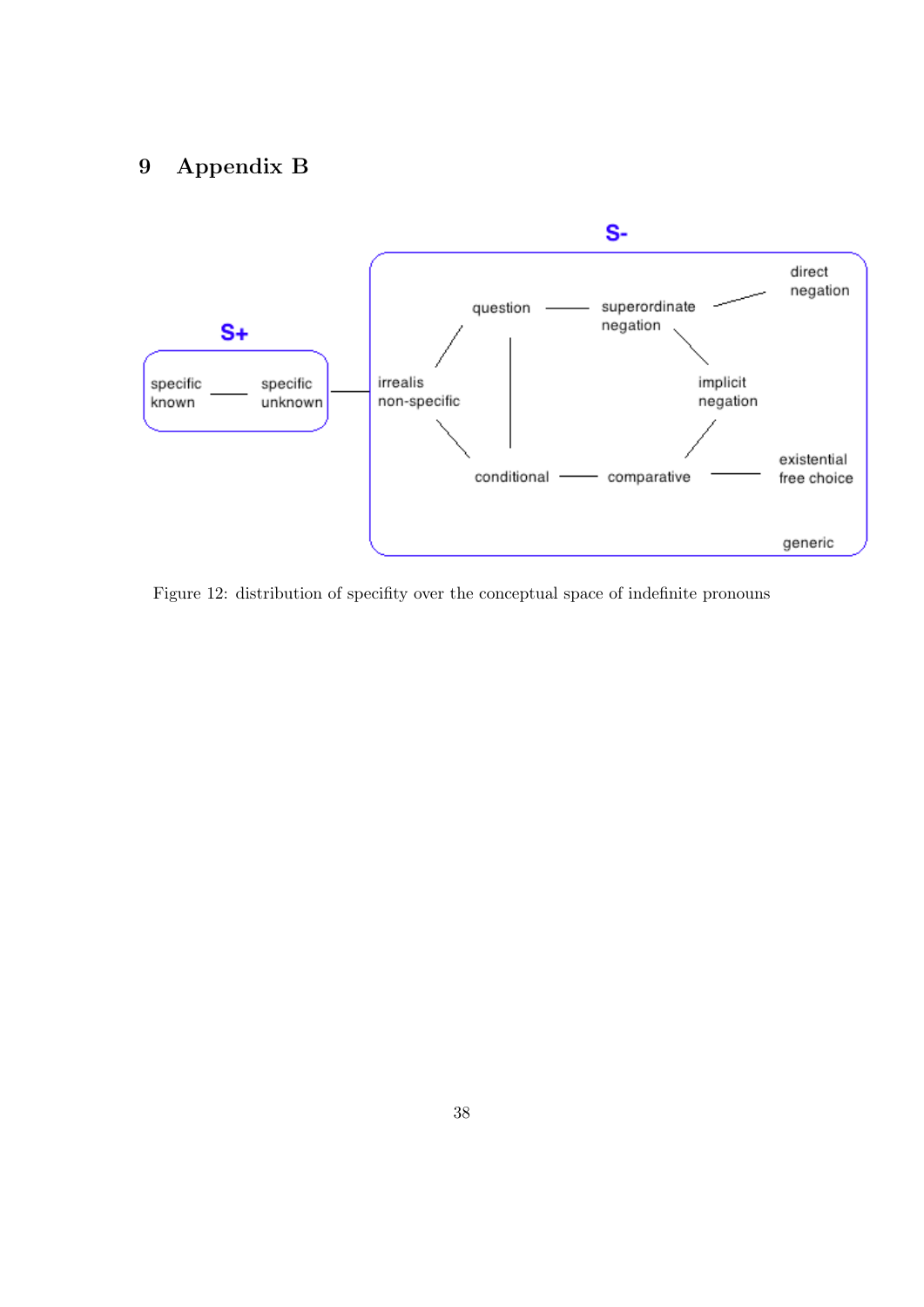## <span id="page-38-0"></span>9 Appendix B



Figure 12: distribution of specifity over the conceptual space of indefinite pronouns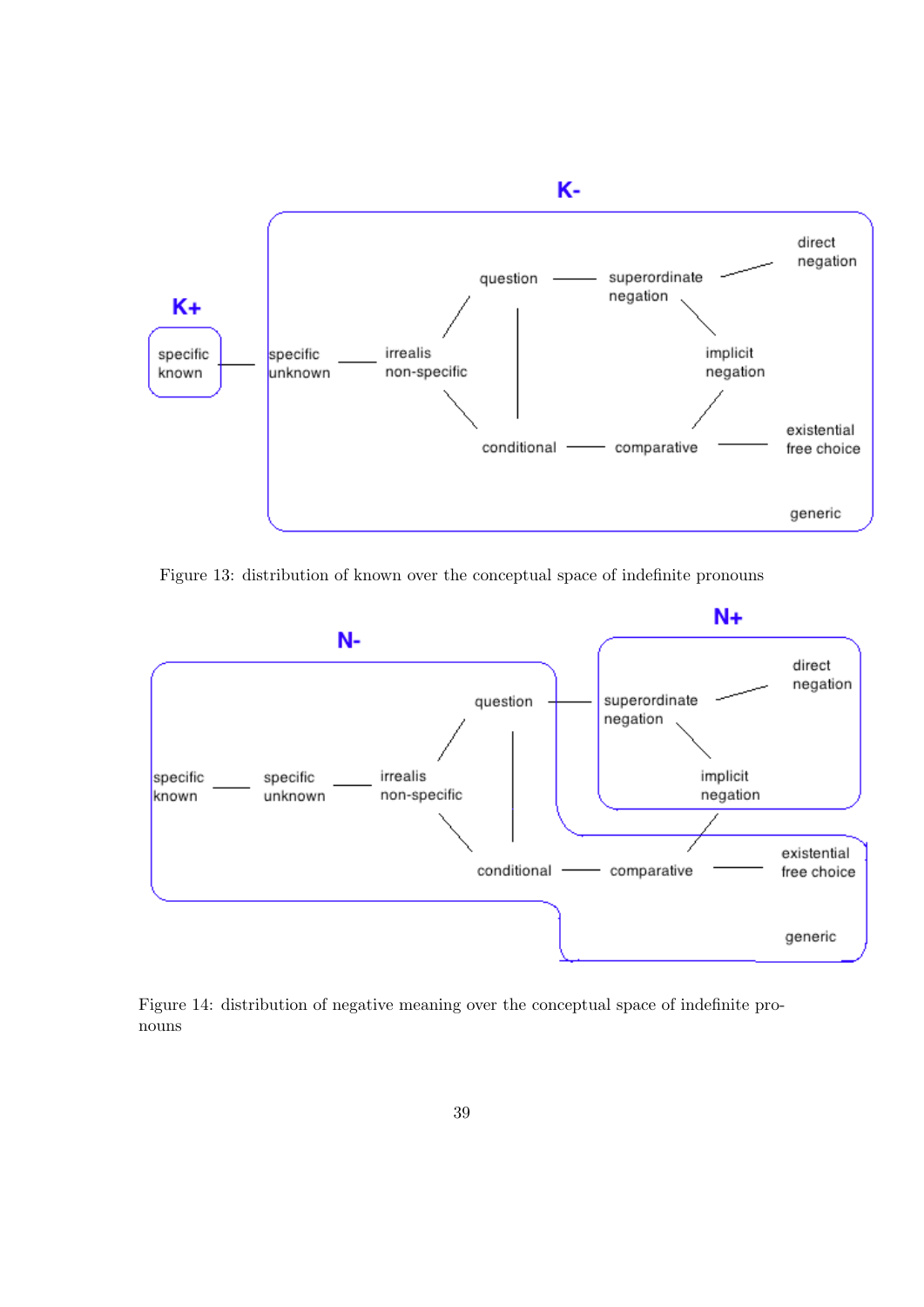

Figure 13: distribution of known over the conceptual space of indefinite pronouns



Figure 14: distribution of negative meaning over the conceptual space of indefinite pronouns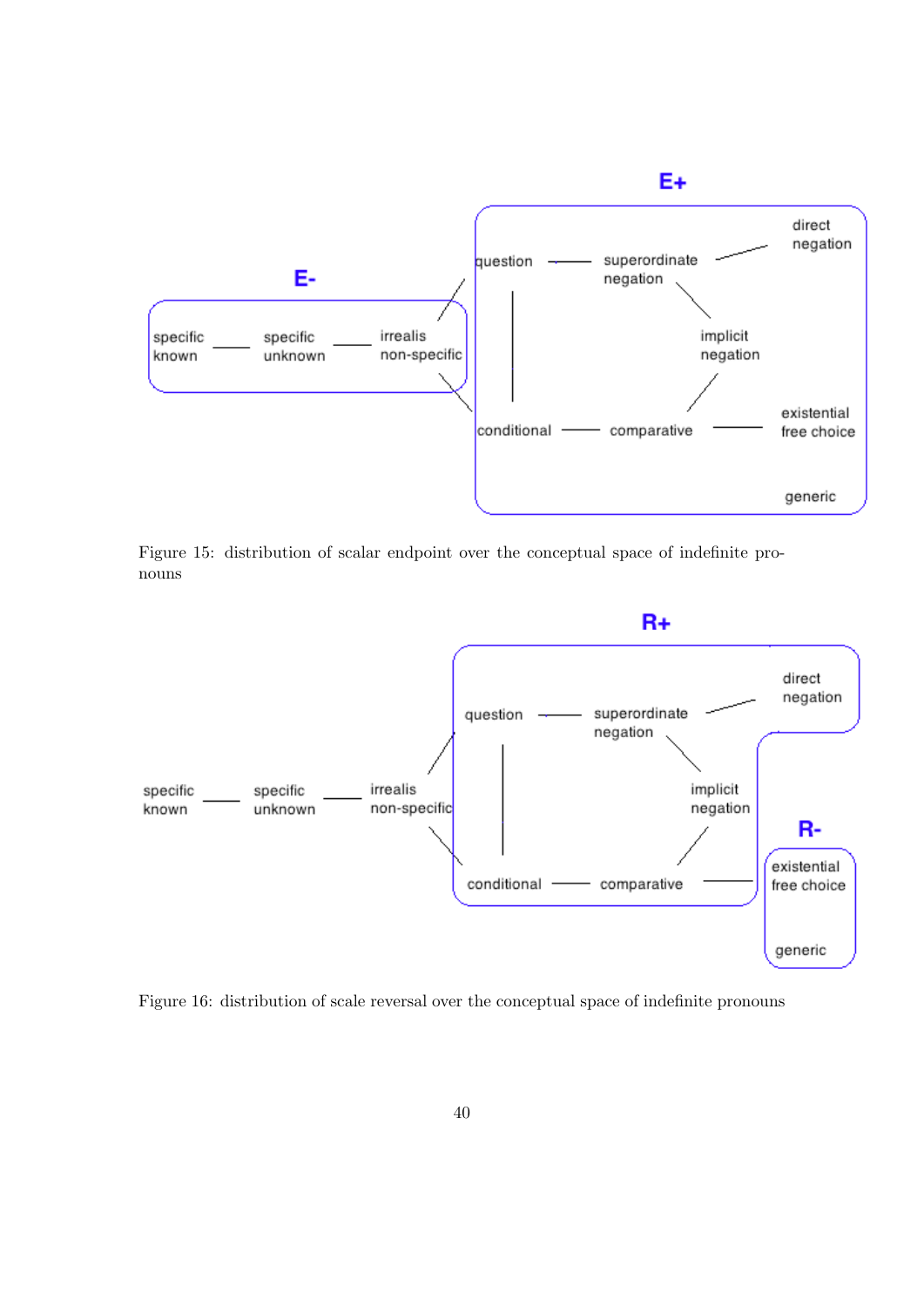

Figure 15: distribution of scalar endpoint over the conceptual space of indefinite pronouns



Figure 16: distribution of scale reversal over the conceptual space of indefinite pronouns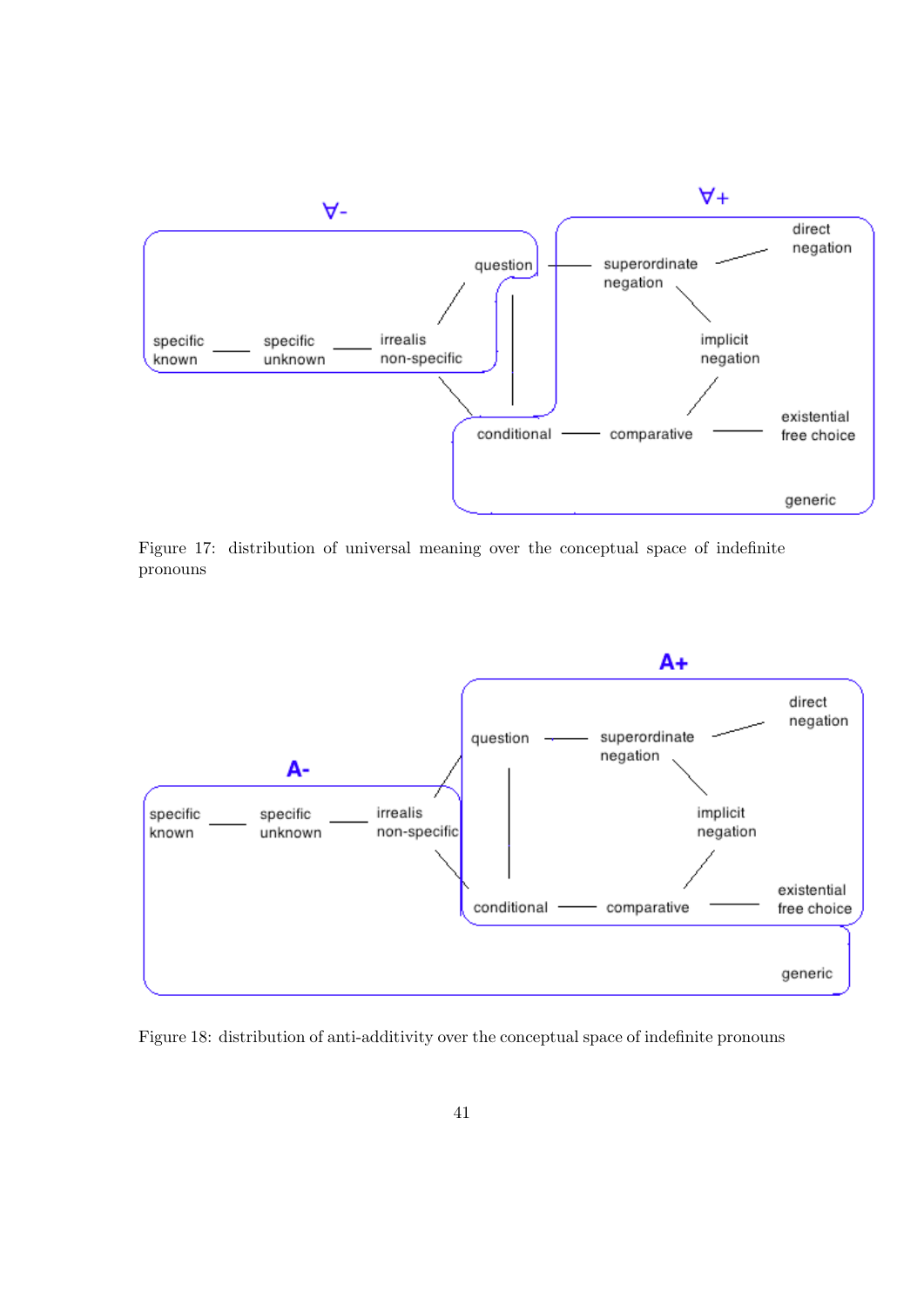

Figure 17: distribution of universal meaning over the conceptual space of indefinite pronouns



Figure 18: distribution of anti-additivity over the conceptual space of indefinite pronouns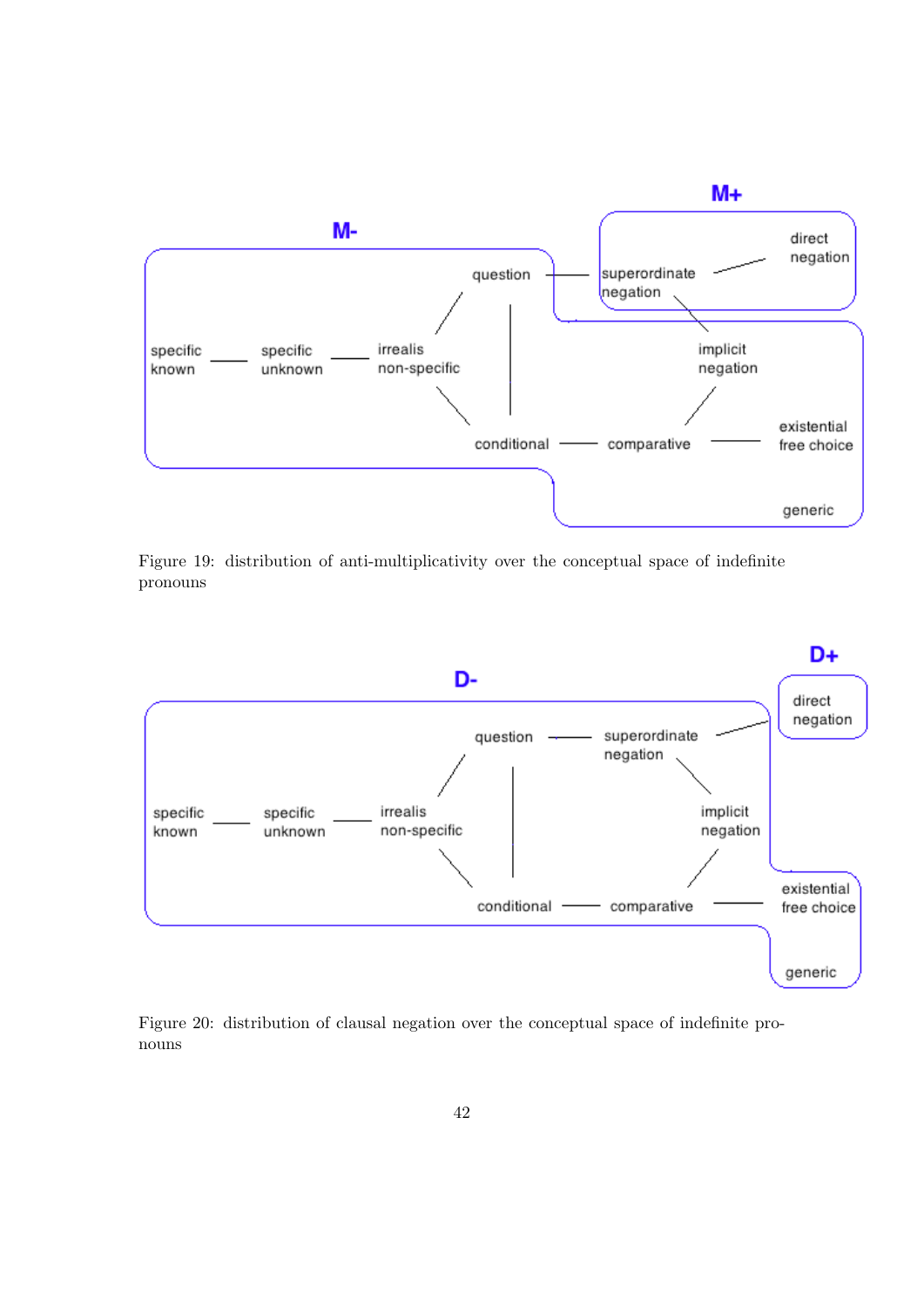

Figure 19: distribution of anti-multiplicativity over the conceptual space of indefinite pronouns



Figure 20: distribution of clausal negation over the conceptual space of indefinite pronouns